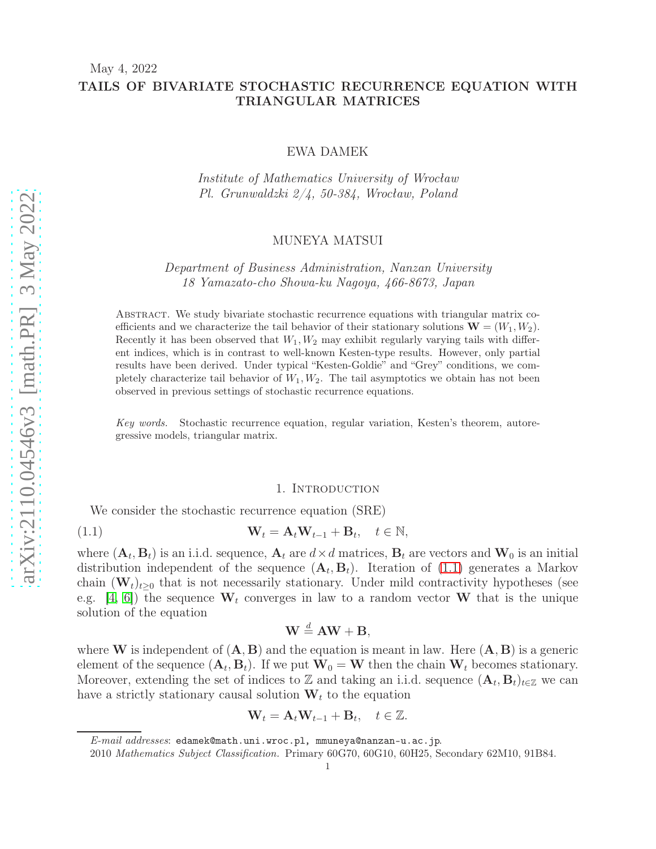May 4, 2022

# TAILS OF BIVARIATE STOCHASTIC RECURRENCE EQUATION WITH TRIANGULAR MATRICES

# EWA DAMEK

Institute of Mathematics University of Wrocław Pl. Grunwaldzki 2/4, 50-384, Wrocław, Poland

# MUNEYA MATSUI

Department of Business Administration, Nanzan University 18 Yamazato-cho Showa-ku Nagoya, 466-8673, Japan

Abstract. We study bivariate stochastic recurrence equations with triangular matrix coefficients and we characterize the tail behavior of their stationary solutions  $\mathbf{W} = (W_1, W_2)$ . Recently it has been observed that  $W_1, W_2$  may exhibit regularly varying tails with different indices, which is in contrast to well-known Kesten-type results. However, only partial results have been derived. Under typical "Kesten-Goldie" and "Grey" conditions, we completely characterize tail behavior of  $W_1, W_2$ . The tail asymptotics we obtain has not been observed in previous settings of stochastic recurrence equations.

Key words. Stochastic recurrence equation, regular variation, Kesten's theorem, autoregressive models, triangular matrix.

#### <span id="page-0-0"></span>1. Introduction

We consider the stochastic recurrence equation (SRE)

(1.1) 
$$
\mathbf{W}_t = \mathbf{A}_t \mathbf{W}_{t-1} + \mathbf{B}_t, \quad t \in \mathbb{N},
$$

where  $(\mathbf{A}_t, \mathbf{B}_t)$  is an i.i.d. sequence,  $\mathbf{A}_t$  are  $d \times d$  matrices,  $\mathbf{B}_t$  are vectors and  $\mathbf{W}_0$  is an initial distribution independent of the sequence  $(\mathbf{A}_t, \mathbf{B}_t)$ . Iteration of [\(1.1\)](#page-0-0) generates a Markov chain  $(\mathbf{W}_t)_{t\geq0}$  that is not necessarily stationary. Under mild contractivity hypotheses (see e.g. [\[4,](#page-41-0) [6\]](#page-41-1)) the sequence  $W_t$  converges in law to a random vector W that is the unique solution of the equation

$$
\mathbf{W} \stackrel{d}{=} \mathbf{A}\mathbf{W} + \mathbf{B},
$$

where **W** is independent of  $(A, B)$  and the equation is meant in law. Here  $(A, B)$  is a generic element of the sequence  $(\mathbf{A}_t, \mathbf{B}_t)$ . If we put  $\mathbf{W}_0 = \mathbf{W}$  then the chain  $\mathbf{W}_t$  becomes stationary. Moreover, extending the set of indices to Z and taking an i.i.d. sequence  $(\mathbf{A}_t, \mathbf{B}_t)_{t \in \mathbb{Z}}$  we can have a strictly stationary causal solution  $W_t$  to the equation

$$
\mathbf{W}_t = \mathbf{A}_t \mathbf{W}_{t-1} + \mathbf{B}_t, \quad t \in \mathbb{Z}.
$$

E-mail addresses: edamek@math.uni.wroc.pl, mmuneya@nanzan-u.ac.jp.

<sup>2010</sup> Mathematics Subject Classification. Primary 60G70, 60G10, 60H25, Secondary 62M10, 91B84.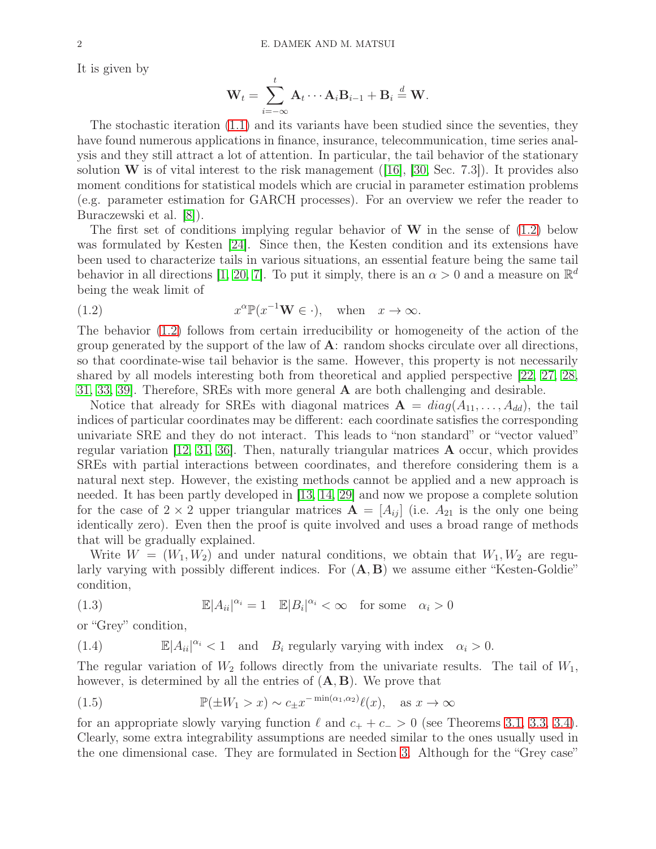It is given by

$$
\mathbf{W}_t = \sum_{i=-\infty}^t \mathbf{A}_t \cdots \mathbf{A}_i \mathbf{B}_{i-1} + \mathbf{B}_i \stackrel{d}{=} \mathbf{W}.
$$

The stochastic iteration [\(1.1\)](#page-0-0) and its variants have been studied since the seventies, they have found numerous applications in finance, insurance, telecommunication, time series analysis and they still attract a lot of attention. In particular, the tail behavior of the stationary solution  $W$  is of vital interest to the risk management ([\[16\]](#page-41-2), [\[30,](#page-42-0) Sec. 7.3]). It provides also moment conditions for statistical models which are crucial in parameter estimation problems (e.g. parameter estimation for GARCH processes). For an overview we refer the reader to Buraczewski et al. [\[8\]](#page-41-3)).

The first set of conditions implying regular behavior of  $W$  in the sense of  $(1.2)$  below was formulated by Kesten [\[24\]](#page-42-1). Since then, the Kesten condition and its extensions have been used to characterize tails in various situations, an essential feature being the same tail behavior in all directions [\[1,](#page-41-4) [20,](#page-41-5) [7\]](#page-41-6). To put it simply, there is an  $\alpha > 0$  and a measure on  $\mathbb{R}^d$ being the weak limit of

<span id="page-1-0"></span>(1.2) 
$$
x^{\alpha} \mathbb{P}(x^{-1} \mathbf{W} \in \cdot), \text{ when } x \to \infty.
$$

The behavior [\(1.2\)](#page-1-0) follows from certain irreducibility or homogeneity of the action of the group generated by the support of the law of  $\bf{A}$ : random shocks circulate over all directions, so that coordinate-wise tail behavior is the same. However, this property is not necessarily shared by all models interesting both from theoretical and applied perspective [\[22,](#page-41-7) [27,](#page-42-2) [28,](#page-42-3) [31,](#page-42-4) [33,](#page-42-5) [39\]](#page-42-6). Therefore, SREs with more general A are both challenging and desirable.

Notice that already for SREs with diagonal matrices  $\mathbf{A} = diag(A_{11},..., A_{dd})$ , the tail indices of particular coordinates may be different: each coordinate satisfies the corresponding univariate SRE and they do not interact. This leads to "non standard" or "vector valued" regular variation [\[12,](#page-41-8) [31,](#page-42-4) [36\]](#page-42-7). Then, naturally triangular matrices A occur, which provides SREs with partial interactions between coordinates, and therefore considering them is a natural next step. However, the existing methods cannot be applied and a new approach is needed. It has been partly developed in [\[13,](#page-41-9) [14,](#page-41-10) [29\]](#page-42-8) and now we propose a complete solution for the case of  $2 \times 2$  upper triangular matrices  $\mathbf{A} = [A_{ij}]$  (i.e.  $A_{21}$  is the only one being identically zero). Even then the proof is quite involved and uses a broad range of methods that will be gradually explained.

Write  $W = (W_1, W_2)$  and under natural conditions, we obtain that  $W_1, W_2$  are regularly varying with possibly different indices. For  $(A, B)$  we assume either "Kesten-Goldie" condition,

<span id="page-1-1"></span>(1.3) 
$$
\mathbb{E}|A_{ii}|^{\alpha_i} = 1 \quad \mathbb{E}|B_i|^{\alpha_i} < \infty \quad \text{for some} \quad \alpha_i > 0
$$

or "Grey" condition,

(1.4)  $\mathbb{E}|A_{ii}|^{\alpha_i} < 1$  and  $B_i$  regularly varying with index  $\alpha_i > 0$ .

The regular variation of  $W_2$  follows directly from the univariate results. The tail of  $W_1$ , however, is determined by all the entries of  $(A, B)$ . We prove that

<span id="page-1-2"></span>(1.5) 
$$
\mathbb{P}(\pm W_1 > x) \sim c_{\pm} x^{-\min(\alpha_1, \alpha_2)} \ell(x), \text{ as } x \to \infty
$$

for an appropriate slowly varying function  $\ell$  and  $c_+ + c_- > 0$  (see Theorems [3.1,](#page-6-0) [3.3,](#page-8-0) [3.4\)](#page-9-0). Clearly, some extra integrability assumptions are needed similar to the ones usually used in the one dimensional case. They are formulated in Section [3.](#page-5-0) Although for the "Grey case"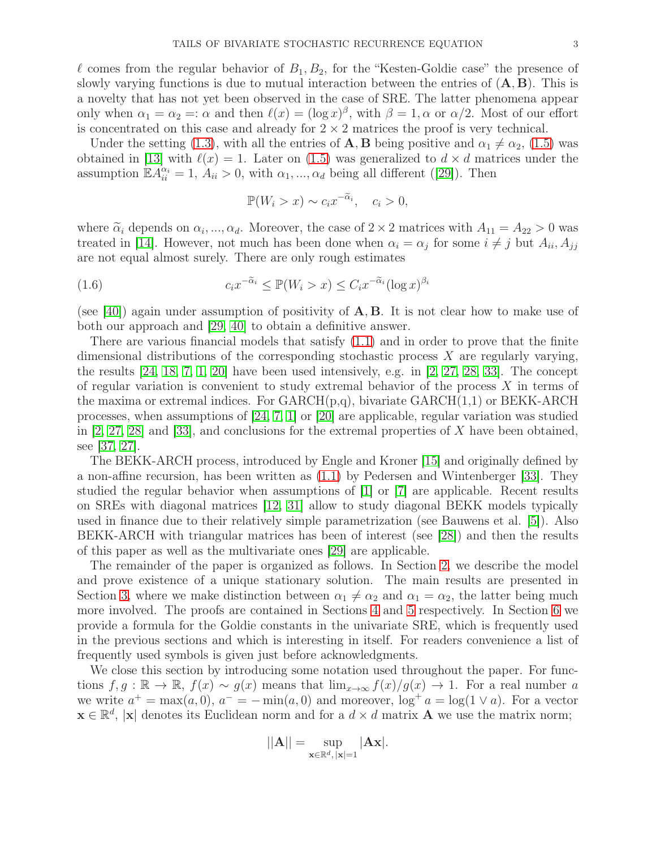l comes from the regular behavior of  $B_1, B_2$ , for the "Kesten-Goldie case" the presence of slowly varying functions is due to mutual interaction between the entries of  $(A, B)$ . This is a novelty that has not yet been observed in the case of SRE. The latter phenomena appear only when  $\alpha_1 = \alpha_2 =: \alpha$  and then  $\ell(x) = (\log x)^{\beta}$ , with  $\beta = 1, \alpha$  or  $\alpha/2$ . Most of our effort is concentrated on this case and already for  $2 \times 2$  matrices the proof is very technical.

Under the setting [\(1.3\)](#page-1-1), with all the entries of A, B being positive and  $\alpha_1 \neq \alpha_2$ , [\(1.5\)](#page-1-2) was obtained in [\[13\]](#page-41-9) with  $\ell(x) = 1$ . Later on [\(1.5\)](#page-1-2) was generalized to  $d \times d$  matrices under the assumption  $\mathbb{E} \tilde{A}_{ii}^{\alpha_i} = 1, A_{ii} > 0$ , with  $\alpha_1, ..., \alpha_d$  being all different ([\[29\]](#page-42-8)). Then

$$
\mathbb{P}(W_i > x) \sim c_i x^{-\tilde{\alpha}_i}, \quad c_i > 0,
$$

where  $\tilde{\alpha}_i$  depends on  $\alpha_i, ..., \alpha_d$ . Moreover, the case of  $2 \times 2$  matrices with  $A_{11} = A_{22} > 0$  was treated in [\[14\]](#page-41-10). However, not much has been done when  $\alpha_i = \alpha_j$  for some  $i \neq j$  but  $A_{ii}, A_{jj}$ are not equal almost surely. There are only rough estimates

(1.6) 
$$
c_i x^{-\widetilde{\alpha}_i} \le \mathbb{P}(W_i > x) \le C_i x^{-\widetilde{\alpha}_i} (\log x)^{\beta_i}
$$

(see [\[40\]](#page-42-9)) again under assumption of positivity of  $A, B$ . It is not clear how to make use of both our approach and [\[29,](#page-42-8) [40\]](#page-42-9) to obtain a definitive answer.

There are various financial models that satisfy  $(1.1)$  and in order to prove that the finite dimensional distributions of the corresponding stochastic process  $X$  are regularly varying, the results [\[24,](#page-42-1) [18,](#page-41-11) [7,](#page-41-6) [1,](#page-41-4) [20\]](#page-41-5) have been used intensively, e.g. in [\[2,](#page-41-12) [27,](#page-42-2) [28,](#page-42-3) [33\]](#page-42-5). The concept of regular variation is convenient to study extremal behavior of the process  $X$  in terms of the maxima or extremal indices. For  $GARCH(p,q)$ , bivariate  $GARCH(1,1)$  or  $BEKK-ARCH$ processes, when assumptions of  $[24, 7, 1]$  $[24, 7, 1]$  $[24, 7, 1]$  or  $[20]$  are applicable, regular variation was studied in  $[2, 27, 28]$  $[2, 27, 28]$  $[2, 27, 28]$  and  $[33]$ , and conclusions for the extremal properties of X have been obtained, see [\[37,](#page-42-10) [27\]](#page-42-2).

The BEKK-ARCH process, introduced by Engle and Kroner [\[15\]](#page-41-13) and originally defined by a non-affine recursion, has been written as [\(1.1\)](#page-0-0) by Pedersen and Wintenberger [\[33\]](#page-42-5). They studied the regular behavior when assumptions of [\[1\]](#page-41-4) or [\[7\]](#page-41-6) are applicable. Recent results on SREs with diagonal matrices [\[12,](#page-41-8) [31\]](#page-42-4) allow to study diagonal BEKK models typically used in finance due to their relatively simple parametrization (see Bauwens et al. [\[5\]](#page-41-14)). Also BEKK-ARCH with triangular matrices has been of interest (see [\[28\]](#page-42-3)) and then the results of this paper as well as the multivariate ones [\[29\]](#page-42-8) are applicable.

The remainder of the paper is organized as follows. In Section [2,](#page-3-0) we describe the model and prove existence of a unique stationary solution. The main results are presented in Section [3,](#page-5-0) where we make distinction between  $\alpha_1 \neq \alpha_2$  and  $\alpha_1 = \alpha_2$ , the latter being much more involved. The proofs are contained in Sections [4](#page-9-1) and [5](#page-15-0) respectively. In Section [6](#page-36-0) we provide a formula for the Goldie constants in the univariate SRE, which is frequently used in the previous sections and which is interesting in itself. For readers convenience a list of frequently used symbols is given just before acknowledgments.

We close this section by introducing some notation used throughout the paper. For functions  $f, g : \mathbb{R} \to \mathbb{R}$ ,  $f(x) \sim g(x)$  means that  $\lim_{x\to\infty} f(x)/g(x) \to 1$ . For a real number a we write  $a^+ = \max(a, 0)$ ,  $a^- = -\min(a, 0)$  and moreover,  $\log^+ a = \log(1 \vee a)$ . For a vector  $\mathbf{x} \in \mathbb{R}^d$ , |**x**| denotes its Euclidean norm and for a  $d \times d$  matrix **A** we use the matrix norm;

$$
||\mathbf{A}||=\sup_{\mathbf{x}\in\mathbb{R}^d,\,|\mathbf{x}|=1}|\mathbf{A}\mathbf{x}|.
$$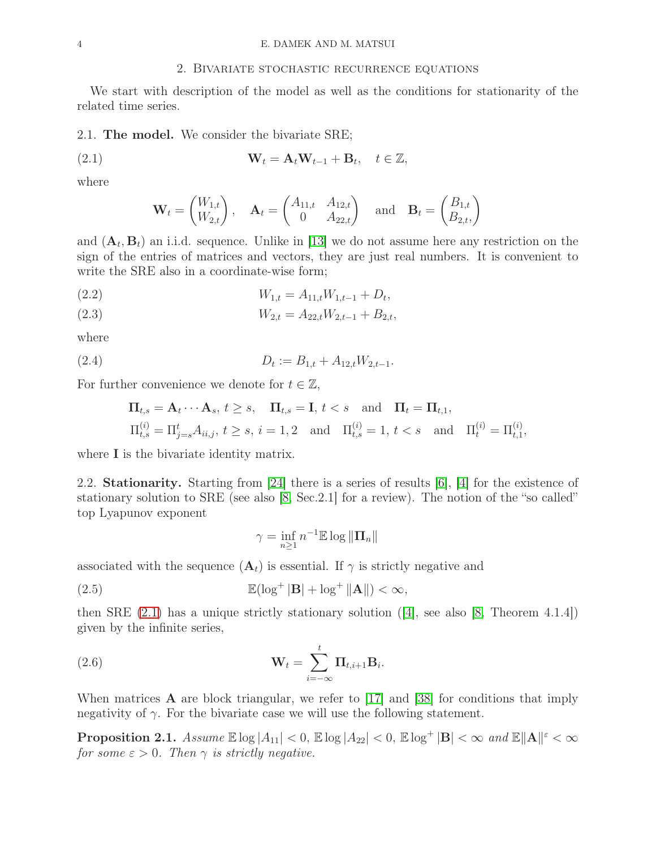# 2. Bivariate stochastic recurrence equations

<span id="page-3-0"></span>We start with description of the model as well as the conditions for stationarity of the related time series.

2.1. The model. We consider the bivariate SRE;

<span id="page-3-1"></span>(2.1) 
$$
\mathbf{W}_t = \mathbf{A}_t \mathbf{W}_{t-1} + \mathbf{B}_t, \quad t \in \mathbb{Z},
$$

where

$$
\mathbf{W}_t = \begin{pmatrix} W_{1,t} \\ W_{2,t} \end{pmatrix}, \quad \mathbf{A}_t = \begin{pmatrix} A_{11,t} & A_{12,t} \\ 0 & A_{22,t} \end{pmatrix} \quad \text{and} \quad \mathbf{B}_t = \begin{pmatrix} B_{1,t} \\ B_{2,t} \end{pmatrix}
$$

and  $(\mathbf{A}_t, \mathbf{B}_t)$  an i.i.d. sequence. Unlike in [\[13\]](#page-41-9) we do not assume here any restriction on the sign of the entries of matrices and vectors, they are just real numbers. It is convenient to write the SRE also in a coordinate-wise form;

<span id="page-3-3"></span>(2.2) 
$$
W_{1,t} = A_{11,t} W_{1,t-1} + D_t,
$$

<span id="page-3-5"></span>
$$
(2.3) \t W_{2,t} = A_{22,t} W_{2,t-1} + B_{2,t},
$$

where

$$
(2.4) \t\t D_t := B_{1,t} + A_{12,t} W_{2,t-1}.
$$

For further convenience we denote for  $t \in \mathbb{Z}$ ,

<span id="page-3-4"></span>
$$
\begin{aligned}\n\Pi_{t,s} &= \mathbf{A}_t \cdots \mathbf{A}_s, \ t \ge s, \quad \Pi_{t,s} = \mathbf{I}, \ t < s \quad \text{and} \quad \Pi_t = \Pi_{t,1}, \\
\Pi_{t,s}^{(i)} &= \Pi_{j=s}^t A_{ii,j}, \ t \ge s, \ i = 1,2 \quad \text{and} \quad \Pi_{t,s}^{(i)} = 1, \ t < s \quad \text{and} \quad \Pi_t^{(i)} = \Pi_{t,1}^{(i)},\n\end{aligned}
$$

where **I** is the bivariate identity matrix.

2.2. Stationarity. Starting from [\[24\]](#page-42-1) there is a series of results [\[6\]](#page-41-1), [\[4\]](#page-41-0) for the existence of stationary solution to SRE (see also [\[8,](#page-41-3) Sec.2.1] for a review). The notion of the "so called" top Lyapunov exponent

$$
\gamma=\inf_{n\geq 1}n^{-1}{\mathbb E}\log\|\Pi_n\|
$$

associated with the sequence  $(\mathbf{A}_t)$  is essential. If  $\gamma$  is strictly negative and

(2.5) 
$$
\mathbb{E}(\log^+|\mathbf{B}| + \log^+|\mathbf{A}|) < \infty,
$$

then SRE  $(2.1)$  has a unique strictly stationary solution  $(4]$ , see also  $[8,$  Theorem 4.1.4]) given by the infinite series,

(2.6) 
$$
\mathbf{W}_t = \sum_{i=-\infty}^t \mathbf{\Pi}_{t,i+1} \mathbf{B}_i.
$$

When matrices  $\bf{A}$  are block triangular, we refer to [\[17\]](#page-41-15) and [\[38\]](#page-42-11) for conditions that imply negativity of  $\gamma$ . For the bivariate case we will use the following statement.

<span id="page-3-2"></span>Proposition 2.1.  $Assume \ \mathbb{E} \log |A_{11}| < 0$ ,  $\mathbb{E} \log |A_{22}| < 0$ ,  $\mathbb{E} \log^+ |\mathbf{B}| < \infty$  and  $\mathbb{E} \|\mathbf{A}\|^{\varepsilon} < \infty$ for some  $\varepsilon > 0$ . Then  $\gamma$  is strictly negative.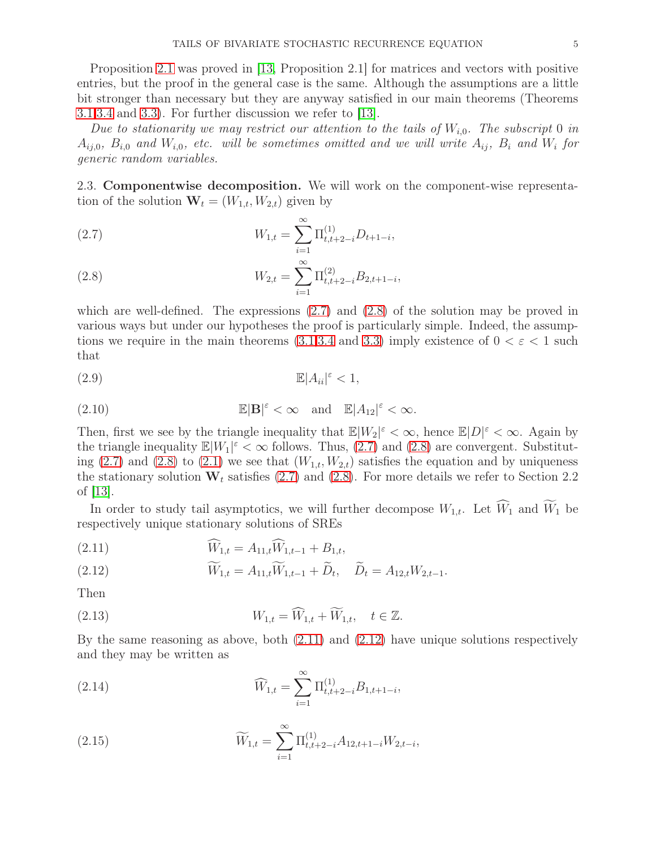Proposition [2.1](#page-3-2) was proved in [\[13,](#page-41-9) Proposition 2.1] for matrices and vectors with positive entries, but the proof in the general case is the same. Although the assumptions are a little bit stronger than necessary but they are anyway satisfied in our main theorems (Theorems [3.1](#page-6-0)[,3.4](#page-9-0) and [3.3\)](#page-8-0). For further discussion we refer to [\[13\]](#page-41-9).

Due to stationarity we may restrict our attention to the tails of  $W_{i,0}$ . The subscript 0 in  $A_{ij,0}, B_{i,0}$  and  $W_{i,0}$ , etc. will be sometimes omitted and we will write  $A_{ij}, B_i$  and  $W_i$  for generic random variables.

2.3. Componentwise decomposition. We will work on the component-wise representation of the solution  $\mathbf{W}_t = (W_{1,t}, W_{2,t})$  given by

<span id="page-4-0"></span>(2.7) 
$$
W_{1,t} = \sum_{i=1}^{\infty} \Pi_{t,t+2-i}^{(1)} D_{t+1-i},
$$

<span id="page-4-1"></span>(2.8) 
$$
W_{2,t} = \sum_{i=1}^{\infty} \Pi_{t,t+2-i}^{(2)} B_{2,t+1-i},
$$

which are well-defined. The expressions  $(2.7)$  and  $(2.8)$  of the solution may be proved in various ways but under our hypotheses the proof is particularly simple. Indeed, the assump-tions we require in the main theorems [\(3.1,](#page-6-0)[3.4](#page-9-0) and [3.3\)](#page-8-0) imply existence of  $0 < \varepsilon < 1$  such that

(2.9) <sup>E</sup>|Aii<sup>|</sup> <sup>ε</sup> < 1,

(2.10) 
$$
\mathbb{E}|\mathbf{B}|^{\varepsilon} < \infty \quad \text{and} \quad \mathbb{E}|A_{12}|^{\varepsilon} < \infty.
$$

Then, first we see by the triangle inequality that  $\mathbb{E}|W_2|^{\varepsilon} < \infty$ , hence  $\mathbb{E}|D|^{\varepsilon} < \infty$ . Again by the triangle inequality  $\mathbb{E}[W_1]^\varepsilon < \infty$  follows. Thus, [\(2.7\)](#page-4-0) and [\(2.8\)](#page-4-1) are convergent. Substitut-ing [\(2.7\)](#page-4-0) and [\(2.8\)](#page-4-1) to [\(2.1\)](#page-3-1) we see that  $(W_{1,t}, W_{2,t})$  satisfies the equation and by uniqueness the stationary solution  $W_t$  satisfies [\(2.7\)](#page-4-0) and [\(2.8\)](#page-4-1). For more details we refer to Section 2.2 of [\[13\]](#page-41-9).

In order to study tail asymptotics, we will further decompose  $W_{1,t}$ . Let  $\widehat{W}_1$  and  $\widetilde{W}_1$  be respectively unique stationary solutions of SREs

<span id="page-4-2"></span>(2.11) 
$$
\widehat{W}_{1,t} = A_{11,t} \widehat{W}_{1,t-1} + B_{1,t},
$$

<span id="page-4-3"></span>(2.12) 
$$
\widetilde{W}_{1,t} = A_{11,t} \widetilde{W}_{1,t-1} + \widetilde{D}_t, \quad \widetilde{D}_t = A_{12,t} W_{2,t-1}.
$$

Then

<span id="page-4-4"></span>(2.13) 
$$
W_{1,t} = \widehat{W}_{1,t} + \widetilde{W}_{1,t}, \quad t \in \mathbb{Z}.
$$

By the same reasoning as above, both [\(2.11\)](#page-4-2) and [\(2.12\)](#page-4-3) have unique solutions respectively and they may be written as

(2.14) 
$$
\widehat{W}_{1,t} = \sum_{i=1}^{\infty} \Pi_{t,t+2-i}^{(1)} B_{1,t+1-i},
$$

<span id="page-4-5"></span>(2.15) 
$$
\widetilde{W}_{1,t} = \sum_{i=1}^{\infty} \Pi_{t,t+2-i}^{(1)} A_{12,t+1-i} W_{2,t-i},
$$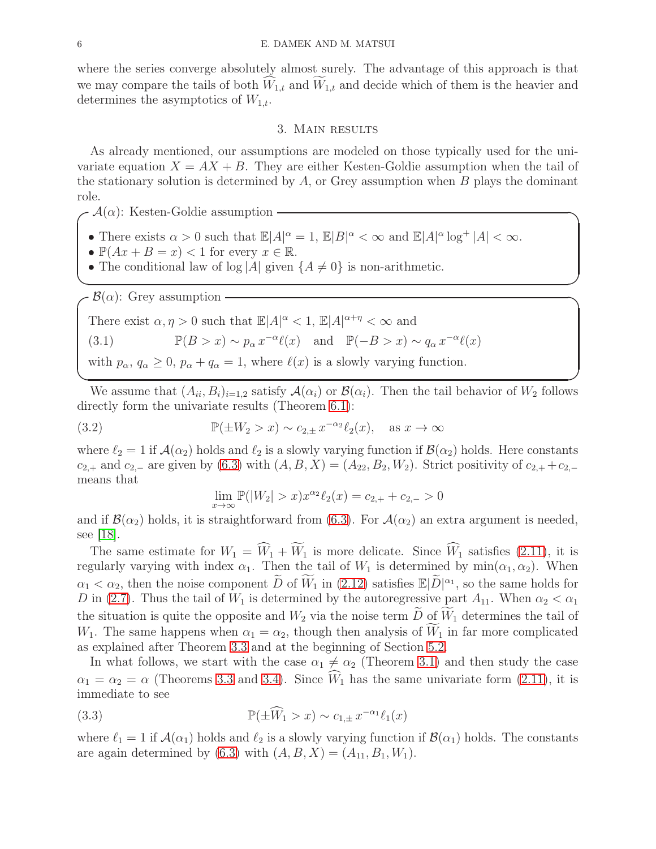where the series converge absolutely almost surely. The advantage of this approach is that we may compare the tails of both  $W_{1,t}$  and  $W_{1,t}$  and decide which of them is the heavier and determines the asymptotics of  $W_{1,t}$ .

# 3. Main results

<span id="page-5-0"></span>As already mentioned, our assumptions are modeled on those typically used for the univariate equation  $X = AX + B$ . They are either Kesten-Goldie assumption when the tail of the stationary solution is determined by  $A$ , or Grey assumption when  $B$  plays the dominant role.

✒ ✑

 $\mathcal{A}(\alpha)$ : Kesten-Goldie assumption -

- There exists  $\alpha > 0$  such that  $\mathbb{E}|A|_p^{\alpha} = 1$ ,  $\mathbb{E}|B|^{\alpha} < \infty$  and  $\mathbb{E}|A|^{\alpha} \log^+ |A| < \infty$ .
- $\mathbb{P}(Ax + B = x) < 1$  for every  $x \in \mathbb{R}$ .
- The conditional law of log |A| given  $\{A \neq 0\}$  is non-arithmetic.

 $-\mathcal{B}(\alpha)$ : Grey assumption  $-\beta$ 

<span id="page-5-1"></span>There exist  $\alpha, \eta > 0$  such that  $\mathbb{E}|A|^\alpha < 1$ ,  $\mathbb{E}|A|^{\alpha + \eta} < \infty$  and (3.1)  $\mathbb{P}(B > x) \sim p_{\alpha} x^{-\alpha} \ell(x) \text{ and } \mathbb{P}(-B > x) \sim q_{\alpha} x^{-\alpha} \ell(x)$ with  $p_{\alpha}, q_{\alpha} \geq 0$ ,  $p_{\alpha} + q_{\alpha} = 1$ , where  $\ell(x)$  is a slowly varying function.

We assume that  $(A_{ii}, B_i)_{i=1,2}$  satisfy  $\mathcal{A}(\alpha_i)$  or  $\mathcal{B}(\alpha_i)$ . Then the tail behavior of  $W_2$  follows directly form the univariate results (Theorem [6.1\)](#page-36-1):

✒ ✑

<span id="page-5-3"></span>(3.2) 
$$
\mathbb{P}(\pm W_2 > x) \sim c_{2,\pm} x^{-\alpha_2} \ell_2(x), \text{ as } x \to \infty
$$

where  $\ell_2 = 1$  if  $\mathcal{A}(\alpha_2)$  holds and  $\ell_2$  is a slowly varying function if  $\mathcal{B}(\alpha_2)$  holds. Here constants  $c_{2,+}$  and  $c_{2,-}$  are given by  $(6.3)$  with  $(A, B, X) = (A_{22}, B_2, W_2)$ . Strict positivity of  $c_{2,+} + c_{2,-}$ means that

$$
\lim_{x \to \infty} \mathbb{P}(|W_2| > x) x^{\alpha_2} \ell_2(x) = c_{2,+} + c_{2,-} > 0
$$

and if  $\mathcal{B}(\alpha_2)$  holds, it is straightforward from [\(6.3\)](#page-36-2). For  $\mathcal{A}(\alpha_2)$  an extra argument is needed, see [\[18\]](#page-41-11).

The same estimate for  $W_1 = \widehat{W}_1 + \widetilde{W}_1$  is more delicate. Since  $\widehat{W}_1$  satisfies [\(2.11\)](#page-4-2), it is regularly varying with index  $\alpha_1$ . Then the tail of  $W_1$  is determined by  $\min(\alpha_1, \alpha_2)$ . When  $\alpha_1 < \alpha_2$ , then the noise component  $\widetilde{D}$  of  $\widetilde{W}_1$  in [\(2.12\)](#page-4-3) satisfies  $\mathbb{E}|\widetilde{D}|^{\alpha_1}$ , so the same holds for D in [\(2.7\)](#page-4-0). Thus the tail of  $W_1$  is determined by the autoregressive part  $A_{11}$ . When  $\alpha_2 < \alpha_1$ the situation is quite the opposite and  $W_2$  via the noise term  $\widetilde{D}$  of  $\widetilde{W}_1$  determines the tail of  $W_1$ . The same happens when  $\alpha_1 = \alpha_2$ , though then analysis of  $\widetilde{W}_1$  in far more complicated as explained after Theorem [3.3](#page-8-0) and at the beginning of Section [5.2.](#page-19-0)

In what follows, we start with the case  $\alpha_1 \neq \alpha_2$  (Theorem [3.1\)](#page-6-0) and then study the case  $\alpha_1 = \alpha_2 = \alpha$  (Theorems [3.3](#page-8-0) and [3.4\)](#page-9-0). Since  $\widehat{W}_1$  has the same univariate form [\(2.11\)](#page-4-2), it is immediate to see

<span id="page-5-2"></span>(3.3) 
$$
\mathbb{P}(\pm \widehat{W}_1 > x) \sim c_{1,\pm} x^{-\alpha_1} \ell_1(x)
$$

where  $\ell_1 = 1$  if  $\mathcal{A}(\alpha_1)$  holds and  $\ell_2$  is a slowly varying function if  $\mathcal{B}(\alpha_1)$  holds. The constants are again determined by [\(6.3\)](#page-36-2) with  $(A, B, X) = (A_{11}, B_1, W_1)$ .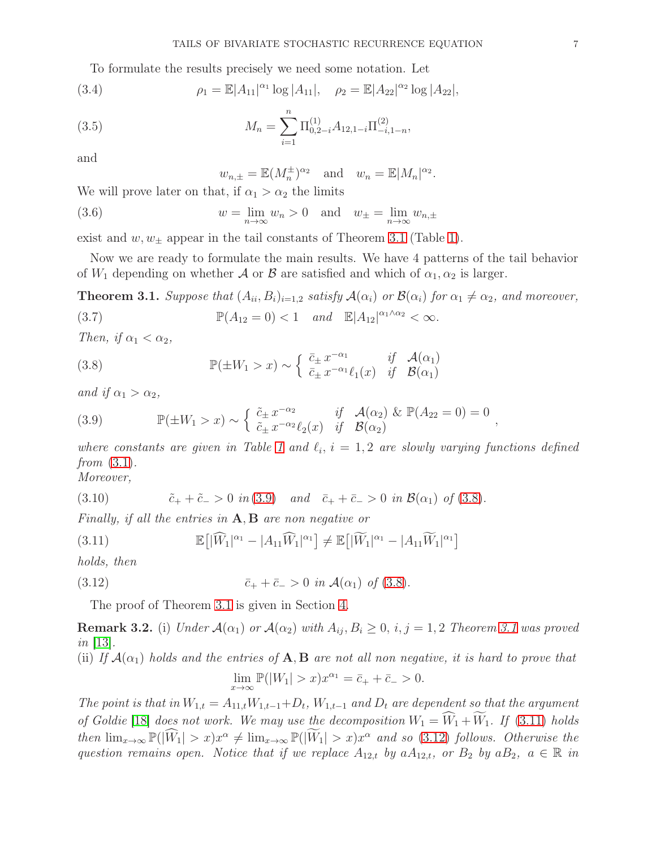To formulate the results precisely we need some notation. Let

(3.4) 
$$
\rho_1 = \mathbb{E}|A_{11}|^{\alpha_1} \log |A_{11}|, \quad \rho_2 = \mathbb{E}|A_{22}|^{\alpha_2} \log |A_{22}|,
$$

(3.5) 
$$
M_n = \sum_{i=1}^n \Pi_{0,2-i}^{(1)} A_{12,1-i} \Pi_{-i,1-n}^{(2)},
$$

and

<span id="page-6-8"></span><span id="page-6-6"></span><span id="page-6-5"></span>
$$
w_{n,\pm} = \mathbb{E}(M_n^{\pm})^{\alpha_2}
$$
 and  $w_n = \mathbb{E}|M_n|^{\alpha_2}$ .

We will prove later on that, if  $\alpha_1 > \alpha_2$  the limits

(3.6) 
$$
w = \lim_{n \to \infty} w_n > 0 \text{ and } w_{\pm} = \lim_{n \to \infty} w_{n,\pm}
$$

exist and  $w, w_{\pm}$  appear in the tail constants of Theorem [3.1](#page-6-0) (Table [1\)](#page-7-0).

Now we are ready to formulate the main results. We have 4 patterns of the tail behavior of  $W_1$  depending on whether A or B are satisfied and which of  $\alpha_1, \alpha_2$  is larger.

<span id="page-6-0"></span>**Theorem 3.1.** Suppose that  $(A_{ii}, B_i)_{i=1,2}$  satisfy  $\mathcal{A}(\alpha_i)$  or  $\mathcal{B}(\alpha_i)$  for  $\alpha_1 \neq \alpha_2$ , and moreover,

<span id="page-6-7"></span>(3.7) 
$$
\mathbb{P}(A_{12}=0) < 1 \quad and \quad \mathbb{E}|A_{12}|^{\alpha_1 \wedge \alpha_2} < \infty.
$$

Then, if  $\alpha_1 < \alpha_2$ ,

<span id="page-6-2"></span>(3.8) 
$$
\mathbb{P}(\pm W_1 > x) \sim \begin{cases} \bar{c}_{\pm} x^{-\alpha_1} & \text{if } \mathcal{A}(\alpha_1) \\ \bar{c}_{\pm} x^{-\alpha_1} \ell_1(x) & \text{if } \mathcal{B}(\alpha_1) \end{cases}
$$

and if  $\alpha_1 > \alpha_2$ ,

<span id="page-6-1"></span>(3.9) 
$$
\mathbb{P}(\pm W_1 > x) \sim \begin{cases} \tilde{c}_{\pm} x^{-\alpha_2} & \text{if } \mathcal{A}(\alpha_2) \& \mathbb{P}(A_{22} = 0) = 0 \\ \tilde{c}_{\pm} x^{-\alpha_2} \ell_2(x) & \text{if } \mathcal{B}(\alpha_2) \end{cases},
$$

where constants are given in Table [1](#page-7-0) and  $\ell_i$ ,  $i = 1, 2$  are slowly varying functions defined from  $(3.1)$ .

Moreover,

(3.10) 
$$
\tilde{c}_{+} + \tilde{c}_{-} > 0 \text{ in (3.9)} \text{ and } \tilde{c}_{+} + \tilde{c}_{-} > 0 \text{ in } \mathcal{B}(\alpha_{1}) \text{ of (3.8)}.
$$

Finally, if all the entries in  $A, B$  are non negative or

<span id="page-6-3"></span>(3.11) 
$$
\mathbb{E}\big[|\widehat{W}_1|^{\alpha_1} - |A_{11}\widehat{W}_1|^{\alpha_1}\big] \neq \mathbb{E}\big[|\widetilde{W}_1|^{\alpha_1} - |A_{11}\widetilde{W}_1|^{\alpha_1}\big]
$$

holds, then

(3.12) 
$$
\bar{c}_{+} + \bar{c}_{-} > 0 \text{ in } \mathcal{A}(\alpha_{1}) \text{ of } (3.8).
$$

<span id="page-6-4"></span>The proof of Theorem [3.1](#page-6-0) is given in Section [4.](#page-9-1)

**Remark 3.2.** (i) Under  $\mathcal{A}(\alpha_1)$  or  $\mathcal{A}(\alpha_2)$  with  $A_{ij}, B_i \geq 0$ , i, j = 1, 2 Theorem [3.1](#page-6-0) was proved  $in$  [\[13\]](#page-41-9).

(ii) If  $\mathcal{A}(\alpha_1)$  holds and the entries of  $\mathbf{A}, \mathbf{B}$  are not all non negative, it is hard to prove that  $\lim_{x \to \infty} \mathbb{P}(|W_1| > x) x^{\alpha_1} = \bar{c}_+ + \bar{c}_- > 0.$ 

The point is that in  $W_{1,t} = A_{11,t}W_{1,t-1} + D_t$ ,  $W_{1,t-1}$  and  $D_t$  are dependent so that the argument of Goldie [\[18\]](#page-41-11) does not work. We may use the decomposition  $W_1 = \widehat{W}_1 + \widetilde{W}_1$ . If [\(3.11\)](#page-6-3) holds then  $\lim_{x\to\infty} \mathbb{P}(|\widehat{W}_1| > x)x^{\alpha} \neq \lim_{x\to\infty} \mathbb{P}(|\widehat{W}_1| > x)x^{\alpha}$  and so [\(3.12\)](#page-6-4) follows. Otherwise the question remains open. Notice that if we replace  $A_{12,t}$  by  $aA_{12,t}$ , or  $B_2$  by  $aB_2$ ,  $a \in \mathbb{R}$  in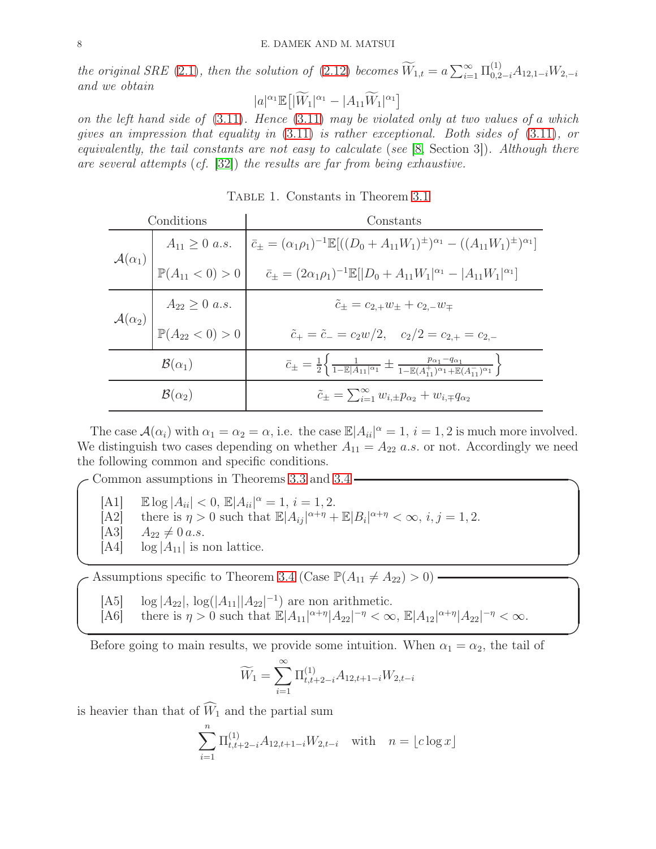the original SRE [\(2.1\)](#page-3-1), then the solution of [\(2.12\)](#page-4-3) becomes  $\widetilde{W}_{1,t} = a \sum_{i=1}^{\infty} \prod_{0,2-i}^{(1)} A_{12,1-i} W_{2,-i}$ and we obtain

$$
|a|^{\alpha_1}\mathbb{E}\big[\big|\widetilde{W}_1|^{\alpha_1}-|A_{11}\widetilde{W}_1|^{\alpha_1}\big]
$$

on the left hand side of  $(3.11)$ . Hence  $(3.11)$  may be violated only at two values of a which gives an impression that equality in [\(3.11\)](#page-6-3) is rather exceptional. Both sides of [\(3.11\)](#page-6-3), or equivalently, the tail constants are not easy to calculate (see [\[8,](#page-41-3) Section 3]). Although there are several attempts (cf. [\[32\]](#page-42-12)) the results are far from being exhaustive.

<span id="page-7-0"></span>Table 1. Constants in Theorem [3.1](#page-6-0)

| Conditions                                                                         | Constants                                                                                                                                                                                                                                                                                                           |
|------------------------------------------------------------------------------------|---------------------------------------------------------------------------------------------------------------------------------------------------------------------------------------------------------------------------------------------------------------------------------------------------------------------|
|                                                                                    | $\mathcal{A}(\alpha_1)$ $A_{11} \ge 0$ a.s. $\bar{c}_{\pm} = (\alpha_1 \rho_1)^{-1} \mathbb{E}[( (D_0 + A_{11}W_1)^{\pm})^{\alpha_1} - ((A_{11}W_1)^{\pm})^{\alpha_1}]$<br>$\mathbb{P}(A_{11} < 0) > 0$ $\bar{c}_{\pm} = (2\alpha_1 \rho_1)^{-1} \mathbb{E}[ D_0 + A_{11}W_1 ^{\alpha_1} -  A_{11}W_1 ^{\alpha_1}]$ |
|                                                                                    |                                                                                                                                                                                                                                                                                                                     |
| $\mathcal{A}(\alpha_2)$ $A_{22} \ge 0$ <i>a.s.</i><br>$\mathbb{P}(A_{22} < 0) > 0$ | $\tilde{c}_{\pm} = c_{2,+}w_{\pm} + c_{2,-}w_{\mp}$                                                                                                                                                                                                                                                                 |
|                                                                                    | $\tilde{c}_+ = \tilde{c}_- = c_2 w/2, \quad c_2/2 = c_{2,+} = c_{2,-}$                                                                                                                                                                                                                                              |
| $\mathcal{B}(\alpha_1)$                                                            | $\bar{c}_{\pm} = \frac{1}{2} \left\{ \frac{1}{1 - \mathbb{E} A_{11} ^{\alpha_1}} \pm \frac{p_{\alpha_1} - q_{\alpha_1}}{1 - \mathbb{E}(A_{11}^+)^{\alpha_1} + \mathbb{E}(A_{11}^-)^{\alpha_1}} \right\}$                                                                                                            |
| $\mathcal{B}(\alpha_2)$                                                            | $\tilde{c}_{\pm} = \sum_{i=1}^{\infty} w_{i,\pm} p_{\alpha_2} + w_{i,\mp} q_{\alpha_2}$                                                                                                                                                                                                                             |

The case  $\mathcal{A}(\alpha_i)$  with  $\alpha_1 = \alpha_2 = \alpha$ , i.e. the case  $\mathbb{E}|A_{ii}|^{\alpha} = 1$ ,  $i = 1, 2$  is much more involved. We distinguish two cases depending on whether  $A_{11} = A_{22}$  a.s. or not. Accordingly we need the following common and specific conditions.

Common assumptions in Theorems [3.3](#page-8-0) and [3.4](#page-9-0)  $-$ 

- $[A1]$   $\mathbb{E} \log |A_{ii}| < 0, \, \mathbb{E} |A_{ii}|^{\alpha} = 1, \, i = 1, 2.$
- [A2] there is  $\eta > 0$  such that  $\mathbb{E}|A_{ij}|^{\alpha+\eta} + \mathbb{E}|B_i|^{\alpha+\eta} < \infty$ ,  $i, j = 1, 2$ .
- 
- [A3]  $A_{22} \neq 0 \text{ a.s.}$ <br>[A4]  $\log |A_{11}|$  is n  $log |A_{11}|$  is non lattice.

Assumptions specific to Theorem [3.4](#page-9-0) (Case  $\mathbb{P}(A_{11} \neq A_{22}) > 0$ ) -

- [A5]  $\log |A_{22}|$ ,  $\log(|A_{11}| |A_{22}|^{-1})$  are non arithmetic.
- [A6] there is  $\eta > 0$  such that  $\mathbb{E}|A_{11}|^{\alpha+\eta}|A_{22}|^{-\eta} < \infty$ ,  $\mathbb{E}|A_{12}|^{\alpha+\eta}|A_{22}|^{-\eta} < \infty$ .

✒ ✑

 $\Box$ 

Before going to main results, we provide some intuition. When  $\alpha_1 = \alpha_2$ , the tail of

$$
\widetilde{W}_1 = \sum_{i=1}^{\infty} \Pi_{t,t+2-i}^{(1)} A_{12,t+1-i} W_{2,t-i}
$$

is heavier than that of  $\widehat{W}_1$  and the partial sum

$$
\sum_{i=1}^{n} \Pi_{t,t+2-i}^{(1)} A_{12,t+1-i} W_{2,t-i} \text{ with } n = \lfloor c \log x \rfloor
$$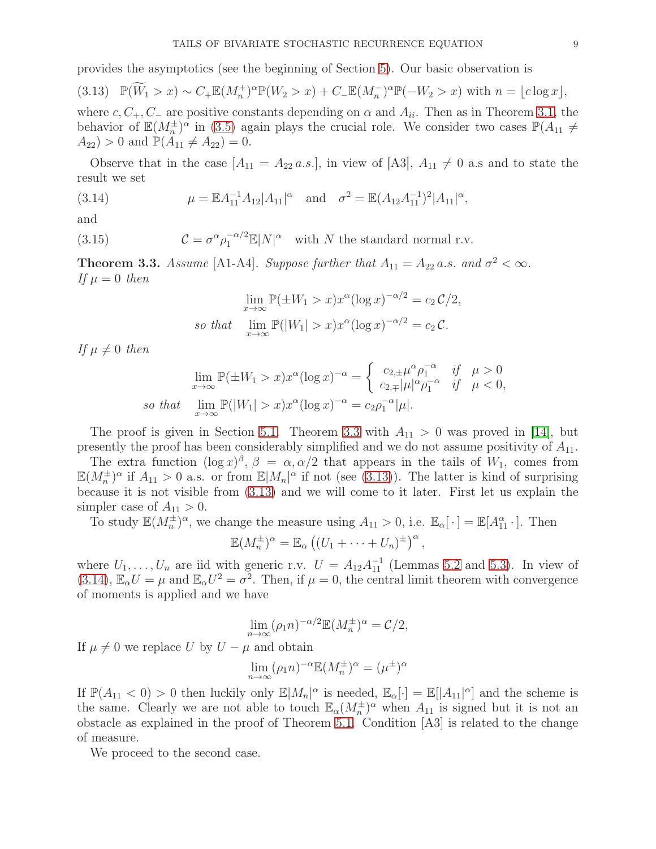provides the asymptotics (see the beginning of Section [5\)](#page-15-0). Our basic observation is

<span id="page-8-1"></span>
$$
(3.13) \quad \mathbb{P}(\widetilde{W}_1 > x) \sim C_+ \mathbb{E}(M_n^+)^{\alpha} \mathbb{P}(W_2 > x) + C_- \mathbb{E}(M_n^-)^{\alpha} \mathbb{P}(-W_2 > x) \text{ with } n = \lfloor c \log x \rfloor,
$$

where c,  $C_+$ ,  $C_-$  are positive constants depending on  $\alpha$  and  $A_{ii}$ . Then as in Theorem [3.1,](#page-6-0) the behavior of  $\mathbb{E}(M_n^{\pm})^{\alpha}$  in [\(3.5\)](#page-6-5) again plays the crucial role. We consider two cases  $\mathbb{P}(A_{11} \neq$  $(A_{22}) > 0$  and  $\mathbb{P}(A_{11} \neq A_{22}) = 0$ .

Observe that in the case  $[A_{11} = A_{22} a.s.]$ , in view of  $[A3], A_{11} \neq 0$  a.s and to state the result we set

<span id="page-8-2"></span>(3.14) 
$$
\mu = \mathbb{E} A_{11}^{-1} A_{12} |A_{11}|^{\alpha} \text{ and } \sigma^2 = \mathbb{E} (A_{12} A_{11}^{-1})^2 |A_{11}|^{\alpha},
$$

and

<span id="page-8-3"></span>(3.15) 
$$
\mathcal{C} = \sigma^{\alpha} \rho_1^{-\alpha/2} \mathbb{E}|N|^{\alpha} \text{ with } N \text{ the standard normal r.v.}
$$

<span id="page-8-0"></span>**Theorem 3.3.** Assume [A1-A4]. Suppose further that  $A_{11} = A_{22} a.s.$  and  $\sigma^2 < \infty$ . If  $\mu = 0$  then

$$
\lim_{x \to \infty} \mathbb{P}(\pm W_1 > x) x^{\alpha} (\log x)^{-\alpha/2} = c_2 C/2,
$$
  
so that 
$$
\lim_{x \to \infty} \mathbb{P}(|W_1| > x) x^{\alpha} (\log x)^{-\alpha/2} = c_2 C.
$$

If  $\mu \neq 0$  then

$$
\lim_{x \to \infty} \mathbb{P}(\pm W_1 > x) x^{\alpha} (\log x)^{-\alpha} = \begin{cases} c_{2, \pm} \mu^{\alpha} \rho_1^{-\alpha} & \text{if } \mu > 0 \\ c_{2, \mp} |\mu|^{\alpha} \rho_1^{-\alpha} & \text{if } \mu < 0, \end{cases}
$$
  
so that 
$$
\lim_{x \to \infty} \mathbb{P}(|W_1| > x) x^{\alpha} (\log x)^{-\alpha} = c_2 \rho_1^{-\alpha} |\mu|.
$$

The proof is given in Section [5.1.](#page-16-0) Theorem [3.3](#page-8-0) with  $A_{11} > 0$  was proved in [\[14\]](#page-41-10), but presently the proof has been considerably simplified and we do not assume positivity of  $A_{11}$ .

The extra function  $(\log x)^{\beta}$ ,  $\beta = \alpha, \alpha/2$  that appears in the tails of  $W_1$ , comes from  $\mathbb{E}(M_n^{\pm})^{\alpha}$  if  $A_{11} > 0$  a.s. or from  $\mathbb{E}|M_n|^{\alpha}$  if not (see [\(3.13\)](#page-8-1)). The latter is kind of surprising because it is not visible from [\(3.13\)](#page-8-1) and we will come to it later. First let us explain the simpler case of  $A_{11} > 0$ .

To study  $\mathbb{E}(M_n^{\pm})^{\alpha}$ , we change the measure using  $A_{11} > 0$ , i.e.  $\mathbb{E}_{\alpha}[\cdot] = \mathbb{E}[A_{11}^{\alpha} \cdot]$ . Then

$$
\mathbb{E}(M_n^{\pm})^{\alpha} = \mathbb{E}_{\alpha} ((U_1 + \cdots + U_n)^{\pm})^{\alpha},
$$

where  $U_1, \ldots, U_n$  are iid with generic r.v.  $U = A_{12} A_{11}^{-1}$  (Lemmas [5.2](#page-16-1) and [5.3\)](#page-17-0). In view of [\(3.14\)](#page-8-2),  $\mathbb{E}_{\alpha}U = \mu$  and  $\mathbb{E}_{\alpha}U^2 = \sigma^2$ . Then, if  $\mu = 0$ , the central limit theorem with convergence of moments is applied and we have

$$
\lim_{n \to \infty} (\rho_1 n)^{-\alpha/2} \mathbb{E}(M_n^{\pm})^{\alpha} = C/2,
$$

If  $\mu \neq 0$  we replace U by  $U - \mu$  and obtain

$$
\lim_{n \to \infty} (\rho_1 n)^{-\alpha} \mathbb{E}(M_n^{\pm})^{\alpha} = (\mu^{\pm})^{\alpha}
$$

If  $\mathbb{P}(A_{11} < 0) > 0$  then luckily only  $\mathbb{E}|M_n|^{\alpha}$  is needed,  $\mathbb{E}_{\alpha}[\cdot] = \mathbb{E}[|A_{11}|^{\alpha}]$  and the scheme is the same. Clearly we are not able to touch  $\mathbb{E}_{\alpha}(M_n^{\pm})^{\alpha}$  when  $A_{11}$  is signed but it is not an obstacle as explained in the proof of Theorem [5.1.](#page-16-2) Condition [A3] is related to the change of measure.

We proceed to the second case.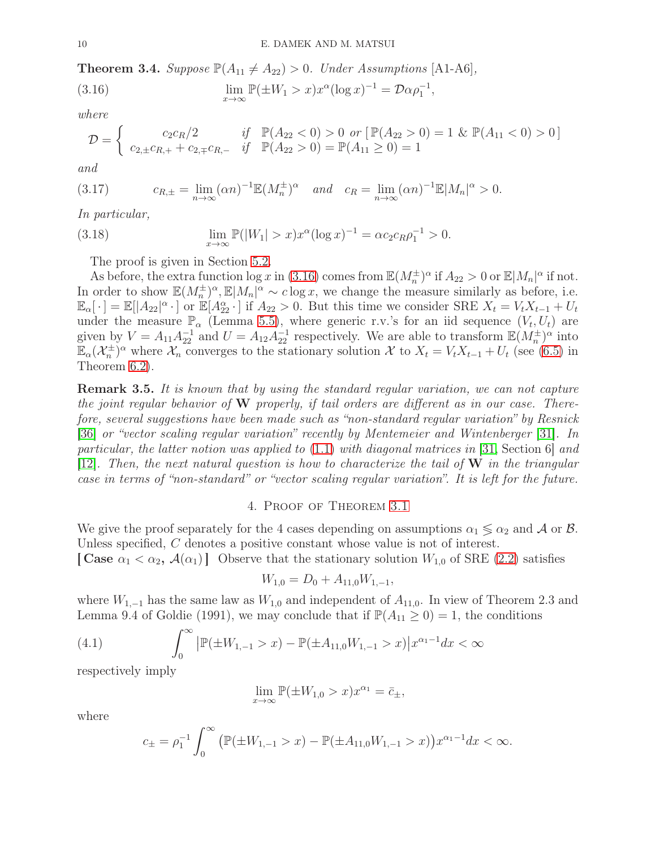<span id="page-9-0"></span>**Theorem 3.4.** Suppose  $\mathbb{P}(A_{11} \neq A_{22}) > 0$ . Under Assumptions [A1-A6],

<span id="page-9-2"></span>(3.16) 
$$
\lim_{x \to \infty} \mathbb{P}(\pm W_1 > x) x^{\alpha} (\log x)^{-1} = \mathcal{D} \alpha \rho_1^{-1},
$$

where

$$
\mathcal{D} = \begin{cases} c_2 c_R/2 & \text{if } \mathbb{P}(A_{22} < 0) > 0 \text{ or } [\mathbb{P}(A_{22} > 0) = 1 \& \mathbb{P}(A_{11} < 0) > 0] \\ c_{2, \pm} c_{R, +} + c_{2, \mp} c_{R, -} & \text{if } \mathbb{P}(A_{22} > 0) = \mathbb{P}(A_{11} \ge 0) = 1 \end{cases}
$$

and

(3.17) 
$$
c_{R,\pm} = \lim_{n \to \infty} (\alpha n)^{-1} \mathbb{E}(M_n^{\pm})^{\alpha} \quad and \quad c_R = \lim_{n \to \infty} (\alpha n)^{-1} \mathbb{E}|M_n|^{\alpha} > 0.
$$

In particular,

(3.18) 
$$
\lim_{x \to \infty} \mathbb{P}(|W_1| > x) x^{\alpha} (\log x)^{-1} = \alpha c_2 c_R \rho_1^{-1} > 0.
$$

<span id="page-9-4"></span>The proof is given in Section [5.2.](#page-19-0)

As before, the extra function  $\log x$  in [\(3.16\)](#page-9-2) comes from  $\mathbb{E}(M_n^{\pm})^{\alpha}$  if  $A_{22} > 0$  or  $\mathbb{E}|M_n|^{\alpha}$  if not. In order to show  $\mathbb{E}(M_n^{\pm})^{\alpha}$ ,  $\mathbb{E}|M_n|^{\alpha} \sim c \log x$ , we change the measure similarly as before, i.e.  $\mathbb{E}_{\alpha}[\cdot] = \mathbb{E}[|A_{22}|^{\alpha} \cdot]$  or  $\mathbb{E}[A_{22}^{\alpha} \cdot]$  if  $A_{22} > 0$ . But this time we consider SRE  $X_t = V_t X_{t-1} + U_t$ under the measure  $\mathbb{P}_{\alpha}$  (Lemma [5.5\)](#page-21-0), where generic r.v.'s for an iid sequence  $(V_t, U_t)$  are given by  $V = A_{11}A_{22}^{-1}$  and  $U = A_{12}A_{22}^{-1}$  respectively. We are able to transform  $\mathbb{E}(M_n^{\pm})^{\alpha}$  into  $\mathbb{E}_{\alpha}(\mathcal{X}_n^{\pm})^{\alpha}$  where  $\mathcal{X}_n$  converges to the stationary solution X to  $X_t = V_t X_{t-1} + U_t$  (see [\(6.5\)](#page-37-0) in Theorem [6.2\)](#page-37-1).

**Remark 3.5.** It is known that by using the standard regular variation, we can not capture the joint regular behavior of  $W$  properly, if tail orders are different as in our case. Therefore, several suggestions have been made such as "non-standard regular variation" by Resnick [\[36\]](#page-42-7) or "vector scaling regular variation" recently by Mentemeier and Wintenberger [\[31\]](#page-42-4). In particular, the latter notion was applied to  $(1.1)$  with diagonal matrices in [\[31,](#page-42-4) Section 6] and [\[12\]](#page-41-8). Then, the next natural question is how to characterize the tail of  $W$  in the triangular case in terms of "non-standard" or "vector scaling regular variation". It is left for the future.

### 4. Proof of Theorem [3.1](#page-6-0)

<span id="page-9-1"></span>We give the proof separately for the 4 cases depending on assumptions  $\alpha_1 \leq \alpha_2$  and A or B. Unless specified, C denotes a positive constant whose value is not of interest.

[Case  $\alpha_1 < \alpha_2$ ,  $\mathcal{A}(\alpha_1)$ ] Observe that the stationary solution  $W_{1,0}$  of SRE [\(2.2\)](#page-3-3) satisfies

$$
W_{1,0} = D_0 + A_{11,0} W_{1,-1},
$$

where  $W_{1,-1}$  has the same law as  $W_{1,0}$  and independent of  $A_{11,0}$ . In view of Theorem 2.3 and Lemma 9.4 of Goldie (1991), we may conclude that if  $\mathbb{P}(A_{11} \geq 0) = 1$ , the conditions

<span id="page-9-3"></span>(4.1) 
$$
\int_0^\infty |\mathbb{P}(\pm W_{1,-1} > x) - \mathbb{P}(\pm A_{11,0}W_{1,-1} > x)|x^{\alpha_1 - 1}dx < \infty
$$

respectively imply

$$
\lim_{x \to \infty} \mathbb{P}(\pm W_{1,0} > x) x^{\alpha_1} = \bar{c}_{\pm},
$$

where

$$
c_{\pm} = \rho_1^{-1} \int_0^{\infty} \left( \mathbb{P}(\pm W_{1,-1} > x) - \mathbb{P}(\pm A_{11,0} W_{1,-1} > x) \right) x^{\alpha_1 - 1} dx < \infty.
$$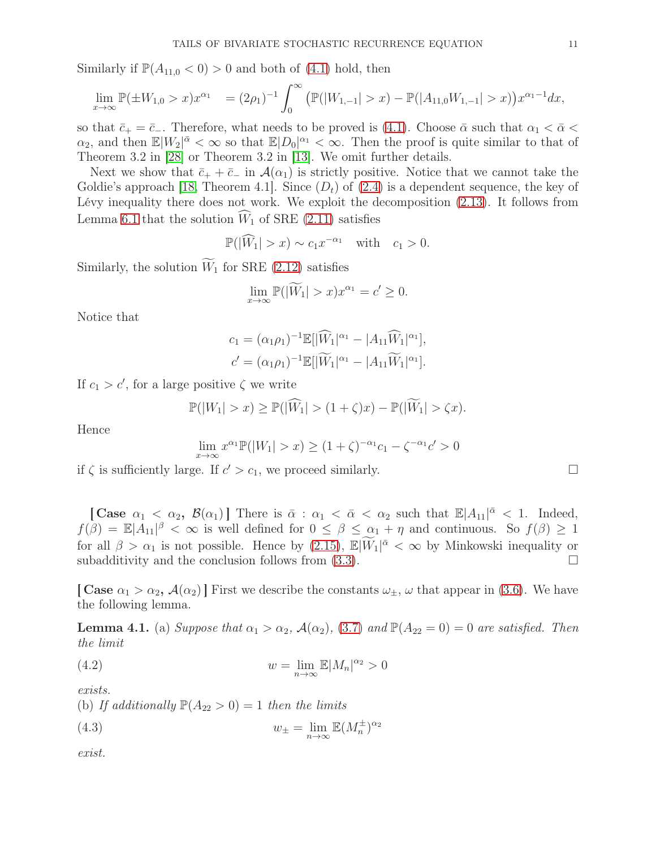Similarly if  $\mathbb{P}(A_{11,0} < 0) > 0$  and both of [\(4.1\)](#page-9-3) hold, then

$$
\lim_{x \to \infty} \mathbb{P}(\pm W_{1,0} > x) x^{\alpha_1} = (2\rho_1)^{-1} \int_0^\infty \left( \mathbb{P}(|W_{1,-1}| > x) - \mathbb{P}(|A_{11,0}W_{1,-1}| > x) \right) x^{\alpha_1 - 1} dx,
$$

so that  $\bar{c}_+ = \bar{c}_-$ . Therefore, what needs to be proved is [\(4.1\)](#page-9-3). Choose  $\bar{\alpha}$  such that  $\alpha_1 < \bar{\alpha} <$  $\alpha_2$ , and then  $\mathbb{E}[W_2]^{\bar{\alpha}} < \infty$  so that  $\mathbb{E}[D_0]^{\alpha_1} < \infty$ . Then the proof is quite similar to that of Theorem 3.2 in [\[28\]](#page-42-3) or Theorem 3.2 in [\[13\]](#page-41-9). We omit further details.

Next we show that  $\bar{c}_+ + \bar{c}_-$  in  $\mathcal{A}(\alpha_1)$  is strictly positive. Notice that we cannot take the Goldie's approach [\[18,](#page-41-11) Theorem 4.1]. Since  $(D_t)$  of  $(2.4)$  is a dependent sequence, the key of Lévy inequality there does not work. We exploit the decomposition [\(2.13\)](#page-4-4). It follows from Lemma [6.1](#page-36-1) that the solution  $\hat{W}_1$  of SRE [\(2.11\)](#page-4-2) satisfies

$$
\mathbb{P}(|\widehat{W}_1| > x) \sim c_1 x^{-\alpha_1} \quad \text{with} \quad c_1 > 0.
$$

Similarly, the solution  $\widetilde{W}_1$  for SRE [\(2.12\)](#page-4-3) satisfies

$$
\lim_{x \to \infty} \mathbb{P}(|\widetilde{W}_1| > x) x^{\alpha_1} = c' \ge 0.
$$

Notice that

$$
c_1 = (\alpha_1 \rho_1)^{-1} \mathbb{E}[|\widehat{W}_1|^{\alpha_1} - |A_{11}\widehat{W}_1|^{\alpha_1}],
$$
  

$$
c' = (\alpha_1 \rho_1)^{-1} \mathbb{E}[|\widetilde{W}_1|^{\alpha_1} - |A_{11}\widetilde{W}_1|^{\alpha_1}].
$$

If  $c_1 > c'$ , for a large positive  $\zeta$  we write

$$
\mathbb{P}(|W_1| > x) \ge \mathbb{P}(|\widehat{W}_1| > (1+\zeta)x) - \mathbb{P}(|\widetilde{W}_1| > \zeta x).
$$

Hence

$$
\lim_{x \to \infty} x^{\alpha_1} \mathbb{P}(|W_1| > x) \ge (1 + \zeta)^{-\alpha_1} c_1 - \zeta^{-\alpha_1} c' > 0
$$

if  $\zeta$  is sufficiently large. If  $c' > c_1$ , we proceed similarly.

[Case  $\alpha_1 < \alpha_2$ ,  $\mathcal{B}(\alpha_1)$ ] There is  $\bar{\alpha} : \alpha_1 < \bar{\alpha} < \alpha_2$  such that  $\mathbb{E}|A_{11}|^{\bar{\alpha}} < 1$ . Indeed,  $f(\beta) = \mathbb{E}|A_{11}|^{\beta} < \infty$  is well defined for  $0 \le \beta \le \alpha_1 + \eta$  and continuous. So  $f(\beta) \ge 1$ for all  $\beta > \alpha_1$  is not possible. Hence by  $(2.15)$ ,  $\mathbb{E}|\widetilde{W}_1|^{\bar{\alpha}} < \infty$  by Minkowski inequality or subadditivity and the conclusion follows from  $(3.3)$ .

[ Case  $\alpha_1 > \alpha_2$ ,  $\mathcal{A}(\alpha_2)$ ] First we describe the constants  $\omega_{\pm}$ ,  $\omega$  that appear in [\(3.6\)](#page-6-6). We have the following lemma.

<span id="page-10-0"></span>**Lemma 4.1.** (a) Suppose that  $\alpha_1 > \alpha_2$ ,  $\mathcal{A}(\alpha_2)$ , [\(3.7\)](#page-6-7) and  $\mathbb{P}(A_{22} = 0) = 0$  are satisfied. Then the limit

(4.2) 
$$
w = \lim_{n \to \infty} \mathbb{E}|M_n|^{\alpha_2} > 0
$$

exists.

(b) If additionally  $\mathbb{P}(A_{22} > 0) = 1$  then the limits

(4.3) 
$$
w_{\pm} = \lim_{n \to \infty} \mathbb{E}(M_n^{\pm})^{\alpha_2}
$$

exist.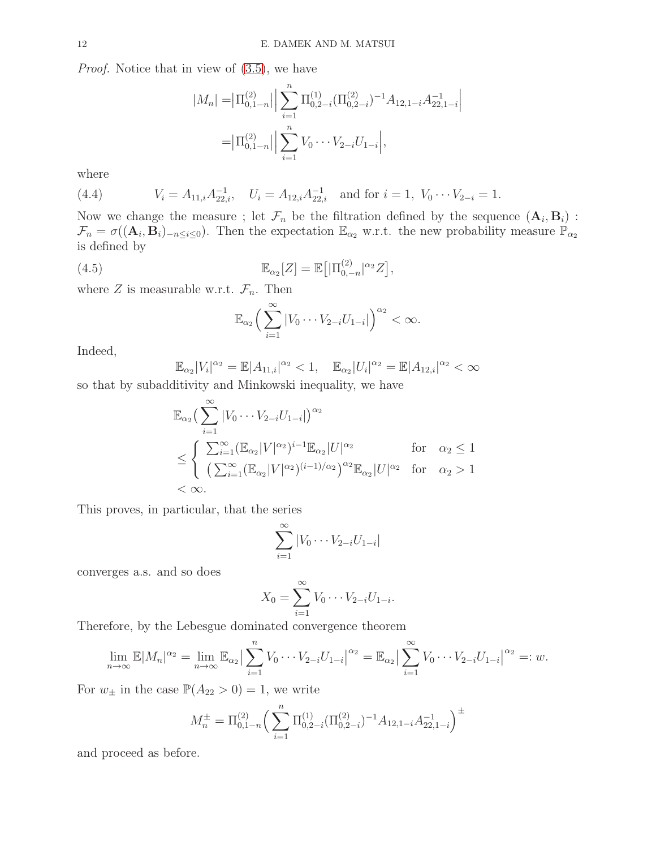Proof. Notice that in view of [\(3.5\)](#page-6-5), we have

$$
|M_n| = |\Pi_{0,1-n}^{(2)}| \left| \sum_{i=1}^n \Pi_{0,2-i}^{(1)} (\Pi_{0,2-i}^{(2)})^{-1} A_{12,1-i} A_{22,1-i}^{-1} \right|
$$
  
=  $|\Pi_{0,1-n}^{(2)}| \left| \sum_{i=1}^n V_0 \cdots V_{2-i} U_{1-i} \right|$ ,

where

(4.4) 
$$
V_i = A_{11,i} A_{22,i}^{-1}, \quad U_i = A_{12,i} A_{22,i}^{-1} \quad \text{and for } i = 1, \ V_0 \cdots V_{2-i} = 1.
$$

Now we change the measure ; let  $\mathcal{F}_n$  be the filtration defined by the sequence  $(\mathbf{A}_i, \mathbf{B}_i)$ :  $\mathcal{F}_n = \sigma((\mathbf{A}_i, \mathbf{B}_i)_{-n \leq i \leq 0})$ . Then the expectation  $\mathbb{E}_{\alpha_2}$  w.r.t. the new probability measure  $\mathbb{P}_{\alpha_2}$ is defined by

(4.5) 
$$
\mathbb{E}_{\alpha_2}[Z] = \mathbb{E}\big[|\Pi_{0,-n}^{(2)}|^{\alpha_2}Z\big],
$$

where Z is measurable w.r.t.  $\mathcal{F}_n$ . Then

<span id="page-11-0"></span>
$$
\mathbb{E}_{\alpha_2}\Big(\sum_{i=1}^{\infty}|V_0\cdots V_{2-i}U_{1-i}|\Big)^{\alpha_2}<\infty.
$$

Indeed,

$$
\mathbb{E}_{\alpha_2}|V_i|^{\alpha_2} = \mathbb{E}|A_{11,i}|^{\alpha_2} < 1, \quad \mathbb{E}_{\alpha_2}|U_i|^{\alpha_2} = \mathbb{E}|A_{12,i}|^{\alpha_2} < \infty
$$

so that by subadditivity and Minkowski inequality, we have

$$
\mathbb{E}_{\alpha_2} \left( \sum_{i=1}^{\infty} |V_0 \cdots V_{2-i} U_{1-i}| \right)^{\alpha_2}
$$
\n
$$
\leq \begin{cases} \sum_{i=1}^{\infty} (\mathbb{E}_{\alpha_2} |V|^{\alpha_2})^{i-1} \mathbb{E}_{\alpha_2} |U|^{\alpha_2} & \text{for} \quad \alpha_2 \leq 1\\ (\sum_{i=1}^{\infty} (\mathbb{E}_{\alpha_2} |V|^{\alpha_2})^{(i-1)/\alpha_2})^{\alpha_2} \mathbb{E}_{\alpha_2} |U|^{\alpha_2} & \text{for} \quad \alpha_2 > 1\\ < \infty. \end{cases}
$$

This proves, in particular, that the series

$$
\sum_{i=1}^{\infty} |V_0 \cdots V_{2-i} U_{1-i}|
$$

converges a.s. and so does

$$
X_0 = \sum_{i=1}^{\infty} V_0 \cdots V_{2-i} U_{1-i}.
$$

Therefore, by the Lebesgue dominated convergence theorem

$$
\lim_{n \to \infty} \mathbb{E}|M_n|^{\alpha_2} = \lim_{n \to \infty} \mathbb{E}_{\alpha_2} \left| \sum_{i=1}^n V_0 \cdots V_{2-i} U_{1-i} \right|^{\alpha_2} = \mathbb{E}_{\alpha_2} \left| \sum_{i=1}^\infty V_0 \cdots V_{2-i} U_{1-i} \right|^{\alpha_2} =: w.
$$

For  $w_{\pm}$  in the case  $\mathbb{P}(A_{22} > 0) = 1$ , we write

$$
M_n^{\pm} = \Pi_{0,1-n}^{(2)} \left( \sum_{i=1}^n \Pi_{0,2-i}^{(1)} (\Pi_{0,2-i}^{(2)})^{-1} A_{12,1-i} A_{22,1-i}^{-1} \right)^{\pm}
$$

and proceed as before.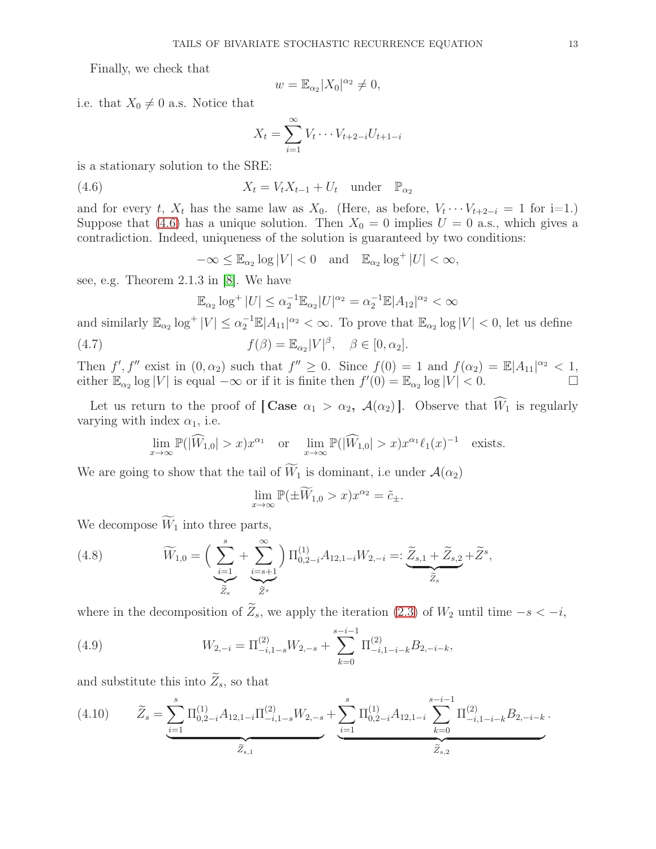Finally, we check that

$$
w = \mathbb{E}_{\alpha_2} |X_0|^{\alpha_2} \neq 0,
$$

i.e. that  $X_0 \neq 0$  a.s. Notice that

<span id="page-12-0"></span>
$$
X_t = \sum_{i=1}^{\infty} V_t \cdots V_{t+2-i} U_{t+1-i}
$$

is a stationary solution to the SRE:

(4.6) 
$$
X_t = V_t X_{t-1} + U_t \quad \text{under} \quad \mathbb{P}_{\alpha_2}
$$

and for every t,  $X_t$  has the same law as  $X_0$ . (Here, as before,  $V_t \cdots V_{t+2-i} = 1$  for i=1.) Suppose that [\(4.6\)](#page-12-0) has a unique solution. Then  $X_0 = 0$  implies  $U = 0$  a.s., which gives a contradiction. Indeed, uniqueness of the solution is guaranteed by two conditions:

 $-\infty \leq \mathbb{E}_{\alpha_2} \log |V| < 0$  and  $\mathbb{E}_{\alpha_2} \log^+ |U| < \infty$ ,

see, e.g. Theorem 2.1.3 in [\[8\]](#page-41-3). We have

$$
\mathbb{E}_{\alpha_2} \log^+ |U| \le \alpha_2^{-1} \mathbb{E}_{\alpha_2} |U|^{\alpha_2} = \alpha_2^{-1} \mathbb{E} |A_{12}|^{\alpha_2} < \infty
$$

and similarly  $\mathbb{E}_{\alpha_2} \log^+ |V| \leq \alpha_2^{-1} \mathbb{E}|A_{11}|^{\alpha_2} < \infty$ . To prove that  $\mathbb{E}_{\alpha_2} \log |V| < 0$ , let us define

(4.7) 
$$
f(\beta) = \mathbb{E}_{\alpha_2} |V|^{\beta}, \quad \beta \in [0, \alpha_2].
$$

Then  $f', f''$  exist in  $(0, \alpha_2)$  such that  $f'' \geq 0$ . Since  $f(0) = 1$  and  $f(\alpha_2) = \mathbb{E}|A_{11}|^{\alpha_2} < 1$ , either  $\mathbb{E}_{\alpha_2} \log |V|$  is equal  $-\infty$  or if it is finite then  $f'(0) = \mathbb{E}_{\alpha_2} \log |V| < 0$ .

Let us return to the proof of [Case  $\alpha_1 > \alpha_2$ ,  $\mathcal{A}(\alpha_2)$ ]. Observe that  $\widehat{W}_1$  is regularly varying with index  $\alpha_1$ , i.e.

$$
\lim_{x \to \infty} \mathbb{P}(|\widehat{W}_{1,0}| > x) x^{\alpha_1} \quad \text{or} \quad \lim_{x \to \infty} \mathbb{P}(|\widehat{W}_{1,0}| > x) x^{\alpha_1} \ell_1(x)^{-1} \quad \text{exists}.
$$

We are going to show that the tail of  $\widetilde{W}_1$  is dominant, i.e under  $\mathcal{A}(\alpha_2)$ 

$$
\lim_{x \to \infty} \mathbb{P}(\pm \widetilde{W}_{1,0} > x) x^{\alpha_2} = \tilde{c}_{\pm}.
$$

We decompose  $\widetilde{W}_1$  into three parts,

<span id="page-12-1"></span>(4.8) 
$$
\widetilde{W}_{1,0} = \left(\sum_{\substack{i=1 \ \widetilde{Z}_s}}^s + \sum_{\substack{i=s+1 \ \widetilde{Z}_s}}^{\infty}\right) \Pi_{0,2-i}^{(1)} A_{12,1-i} W_{2,-i} =: \underbrace{\widetilde{Z}_{s,1} + \widetilde{Z}_{s,2}}_{\widetilde{Z}_s} + \widetilde{Z}^s,
$$

where in the decomposition of  $\widetilde{Z}_s$ , we apply the iteration [\(2.3\)](#page-3-5) of  $W_2$  until time  $-s < -i$ ,

<span id="page-12-2"></span>(4.9) 
$$
W_{2,-i} = \Pi_{-i,1-s}^{(2)} W_{2,-s} + \sum_{k=0}^{s-i-1} \Pi_{-i,1-i-k}^{(2)} B_{2,-i-k},
$$

and substitute this into  $Z_s$ , so that

<span id="page-12-3"></span>
$$
(4.10) \qquad \widetilde{Z}_{s} = \underbrace{\sum_{i=1}^{s} \Pi_{0,2-i}^{(1)} A_{12,1-i} \Pi_{-i,1-s}^{(2)}}_{\widetilde{Z}_{s,1}} W_{2,-s} + \underbrace{\sum_{i=1}^{s} \Pi_{0,2-i}^{(1)} A_{12,1-i}}_{\widetilde{Z}_{s,2}} \underbrace{\sum_{k=0}^{s-i-1} \Pi_{-i,1-i-k}^{(2)} B_{2,-i-k}}_{\widetilde{Z}_{s,2}}.
$$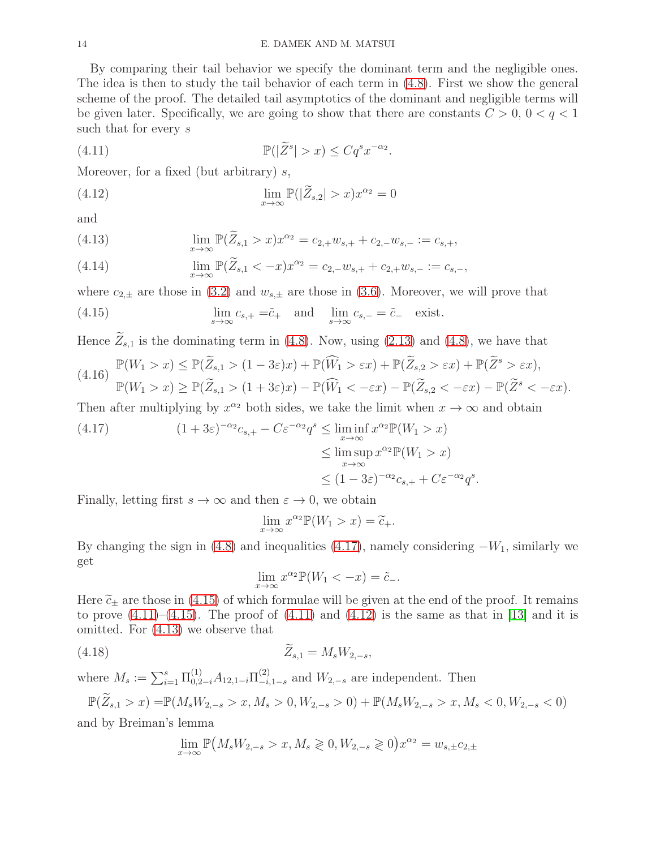By comparing their tail behavior we specify the dominant term and the negligible ones. The idea is then to study the tail behavior of each term in [\(4.8\)](#page-12-1). First we show the general scheme of the proof. The detailed tail asymptotics of the dominant and negligible terms will be given later. Specifically, we are going to show that there are constants  $C > 0$ ,  $0 < q < 1$ such that for every s

<span id="page-13-2"></span>(4.11) 
$$
\mathbb{P}(|\widetilde{Z}^s| > x) \leq Cq^s x^{-\alpha_2}.
$$

Moreover, for a fixed (but arbitrary)  $s$ ,

<span id="page-13-3"></span>(4.12) 
$$
\lim_{x \to \infty} \mathbb{P}(|\widetilde{Z}_{s,2}| > x) x^{\alpha_2} = 0
$$

and

<span id="page-13-4"></span>(4.13) 
$$
\lim_{x \to \infty} \mathbb{P}(\widetilde{Z}_{s,1} > x) x^{\alpha_2} = c_{2,+} w_{s,+} + c_{2,-} w_{s,-} := c_{s,+},
$$

(4.14) 
$$
\lim_{x \to \infty} \mathbb{P}(\widetilde{Z}_{s,1} < -x) x^{\alpha_2} = c_{2,-} w_{s,+} + c_{2,+} w_{s,-} := c_{s,-},
$$

where  $c_{2,\pm}$  are those in [\(3.2\)](#page-5-3) and  $w_{s,\pm}$  are those in [\(3.6\)](#page-6-6). Moreover, we will prove that

<span id="page-13-1"></span>(4.15) 
$$
\lim_{s \to \infty} c_{s,+} = \tilde{c}_{+} \text{ and } \lim_{s \to \infty} c_{s,-} = \tilde{c}_{-} \text{ exist.}
$$

Hence  $\widetilde{Z}_{s,1}$  is the dominating term in [\(4.8\)](#page-12-1). Now, using [\(2.13\)](#page-4-4) and [\(4.8\)](#page-12-1), we have that

$$
(4.16)\quad \mathbb{P}(W_1 > x) \le \mathbb{P}(\widetilde{Z}_{s,1} > (1 - 3\varepsilon)x) + \mathbb{P}(\widehat{W}_1 > \varepsilon x) + \mathbb{P}(\widetilde{Z}_{s,2} > \varepsilon x) + \mathbb{P}(\widetilde{Z}^s > \varepsilon x),
$$
\n
$$
\mathbb{P}(W_1 > x) \ge \mathbb{P}(\widetilde{Z}_{s,1} > (1 + 3\varepsilon)x) - \mathbb{P}(\widehat{W}_1 < -\varepsilon x) - \mathbb{P}(\widetilde{Z}_{s,2} < -\varepsilon x) - \mathbb{P}(\widetilde{Z}^s < -\varepsilon x).
$$

Then after multiplying by  $x^{\alpha_2}$  both sides, we take the limit when  $x \to \infty$  and obtain

<span id="page-13-0"></span>(4.17) 
$$
(1+3\varepsilon)^{-\alpha_2} c_{s,+} - C\varepsilon^{-\alpha_2} q^s \le \liminf_{x \to \infty} x^{\alpha_2} \mathbb{P}(W_1 > x)
$$

$$
\le \limsup_{x \to \infty} x^{\alpha_2} \mathbb{P}(W_1 > x)
$$

$$
\le (1-3\varepsilon)^{-\alpha_2} c_{s,+} + C\varepsilon^{-\alpha_2} q^s.
$$

Finally, letting first  $s \to \infty$  and then  $\varepsilon \to 0$ , we obtain

$$
\lim_{x \to \infty} x^{\alpha_2} \mathbb{P}(W_1 > x) = \widetilde{c}_+.
$$

By changing the sign in [\(4.8\)](#page-12-1) and inequalities [\(4.17\)](#page-13-0), namely considering  $-W_1$ , similarly we get

$$
\lim_{x \to \infty} x^{\alpha_2} \mathbb{P}(W_1 < -x) = \tilde{c}_-.
$$

Here  $\tilde{c}_{\pm}$  are those in [\(4.15\)](#page-13-1) of which formulae will be given at the end of the proof. It remains to prove  $(4.11)$ – $(4.15)$ . The proof of  $(4.11)$  and  $(4.12)$  is the same as that in [\[13\]](#page-41-9) and it is omitted. For [\(4.13\)](#page-13-4) we observe that

(4.18) 
$$
\tilde{Z}_{s,1} = M_s W_{2,-s},
$$

where  $M_s := \sum_{i=1}^s \prod_{0,2-i}^{(1)} A_{12,1-i} \prod_{i=1}^{(2)}$  $\frac{1}{-i,1-s}$  and  $W_{2,-s}$  are independent. Then

$$
\mathbb{P}(\widetilde{Z}_{s,1} > x) = \mathbb{P}(M_s W_{2,-s} > x, M_s > 0, W_{2,-s} > 0) + \mathbb{P}(M_s W_{2,-s} > x, M_s < 0, W_{2,-s} < 0)
$$
  
and by Breiman's lemma

and by Breiman's lemma

$$
\lim_{x \to \infty} \mathbb{P}(M_s W_{2,-s} > x, M_s \geq 0, W_{2,-s} \geq 0) x^{\alpha_2} = w_{s,\pm} c_{2,\pm}
$$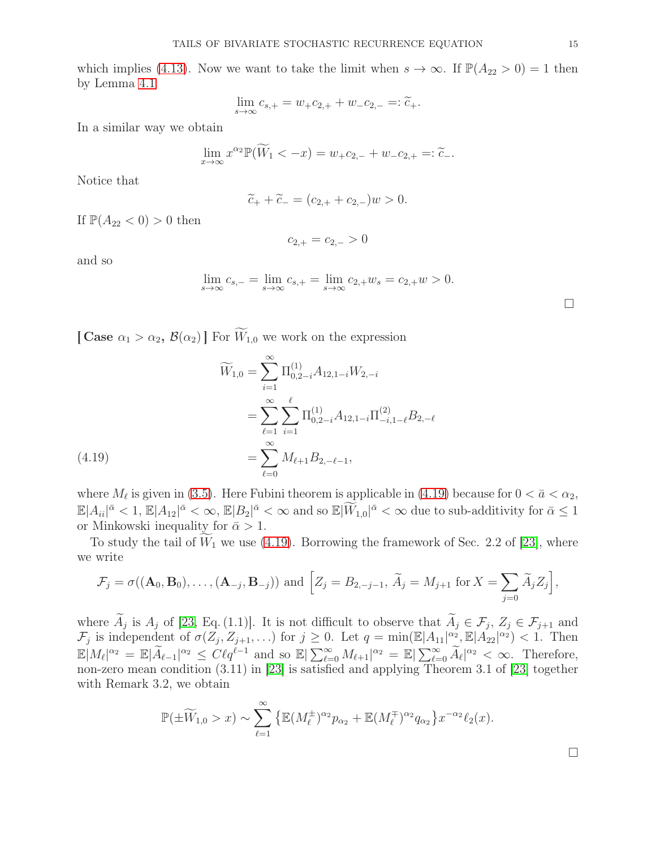which implies [\(4.13\)](#page-13-4). Now we want to take the limit when  $s \to \infty$ . If  $\mathbb{P}(A_{22} > 0) = 1$  then by Lemma [4.1](#page-10-0)

$$
\lim_{s \to \infty} c_{s,+} = w_+ c_{2,+} + w_- c_{2,-} =: \tilde{c}_+.
$$

In a similar way we obtain

$$
\lim_{x \to \infty} x^{\alpha_2} \mathbb{P}(\widetilde{W}_1 < -x) = w_+ c_{2,-} + w_- c_{2,+} =: \widetilde{c}_-.
$$

Notice that

$$
\widetilde{c}_+ + \widetilde{c}_- = (c_{2,+} + c_{2,-})w > 0.
$$

If  $\mathbb{P}(A_{22} < 0) > 0$  then

$$
c_{2,+} = c_{2,-} > 0
$$

and so

$$
\lim_{s \to \infty} c_{s,-} = \lim_{s \to \infty} c_{s,+} = \lim_{s \to \infty} c_{2,+} w_s = c_{2,+} w > 0.
$$

[ Case  $\alpha_1 > \alpha_2$ ,  $\mathcal{B}(\alpha_2)$ ] For  $\widetilde{W}_{1,0}$  we work on the expression

$$
\widetilde{W}_{1,0} = \sum_{i=1}^{\infty} \Pi_{0,2-i}^{(1)} A_{12,1-i} W_{2,-i}
$$
\n
$$
= \sum_{\ell=1}^{\infty} \sum_{i=1}^{\ell} \Pi_{0,2-i}^{(1)} A_{12,1-i} \Pi_{-i,1-\ell}^{(2)} B_{2,-\ell}
$$
\n
$$
= \sum_{\ell=0}^{\infty} M_{\ell+1} B_{2,-\ell-1},
$$
\n(4.19)

<span id="page-14-0"></span>where  $M_{\ell}$  is given in [\(3.5\)](#page-6-5). Here Fubini theorem is applicable in [\(4.19\)](#page-14-0) because for  $0 < \bar{a} < \alpha_2$ ,  $\mathbb{E}|A_{ii}|^{\bar{\alpha}} < 1, \mathbb{E}|A_{12}|^{\bar{\alpha}} < \infty, \mathbb{E}|B_2|^{\bar{\alpha}} < \infty$  and so  $\mathbb{E}|\widetilde{W}_{1,0}|^{\bar{\alpha}} < \infty$  due to sub-additivity for  $\bar{\alpha} \leq 1$ or Minkowski inequality for  $\bar{\alpha} > 1$ .

To study the tail of  $\widetilde{W}_1$  we use [\(4.19\)](#page-14-0). Borrowing the framework of Sec. 2.2 of [\[23\]](#page-41-16), where we write

$$
\mathcal{F}_j = \sigma((\mathbf{A}_0, \mathbf{B}_0), \dots, (\mathbf{A}_{-j}, \mathbf{B}_{-j})) \text{ and } \Big[ Z_j = B_{2,-j-1}, \widetilde{A}_j = M_{j+1} \text{ for } X = \sum_{j=0} \widetilde{A}_j Z_j \Big],
$$

where  $A_j$  is  $A_j$  of [\[23,](#page-41-16) Eq. (1.1)]. It is not difficult to observe that  $A_j \in \mathcal{F}_j$ ,  $Z_j \in \mathcal{F}_{j+1}$  and  $\mathcal{F}_j$  is independent of  $\sigma(Z_j, Z_{j+1}, ...)$  for  $j \geq 0$ . Let  $q = \min(\mathbb{E}|A_{11}|_{\infty}^{\alpha_2}, \mathbb{E}|A_{22}|^{\alpha_2}) < 1$ . Then  $\mathbb{E}|M_{\ell}|^{\alpha_2} = \mathbb{E}|\widetilde{A}_{\ell-1}|^{\alpha_2} \leq C\ell q^{\ell-1}$  and so  $\mathbb{E}|\sum_{\ell=0}^{\infty}M_{\ell+1}|^{\alpha_2} = \mathbb{E}|\sum_{\ell=0}^{\infty}\widetilde{A}_{\ell}|^{\alpha_2} < \infty$ . Therefore, non-zero mean condition (3.11) in [\[23\]](#page-41-16) is satisfied and applying Theorem 3.1 of [\[23\]](#page-41-16) together with Remark 3.2, we obtain

$$
\mathbb{P}(\pm \widetilde{W}_{1,0} > x) \sim \sum_{\ell=1}^{\infty} \left\{ \mathbb{E}(M_{\ell}^{\pm})^{\alpha_2} p_{\alpha_2} + \mathbb{E}(M_{\ell}^{\mp})^{\alpha_2} q_{\alpha_2} \right\} x^{-\alpha_2} \ell_2(x).
$$

 $\Box$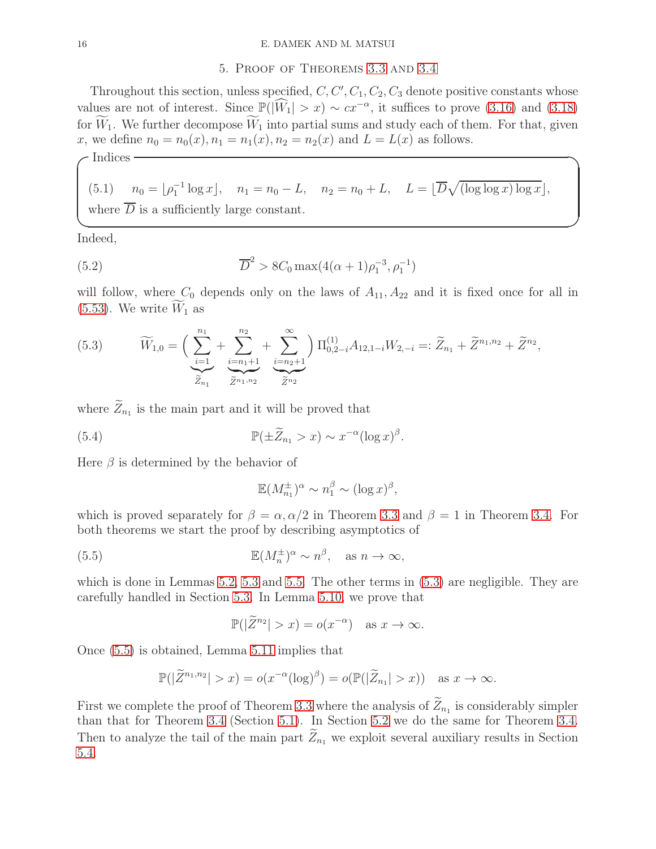### 5. Proof of Theorems [3.3](#page-8-0) and [3.4](#page-9-0)

<span id="page-15-0"></span>Throughout this section, unless specified,  $C, C', C_1, C_2, C_3$  denote positive constants whose values are not of interest. Since  $\mathbb{P}(|\widehat{W}_1| > x) \sim cx^{-\alpha}$ , it suffices to prove [\(3.16\)](#page-9-2) and [\(3.18\)](#page-9-4) for  $\widetilde{W}_1$ . We further decompose  $\widetilde{W}_1$  into partial sums and study each of them. For that, given x, we define  $n_0 = n_0(x)$ ,  $n_1 = n_1(x)$ ,  $n_2 = n_2(x)$  and  $L = L(x)$  as follows.

 $\sqrt{\frac{1}{100}}$  Indices  $\sqrt{\frac{1}{100}}$ 

<span id="page-15-4"></span>(5.1) 
$$
n_0 = \lfloor \rho_1^{-1} \log x \rfloor
$$
,  $n_1 = n_0 - L$ ,  $n_2 = n_0 + L$ ,  $L = \lfloor \overline{D} \sqrt{\log \log x} \rfloor \log x \rfloor$ ,

 $\Box$ 

where  $D$  is a sufficiently large constant.

Indeed,

<span id="page-15-3"></span>(5.2) 
$$
\overline{D}^2 > 8C_0 \max(4(\alpha+1)\rho_1^{-3}, \rho_1^{-1})
$$

will follow, where  $C_0$  depends only on the laws of  $A_{11}$ ,  $A_{22}$  and it is fixed once for all in  $(5.53)$ . We write  $W_1$  as

<span id="page-15-1"></span>(5.3) 
$$
\widetilde{W}_{1,0} = \left(\sum_{\substack{i=1 \ \widetilde{Z}_{n_1}}}^{n_1} + \sum_{\substack{i=n_1+1 \ \widetilde{Z}_{n_1,n_2}}}^{n_2} + \sum_{\substack{i=n_2+1 \ \widetilde{Z}_{n_2}}}^{n_3}\right) \Pi_{0,2-i}^{(1)} A_{12,1-i} W_{2,-i} =: \widetilde{Z}_{n_1} + \widetilde{Z}^{n_1,n_2} + \widetilde{Z}^{n_2},
$$

where  $Z_{n_1}$  is the main part and it will be proved that

(5.4) 
$$
\mathbb{P}(\pm \widetilde{Z}_{n_1} > x) \sim x^{-\alpha} (\log x)^{\beta}.
$$

Here  $\beta$  is determined by the behavior of

<span id="page-15-2"></span>
$$
\mathbb{E}(M_{n_1}^{\pm})^{\alpha} \sim n_1^{\beta} \sim (\log x)^{\beta},
$$

which is proved separately for  $\beta = \alpha, \alpha/2$  in Theorem [3.3](#page-8-0) and  $\beta = 1$  in Theorem [3.4.](#page-9-0) For both theorems we start the proof by describing asymptotics of

(5.5) 
$$
\mathbb{E}(M_n^{\pm})^{\alpha} \sim n^{\beta}, \quad \text{as } n \to \infty,
$$

which is done in Lemmas [5.2,](#page-16-1) [5.3](#page-17-0) and [5.5.](#page-21-0) The other terms in  $(5.3)$  are negligible. They are carefully handled in Section [5.3.](#page-27-1) In Lemma [5.10,](#page-29-0) we prove that

$$
\mathbb{P}(|\widetilde{Z}^{n_2}| > x) = o(x^{-\alpha}) \text{ as } x \to \infty.
$$

Once [\(5.5\)](#page-15-2) is obtained, Lemma [5.11](#page-30-0) implies that

$$
\mathbb{P}(|\widetilde{Z}^{n_1,n_2}| > x) = o(x^{-\alpha}(\log)^{\beta}) = o(\mathbb{P}(|\widetilde{Z}_{n_1}| > x)) \text{ as } x \to \infty.
$$

First we complete the proof of Theorem [3.3](#page-8-0) where the analysis of  $Z_{n_1}$  is considerably simpler than that for Theorem [3.4](#page-9-0) (Section [5.1\)](#page-16-0). In Section [5.2](#page-19-0) we do the same for Theorem [3.4.](#page-9-0) Then to analyze the tail of the main part  $\tilde{Z}_{n_1}$  we exploit several auxiliary results in Section [5.4.](#page-32-0)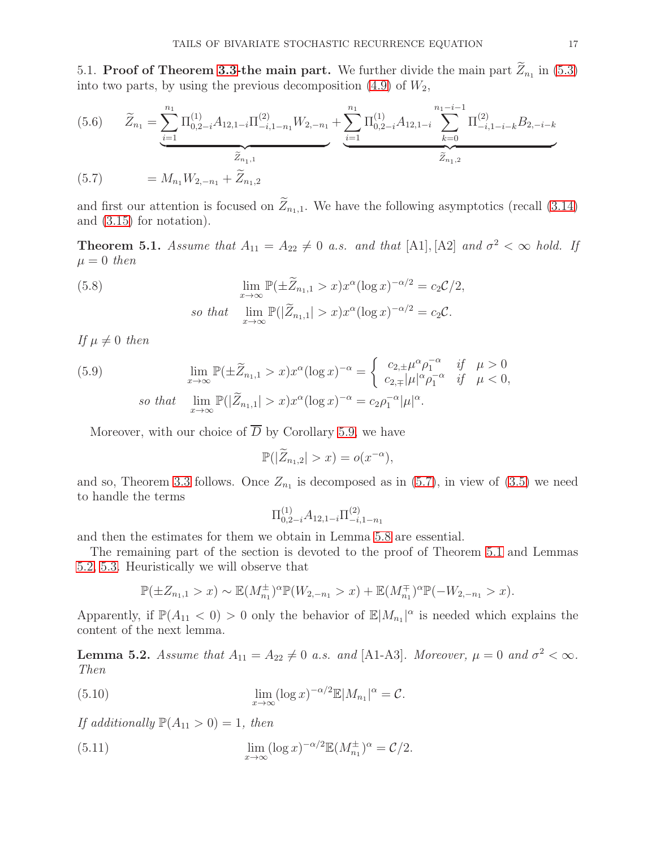<span id="page-16-0"></span>5.1. Proof of Theorem [3.3-](#page-8-0)the main part. We further divide the main part  $Z_{n_1}$  in [\(5.3\)](#page-15-1) into two parts, by using the previous decomposition  $(4.9)$  of  $W_2$ ,

(5.6) 
$$
\widetilde{Z}_{n_1} = \underbrace{\sum_{i=1}^{n_1} \Pi_{0,2-i}^{(1)} A_{12,1-i} \Pi_{-i,1-n_1}^{(2)} W_{2,-n_1}}_{\widetilde{Z}_{n_1,1}} + \underbrace{\sum_{i=1}^{n_1} \Pi_{0,2-i}^{(1)} A_{12,1-i} \sum_{k=0}^{n_1 - i - 1} \Pi_{-i,1-i-k}^{(2)} B_{2,-i-k}}_{\widetilde{Z}_{n_1,2}}
$$
\n(5.7) 
$$
= M_{n_1} W_{2,-n_1} + \widetilde{Z}_{n_1,2}
$$

<span id="page-16-3"></span>and first our attention is focused on  $\widetilde{Z}_{n+1}$ . We have the following asymptotics (recall [\(3.14\)](#page-8-2) and [\(3.15\)](#page-8-3) for notation).

<span id="page-16-2"></span>**Theorem 5.1.** Assume that  $A_{11} = A_{22} \neq 0$  a.s. and that [A1], [A2] and  $\sigma^2 < \infty$  hold. If  $\mu = 0$  then

<span id="page-16-6"></span>(5.8) 
$$
\lim_{x \to \infty} \mathbb{P}(\pm \widetilde{Z}_{n_1,1} > x) x^{\alpha} (\log x)^{-\alpha/2} = c_2 C/2,
$$
  
so that 
$$
\lim_{x \to \infty} \mathbb{P}(|\widetilde{Z}_{n_1,1}| > x) x^{\alpha} (\log x)^{-\alpha/2} = c_2 C.
$$

If  $\mu \neq 0$  then

<span id="page-16-7"></span>(5.9) 
$$
\lim_{x \to \infty} \mathbb{P}(\pm \widetilde{Z}_{n_1,1} > x) x^{\alpha} (\log x)^{-\alpha} = \begin{cases} c_{2,\pm} \mu^{\alpha} \rho_1^{-\alpha} & \text{if } \mu > 0 \\ c_{2,\mp} |\mu|^{\alpha} \rho_1^{-\alpha} & \text{if } \mu < 0, \end{cases}
$$
  
so that 
$$
\lim_{x \to \infty} \mathbb{P}(|\widetilde{Z}_{n_1,1}| > x) x^{\alpha} (\log x)^{-\alpha} = c_2 \rho_1^{-\alpha} |\mu|^{\alpha}.
$$

Moreover, with our choice of  $\overline{D}$  by Corollary [5.9,](#page-28-0) we have

$$
\mathbb{P}(|\widetilde{Z}_{n_1,2}|>x)=o(x^{-\alpha}),
$$

and so, Theorem [3.3](#page-8-0) follows. Once  $Z_{n_1}$  is decomposed as in [\(5.7\)](#page-16-3), in view of [\(3.5\)](#page-6-5) we need to handle the terms

$$
\Pi^{(1)}_{0,2-i}A_{12,1-i}\Pi^{(2)}_{-i,1-n_1}
$$

and then the estimates for them we obtain in Lemma [5.8](#page-28-1) are essential.

The remaining part of the section is devoted to the proof of Theorem [5.1](#page-16-2) and Lemmas [5.2,](#page-16-1) [5.3.](#page-17-0) Heuristically we will observe that

<span id="page-16-5"></span>
$$
\mathbb{P}(\pm Z_{n_1,1} > x) \sim \mathbb{E}(M_{n_1}^{\pm})^{\alpha} \mathbb{P}(W_{2,-n_1} > x) + \mathbb{E}(M_{n_1}^{\mp})^{\alpha} \mathbb{P}(-W_{2,-n_1} > x).
$$

Apparently, if  $\mathbb{P}(A_{11} < 0) > 0$  only the behavior of  $\mathbb{E}|M_{n_1}|^{\alpha}$  is needed which explains the content of the next lemma.

<span id="page-16-1"></span>**Lemma 5.2.** Assume that  $A_{11} = A_{22} \neq 0$  a.s. and [A1-A3]. Moreover,  $\mu = 0$  and  $\sigma^2 < \infty$ . Then

(5.10) 
$$
\lim_{x \to \infty} (\log x)^{-\alpha/2} \mathbb{E}|M_{n_1}|^{\alpha} = C.
$$

If additionally  $\mathbb{P}(A_{11} > 0) = 1$ , then

<span id="page-16-4"></span>(5.11) 
$$
\lim_{x \to \infty} (\log x)^{-\alpha/2} \mathbb{E}(M_{n_1}^{\pm})^{\alpha} = C/2.
$$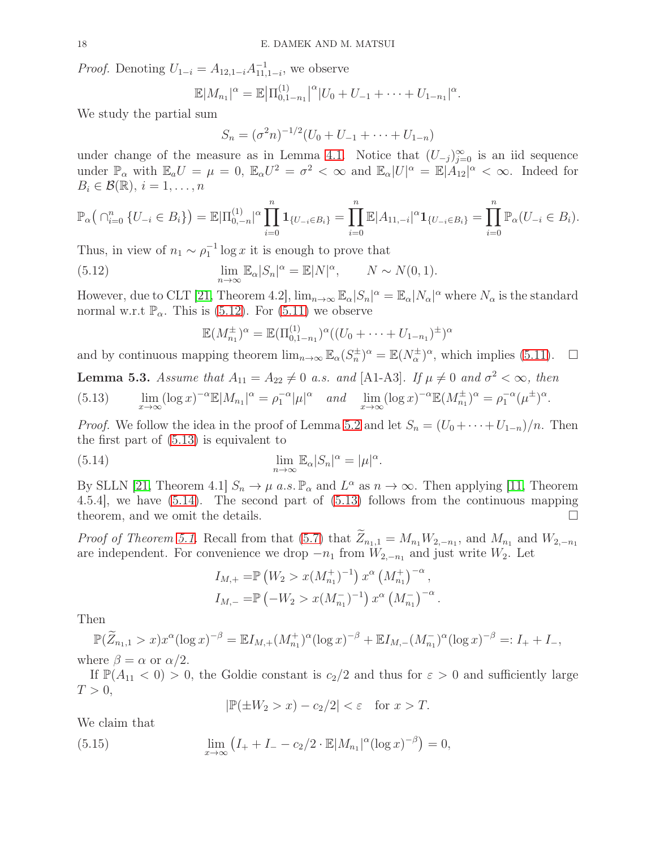*Proof.* Denoting  $U_{1-i} = A_{12,1-i} A_{11}^{-1}$  $\frac{-1}{11,1-i}$ , we observe

$$
\mathbb{E}|M_{n_1}|^{\alpha} = \mathbb{E}\big|\Pi_{0,1-n_1}^{(1)}\big|^{\alpha}\big|U_0+U_{-1}+\cdots+U_{1-n_1}|^{\alpha}.
$$

We study the partial sum

$$
S_n = (\sigma^2 n)^{-1/2} (U_0 + U_{-1} + \dots + U_{1-n})
$$

under change of the measure as in Lemma [4.1.](#page-10-0) Notice that  $(U_{-j})_{j=0}^{\infty}$  is an iid sequence under  $\mathbb{P}_{\alpha}$  with  $\mathbb{E}_{a}U = \mu = 0$ ,  $\mathbb{E}_{\alpha}U^2 = \sigma^2 < \infty$  and  $\mathbb{E}_{\alpha}|U|^{\alpha} = \mathbb{E}|A_{12}|^{\alpha} < \infty$ . Indeed for  $B_i \in \mathcal{B}(\mathbb{R}), i = 1, \ldots, n$ 

$$
\mathbb{P}_{\alpha}\left(\bigcap_{i=0}^{n} \{U_{-i} \in B_{i}\}\right) = \mathbb{E}|\Pi_{0,-n}^{(1)}|^\alpha \prod_{i=0}^{n} \mathbf{1}_{\{U_{-i} \in B_{i}\}} = \prod_{i=0}^{n} \mathbb{E}|A_{11,-i}|^\alpha \mathbf{1}_{\{U_{-i} \in B_{i}\}} = \prod_{i=0}^{n} \mathbb{P}_{\alpha}(U_{-i} \in B_{i}).
$$

Thus, in view of  $n_1 \sim \rho_1^{-1} \log x$  it is enough to prove that

<span id="page-17-1"></span>(5.12) 
$$
\lim_{n \to \infty} \mathbb{E}_{\alpha} |S_n|^{\alpha} = \mathbb{E} |N|^{\alpha}, \qquad N \sim N(0, 1).
$$

However, due to CLT [\[21,](#page-41-17) Theorem 4.2],  $\lim_{n\to\infty} \mathbb{E}_{\alpha} |S_n|^{\alpha} = \mathbb{E}_{\alpha} |N_{\alpha}|^{\alpha}$  where  $N_{\alpha}$  is the standard normal w.r.t  $\mathbb{P}_{\alpha}$ . This is [\(5.12\)](#page-17-1). For [\(5.11\)](#page-16-4) we observe

$$
\mathbb{E}(M_{n_1}^{\pm})^{\alpha} = \mathbb{E}(\Pi_{0,1-n_1}^{(1)})^{\alpha}((U_0 + \cdots + U_{1-n_1})^{\pm})^{\alpha}
$$

and by continuous mapping theorem  $\lim_{n\to\infty} \mathbb{E}_{\alpha}(S_n^{\pm})^{\alpha} = \mathbb{E}(N_{\alpha}^{\pm})^{\alpha}$ , which implies [\(5.11\)](#page-16-4).  $\square$ 

<span id="page-17-0"></span>**Lemma 5.3.** Assume that  $A_{11} = A_{22} \neq 0$  a.s. and [A1-A3]. If  $\mu \neq 0$  and  $\sigma^2 < \infty$ , then

<span id="page-17-2"></span>(5.13) 
$$
\lim_{x \to \infty} (\log x)^{-\alpha} \mathbb{E}|M_{n_1}|^{\alpha} = \rho_1^{-\alpha} |\mu|^{\alpha} \quad \text{and} \quad \lim_{x \to \infty} (\log x)^{-\alpha} \mathbb{E}(M_{n_1}^{\pm})^{\alpha} = \rho_1^{-\alpha} (\mu^{\pm})^{\alpha}.
$$

*Proof.* We follow the idea in the proof of Lemma [5.2](#page-16-1) and let  $S_n = (U_0 + \cdots + U_{1-n})/n$ . Then the first part of [\(5.13\)](#page-17-2) is equivalent to

<span id="page-17-3"></span>(5.14) 
$$
\lim_{n \to \infty} \mathbb{E}_{\alpha} |S_n|^{\alpha} = |\mu|^{\alpha}.
$$

By SLLN [\[21,](#page-41-17) Theorem 4.1]  $S_n \to \mu$  a.s.  $\mathbb{P}_{\alpha}$  and  $L^{\alpha}$  as  $n \to \infty$ . Then applying [\[11,](#page-41-18) Theorem 4.5.4], we have [\(5.14\)](#page-17-3). The second part of [\(5.13\)](#page-17-2) follows from the continuous mapping theorem, and we omit the details.

*Proof of Theorem [5.1.](#page-16-2)* Recall from that [\(5.7\)](#page-16-3) that  $Z_{n_1,1} = M_{n_1}W_{2,-n_1}$ , and  $M_{n_1}$  and  $W_{2,-n_1}$ are independent. For convenience we drop  $-n_1$  from  $W_{2,-n_1}$  and just write  $W_2$ . Let

$$
I_{M,+} = \mathbb{P} \left( W_2 > x(M_{n_1}^+)^{-1} \right) x^{\alpha} \left( M_{n_1}^+ \right)^{-\alpha},
$$
  
\n
$$
I_{M,-} = \mathbb{P} \left( -W_2 > x(M_{n_1}^-)^{-1} \right) x^{\alpha} \left( M_{n_1}^- \right)^{-\alpha}
$$

.

Then

 $\mathbb{P}(\widetilde{Z}_{n_1,1} > x)x^{\alpha}(\log x)^{-\beta} = \mathbb{E}I_{M,+}(M_{n_1}^+)^{\alpha}(\log x)^{-\beta} + \mathbb{E}I_{M,-}(M_{n_1}^-)^{\alpha}(\log x)^{-\beta} =: I_+ + I_-,$ where  $\beta = \alpha$  or  $\alpha/2$ .

If  $\mathbb{P}(A_{11} < 0) > 0$ , the Goldie constant is  $c_2/2$  and thus for  $\varepsilon > 0$  and sufficiently large  $T > 0$ ,

$$
|\mathbb{P}(\pm W_2 > x) - c_2/2| < \varepsilon \quad \text{for } x > T.
$$

We claim that

<span id="page-17-4"></span>(5.15) 
$$
\lim_{x \to \infty} (I_+ + I_- - c_2/2 \cdot \mathbb{E}|M_{n_1}|^{\alpha} (\log x)^{-\beta}) = 0,
$$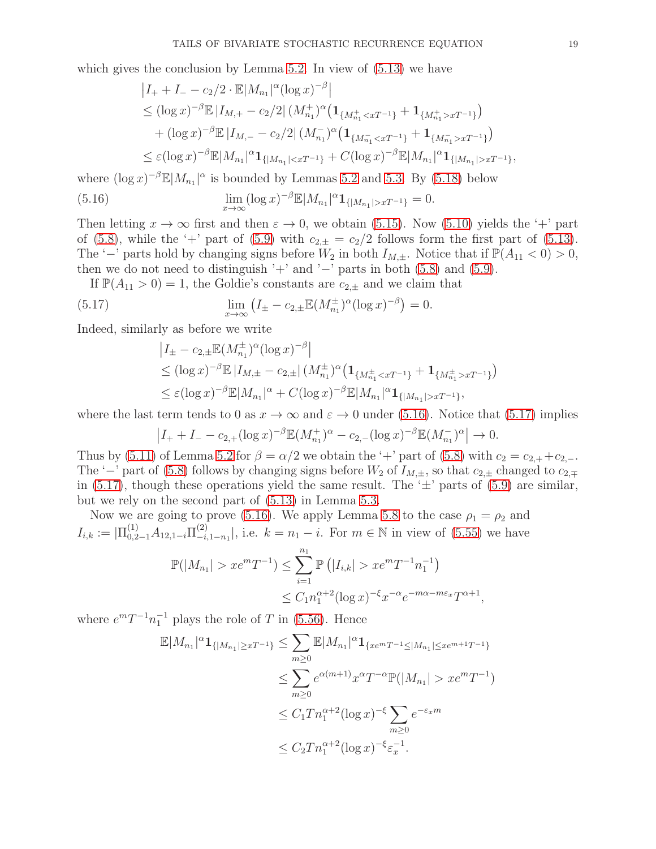which gives the conclusion by Lemma [5.2.](#page-16-1) In view of  $(5.13)$  we have

<span id="page-18-0"></span>
$$
|I_{+} + I_{-} - c_{2}/2 \cdot \mathbb{E}|M_{n_{1}}|^{\alpha} (\log x)^{-\beta}|
$$
  
\n
$$
\leq (\log x)^{-\beta} \mathbb{E} |I_{M,+} - c_{2}/2| (M_{n_{1}}^{+})^{\alpha} (\mathbf{1}_{\{M_{n_{1}}^{+} < xT^{-1}\}} + \mathbf{1}_{\{M_{n_{1}}^{+} > xT^{-1}\}})
$$
  
\n
$$
+ (\log x)^{-\beta} \mathbb{E} |I_{M,-} - c_{2}/2| (M_{n_{1}}^{-})^{\alpha} (\mathbf{1}_{\{M_{n_{1}}^{-} < xT^{-1}\}} + \mathbf{1}_{\{M_{n_{1}}^{-} > xT^{-1}\}})
$$
  
\n
$$
\leq \varepsilon (\log x)^{-\beta} \mathbb{E}|M_{n_{1}}|^{\alpha} \mathbf{1}_{\{|M_{n_{1}}| < xT^{-1}\}} + C(\log x)^{-\beta} \mathbb{E}|M_{n_{1}}|^{\alpha} \mathbf{1}_{\{|M_{n_{1}}| > xT^{-1}\}},
$$

where  $(\log x)^{-\beta} \mathbb{E}|M_{n_1}|^{\alpha}$  is bounded by Lemmas [5.2](#page-16-1) and [5.3.](#page-17-0) By [\(5.18\)](#page-19-1) below

(5.16) 
$$
\lim_{x \to \infty} (\log x)^{-\beta} \mathbb{E}|M_{n_1}|^{\alpha} \mathbf{1}_{\{|M_{n_1}| > xT^{-1}\}} = 0.
$$

Then letting  $x \to \infty$  first and then  $\varepsilon \to 0$ , we obtain [\(5.15\)](#page-17-4). Now [\(5.10\)](#page-16-5) yields the '+' part of [\(5.8\)](#page-16-6), while the '+' part of [\(5.9\)](#page-16-7) with  $c_{2,\pm} = c_2/2$  follows form the first part of [\(5.13\)](#page-17-2). The '−' parts hold by changing signs before  $W_2$  in both  $I_{M,\pm}$ . Notice that if  $\mathbb{P}(A_{11} < 0) > 0$ , then we do not need to distinguish '+' and ' $-$ ' parts in both [\(5.8\)](#page-16-6) and [\(5.9\)](#page-16-7).

If  $\mathbb{P}(A_{11} > 0) = 1$ , the Goldie's constants are  $c_{2,+}$  and we claim that

(5.17) 
$$
\lim_{x \to \infty} (I_{\pm} - c_{2,\pm} \mathbb{E}(M_{n_1}^{\pm})^{\alpha} (\log x)^{-\beta}) = 0.
$$

Indeed, similarly as before we write

<span id="page-18-1"></span>
$$
|I_{\pm} - c_{2,\pm} \mathbb{E}(M_{n_1}^{\pm})^{\alpha} (\log x)^{-\beta}|
$$
  
\n
$$
\leq (\log x)^{-\beta} \mathbb{E} |I_{M,\pm} - c_{2,\pm}| (M_{n_1}^{\pm})^{\alpha} (\mathbf{1}_{\{M_{n_1}^{\pm} < xT^{-1}\}} + \mathbf{1}_{\{M_{n_1}^{\pm} > xT^{-1}\}})
$$
  
\n
$$
\leq \varepsilon (\log x)^{-\beta} \mathbb{E} |M_{n_1}|^{\alpha} + C(\log x)^{-\beta} \mathbb{E} |M_{n_1}|^{\alpha} \mathbf{1}_{\{|M_{n_1}| > xT^{-1}\}},
$$

where the last term tends to 0 as  $x \to \infty$  and  $\varepsilon \to 0$  under [\(5.16\)](#page-18-0). Notice that [\(5.17\)](#page-18-1) implies

$$
\left|I_{+}+I_{-}-c_{2,+}(\log x)^{-\beta}\mathbb{E}(M_{n_1}^+)^{\alpha}-c_{2,-}(\log x)^{-\beta}\mathbb{E}(M_{n_1}^-)^{\alpha}\right|\to 0.
$$

Thus by [\(5.11\)](#page-16-4) of Lemma [5.2](#page-16-1) for  $\beta = \alpha/2$  we obtain the '+' part of [\(5.8\)](#page-16-6) with  $c_2 = c_{2,+} + c_{2,-}$ . The '−' part of [\(5.8\)](#page-16-6) follows by changing signs before  $W_2$  of  $I_{M,\pm}$ , so that  $c_{2,\pm}$  changed to  $c_{2,\mp}$ in [\(5.17\)](#page-18-1), though these operations yield the same result. The  $\pm$  parts of [\(5.9\)](#page-16-7) are similar, but we rely on the second part of [\(5.13\)](#page-17-2) in Lemma [5.3.](#page-17-0)

Now we are going to prove [\(5.16\)](#page-18-0). We apply Lemma [5.8](#page-28-1) to the case  $\rho_1 = \rho_2$  and  $I_{i,k} := |\Pi_{0,2-1}^{(1)} A_{12,1-i} \Pi_{-i}^{(2)}|$  $_{-i,1-n_1}^{(2)}$ , i.e.  $k = n_1 - i$ . For  $m \in \mathbb{N}$  in view of [\(5.55\)](#page-28-2) we have

$$
\mathbb{P}(|M_{n_1}| > xe^m T^{-1}) \le \sum_{i=1}^{n_1} \mathbb{P}(|I_{i,k}| > xe^m T^{-1} n_1^{-1})
$$
  

$$
\le C_1 n_1^{\alpha+2} (\log x)^{-\xi} x^{-\alpha} e^{-m\alpha - m\varepsilon_x} T^{\alpha+1}
$$

,

where  $e^{m}T^{-1}n_1^{-1}$  plays the role of T in [\(5.56\)](#page-28-3). Hence

$$
\mathbb{E}|M_{n_1}|^{\alpha} \mathbf{1}_{\{|M_{n_1}| \ge xT^{-1}\}} \le \sum_{m \ge 0} \mathbb{E}|M_{n_1}|^{\alpha} \mathbf{1}_{\{x e^m T^{-1} \le |M_{n_1}| \le x e^{m+1} T^{-1}\}}
$$
  
\n
$$
\le \sum_{m \ge 0} e^{\alpha(m+1)} x^{\alpha} T^{-\alpha} \mathbb{P}(|M_{n_1}| > x e^m T^{-1})
$$
  
\n
$$
\le C_1 T n_1^{\alpha+2} (\log x)^{-\xi} \sum_{m \ge 0} e^{-\varepsilon_x m}
$$
  
\n
$$
\le C_2 T n_1^{\alpha+2} (\log x)^{-\xi} \varepsilon_x^{-1}.
$$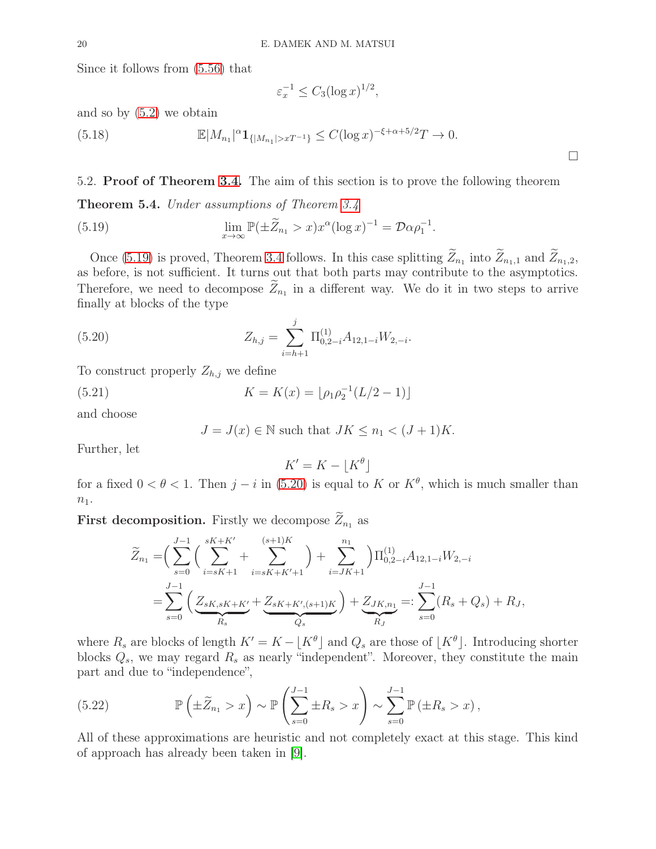Since it follows from [\(5.56\)](#page-28-3) that

<span id="page-19-1"></span>
$$
\varepsilon_x^{-1} \le C_3 (\log x)^{1/2},
$$

and so by [\(5.2\)](#page-15-3) we obtain

(5.18) 
$$
\mathbb{E}|M_{n_1}|^{\alpha} \mathbf{1}_{\{|M_{n_1}| > xT^{-1}\}} \leq C(\log x)^{-\xi + \alpha + 5/2}T \to 0.
$$

<span id="page-19-0"></span>5.2. Proof of Theorem [3.4.](#page-9-0) The aim of this section is to prove the following theorem

<span id="page-19-5"></span>Theorem 5.4. Under assumptions of Theorem [3.4](#page-9-0)

<span id="page-19-2"></span>(5.19) 
$$
\lim_{x \to \infty} \mathbb{P}(\pm \widetilde{Z}_{n_1} > x) x^{\alpha} (\log x)^{-1} = \mathcal{D} \alpha \rho_1^{-1}.
$$

Once [\(5.19\)](#page-19-2) is proved, Theorem [3.4](#page-9-0) follows. In this case splitting  $Z_{n_1}$  into  $Z_{n_1,1}$  and  $Z_{n_1,2}$ , as before, is not sufficient. It turns out that both parts may contribute to the asymptotics. Therefore, we need to decompose  $Z_{n_1}$  in a different way. We do it in two steps to arrive finally at blocks of the type

(5.20) 
$$
Z_{h,j} = \sum_{i=h+1}^{j} \Pi_{0,2-i}^{(1)} A_{12,1-i} W_{2,-i}.
$$

To construct properly  $Z_{h,j}$  we define

(5.21) 
$$
K = K(x) = \lfloor \rho_1 \rho_2^{-1} (L/2 - 1) \rfloor
$$

and choose

<span id="page-19-6"></span><span id="page-19-3"></span>
$$
J = J(x) \in \mathbb{N}
$$
 such that  $JK \le n_1 < (J+1)K$ .

Further, let

$$
K' = K - \lfloor K^{\theta} \rfloor
$$

for a fixed  $0 < \theta < 1$ . Then  $j - i$  in [\(5.20\)](#page-19-3) is equal to K or  $K^{\theta}$ , which is much smaller than  $\boldsymbol{n}_1.$ 

**First decomposition.** Firstly we decompose  $\widetilde{Z}_{n_1}$  as

$$
\widetilde{Z}_{n_1} = \left(\sum_{s=0}^{J-1} \left(\sum_{i=sK+1}^{sK+K'} + \sum_{i=sK+K'+1}^{(s+1)K}\right) + \sum_{i=JK+1}^{n_1}\right) \Pi_{0,2-i}^{(1)} A_{12,1-i} W_{2,-i}
$$
\n
$$
= \sum_{s=0}^{J-1} \left(\underbrace{Z_{sK,sK+K'}}_{R_s} + \underbrace{Z_{sK+K',(s+1)K}}_{Q_s}\right) + \underbrace{Z_{JK,n_1}}_{R_J} =: \sum_{s=0}^{J-1} (R_s + Q_s) + R_J,
$$

where  $R_s$  are blocks of length  $K' = K - \lfloor K^{\theta} \rfloor$  and  $Q_s$  are those of  $\lfloor K^{\theta} \rfloor$ . Introducing shorter blocks  $Q_s$ , we may regard  $R_s$  as nearly "independent". Moreover, they constitute the main part and due to "independence",

<span id="page-19-4"></span>(5.22) 
$$
\mathbb{P}\left(\pm \widetilde{Z}_{n_1} > x\right) \sim \mathbb{P}\left(\sum_{s=0}^{J-1} \pm R_s > x\right) \sim \sum_{s=0}^{J-1} \mathbb{P}\left(\pm R_s > x\right),
$$

All of these approximations are heuristic and not completely exact at this stage. This kind of approach has already been taken in [\[9\]](#page-41-19).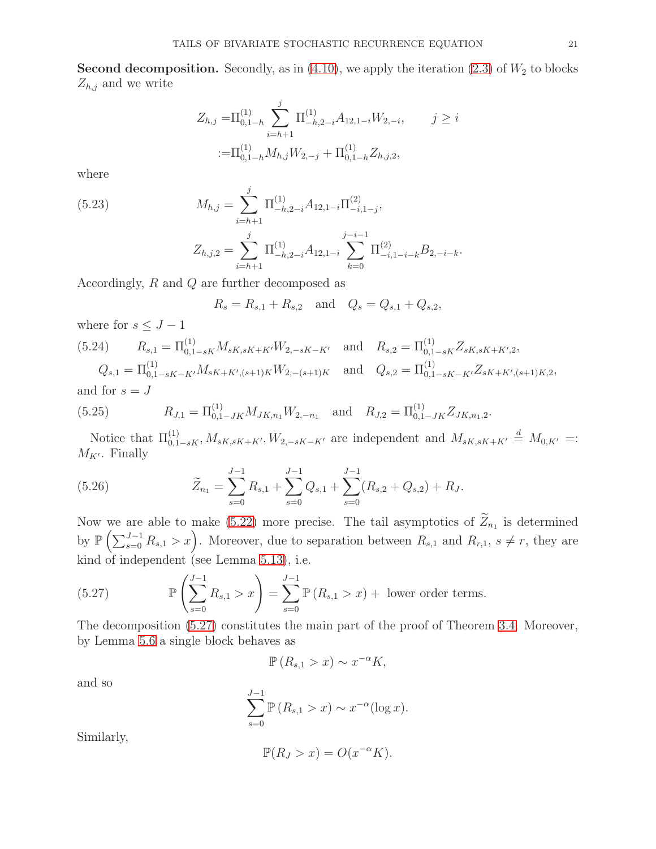**Second decomposition.** Secondly, as in  $(4.10)$ , we apply the iteration  $(2.3)$  of  $W_2$  to blocks  $Z_{h,j}$  and we write

$$
Z_{h,j} = \Pi_{0,1-h}^{(1)} \sum_{i=h+1}^{j} \Pi_{-h,2-i}^{(1)} A_{12,1-i} W_{2,-i}, \qquad j \ge i
$$
  

$$
:= \Pi_{0,1-h}^{(1)} M_{h,j} W_{2,-j} + \Pi_{0,1-h}^{(1)} Z_{h,j,2},
$$

where

<span id="page-20-3"></span>(5.23) 
$$
M_{h,j} = \sum_{i=h+1}^{j} \Pi_{-h,2-i}^{(1)} A_{12,1-i} \Pi_{-i,1-j}^{(2)},
$$

$$
Z_{h,j,2} = \sum_{i=h+1}^{j} \Pi_{-h,2-i}^{(1)} A_{12,1-i} \sum_{k=0}^{j-i-1} \Pi_{-i,1-i-k}^{(2)} B_{2,-i-k}.
$$

Accordingly, R and Q are further decomposed as

$$
R_s = R_{s,1} + R_{s,2}
$$
 and  $Q_s = Q_{s,1} + Q_{s,2}$ ,

where for  $s \leq J - 1$ 

<span id="page-20-2"></span>(5.24) 
$$
R_{s,1} = \Pi_{0,1-sK}^{(1)} M_{sK,sK+K'} W_{2,-sK-K'} \text{ and } R_{s,2} = \Pi_{0,1-sK}^{(1)} Z_{sK,sK+K',2},
$$

$$
Q_{s,1} = \Pi_{0,1-sK-K'}^{(1)} M_{sK+K',(s+1)K} W_{2,-(s+1)K} \text{ and } Q_{s,2} = \Pi_{0,1-sK-K'}^{(1)} Z_{sK+K',(s+1)K,2},
$$

and for  $s = J$ 

(5.25) 
$$
R_{J,1} = \Pi_{0,1-JK}^{(1)} M_{JK,n_1} W_{2,-n_1} \text{ and } R_{J,2} = \Pi_{0,1-JK}^{(1)} Z_{JK,n_1,2}.
$$

Notice that  $\Pi_{0,1-sK}^{(1)}, M_{sK,sK+K'}$ ,  $W_{2,-sK-K'}$  are independent and  $M_{sK,sK+K'} \stackrel{d}{=} M_{0,K'} =$ :  $M_{K'}$ . Finally

<span id="page-20-1"></span>(5.26) 
$$
\widetilde{Z}_{n_1} = \sum_{s=0}^{J-1} R_{s,1} + \sum_{s=0}^{J-1} Q_{s,1} + \sum_{s=0}^{J-1} (R_{s,2} + Q_{s,2}) + R_J.
$$

Now we are able to make  $(5.22)$  more precise. The tail asymptotics of  $Z_{n_1}$  is determined by  $\mathbb{P}\left(\sum_{s=0}^{J-1} R_{s,1} > x\right)$ . Moreover, due to separation between  $R_{s,1}$  and  $R_{r,1}$ ,  $s \neq r$ , they are kind of independent (see Lemma [5.13\)](#page-33-0), i.e.

<span id="page-20-0"></span>(5.27) 
$$
\mathbb{P}\left(\sum_{s=0}^{J-1} R_{s,1} > x\right) = \sum_{s=0}^{J-1} \mathbb{P}\left(R_{s,1} > x\right) + \text{ lower order terms.}
$$

The decomposition [\(5.27\)](#page-20-0) constitutes the main part of the proof of Theorem [3.4.](#page-9-0) Moreover, by Lemma [5.6](#page-24-0) a single block behaves as

$$
\mathbb{P}\left(R_{s,1} > x\right) \sim x^{-\alpha} K,
$$

and so

$$
\sum_{s=0}^{J-1} \mathbb{P}\left(R_{s,1} > x\right) \sim x^{-\alpha} (\log x).
$$

Similarly,

$$
\mathbb{P}(R_J > x) = O(x^{-\alpha}K).
$$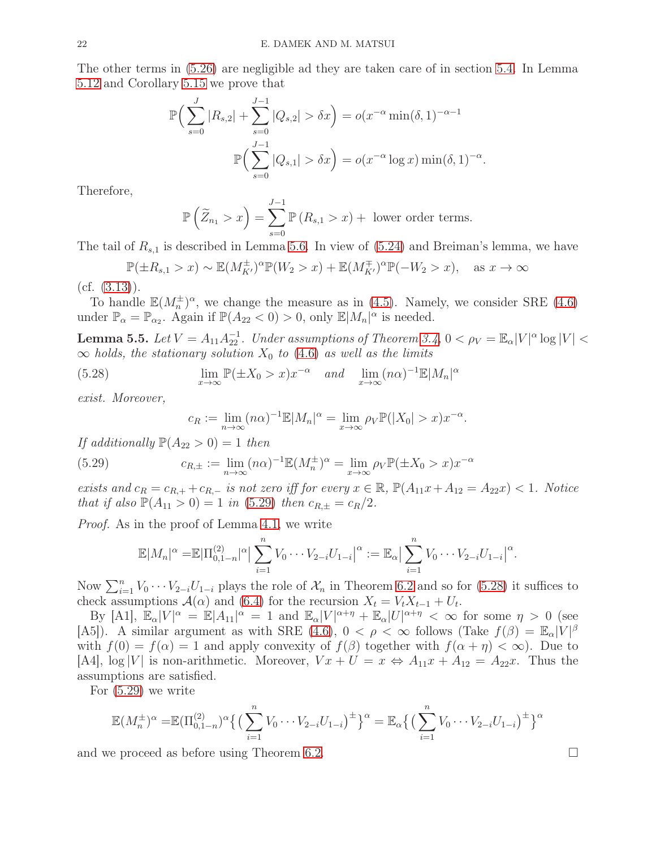The other terms in [\(5.26\)](#page-20-1) are negligible ad they are taken care of in section [5.4.](#page-32-0) In Lemma [5.12](#page-32-1) and Corollary [5.15](#page-35-0) we prove that

$$
\mathbb{P}\Big(\sum_{s=0}^{J} |R_{s,2}| + \sum_{s=0}^{J-1} |Q_{s,2}| > \delta x\Big) = o(x^{-\alpha} \min(\delta, 1)^{-\alpha-1}
$$

$$
\mathbb{P}\Big(\sum_{s=0}^{J-1} |Q_{s,1}| > \delta x\Big) = o(x^{-\alpha} \log x) \min(\delta, 1)^{-\alpha}
$$

.

Therefore,

$$
\mathbb{P}\left(\widetilde{Z}_{n_1} > x\right) = \sum_{s=0}^{J-1} \mathbb{P}\left(R_{s,1} > x\right) + \text{ lower order terms.}
$$

The tail of  $R_{s,1}$  is described in Lemma [5.6.](#page-24-0) In view of  $(5.24)$  and Breiman's lemma, we have

$$
\mathbb{P}(\pm R_{s,1} > x) \sim \mathbb{E}(M_{K'}^{\pm})^{\alpha} \mathbb{P}(W_2 > x) + \mathbb{E}(M_{K'}^{\mp})^{\alpha} \mathbb{P}(-W_2 > x), \text{ as } x \to \infty
$$

# $(cf. (3.13)).$  $(cf. (3.13)).$  $(cf. (3.13)).$

To handle  $\mathbb{E}(M_n^{\pm})^{\alpha}$ , we change the measure as in [\(4.5\)](#page-11-0). Namely, we consider SRE [\(4.6\)](#page-12-0) under  $\mathbb{P}_{\alpha} = \mathbb{P}_{\alpha_2}$ . Again if  $\mathbb{P}(A_{22} < 0) > 0$ , only  $\mathbb{E}|M_n|^{\alpha}$  is needed.

<span id="page-21-0"></span>**Lemma 5.5.** Let  $V = A_{11}A_{22}^{-1}$ . Under assumptions of Theorem [3.4,](#page-9-0)  $0 < \rho_V = \mathbb{E}_{\alpha}|V|^{\alpha} \log |V| <$  $\infty$  holds, the stationary solution  $X_0$  to [\(4.6\)](#page-12-0) as well as the limits

(5.28) 
$$
\lim_{x \to \infty} \mathbb{P}(\pm X_0 > x) x^{-\alpha} \quad and \quad \lim_{x \to \infty} (n\alpha)^{-1} \mathbb{E}|M_n|^{\alpha}
$$

exist. Moreover,

<span id="page-21-2"></span><span id="page-21-1"></span>
$$
c_R := \lim_{n \to \infty} (n\alpha)^{-1} \mathbb{E}|M_n|^\alpha = \lim_{x \to \infty} \rho_V \mathbb{P}(|X_0| > x) x^{-\alpha}.
$$

If additionally  $\mathbb{P}(A_{22} > 0) = 1$  then

(5.29) 
$$
c_{R,\pm} := \lim_{n \to \infty} (n\alpha)^{-1} \mathbb{E}(M_n^{\pm})^{\alpha} = \lim_{x \to \infty} \rho_V \mathbb{P}(\pm X_0 > x) x^{-\alpha}
$$

exists and  $c_R = c_{R,+} + c_{R,-}$  is not zero iff for every  $x \in \mathbb{R}$ ,  $\mathbb{P}(A_{11}x + A_{12} = A_{22}x) < 1$ . Notice that if also  $\mathbb{P}(A_{11} > 0) = 1$  in [\(5.29\)](#page-21-1) then  $c_{R,\pm} = c_R/2$ .

Proof. As in the proof of Lemma [4.1,](#page-10-0) we write

$$
\mathbb{E}|M_n|^{\alpha} = \mathbb{E}|\Pi_{0,1-n}^{(2)}|^{\alpha} \left| \sum_{i=1}^n V_0 \cdots V_{2-i} U_{1-i} \right|^{\alpha} := \mathbb{E}_{\alpha} \left| \sum_{i=1}^n V_0 \cdots V_{2-i} U_{1-i} \right|^{\alpha}.
$$

Now  $\sum_{i=1}^{n} V_0 \cdots V_{2-i} U_{1-i}$  plays the role of  $\mathcal{X}_n$  in Theorem [6.2](#page-37-1) and so for [\(5.28\)](#page-21-2) it suffices to check assumptions  $\mathcal{A}(\alpha)$  and [\(6.4\)](#page-37-2) for the recursion  $X_t = V_t X_{t-1} + U_t$ .

By [A1],  $\mathbb{E}_{\alpha}|V|^{\alpha} = \mathbb{E}|A_{11}|^{\alpha} = 1$  and  $\mathbb{E}_{\alpha}|V|^{\alpha+\eta} + \mathbb{E}_{\alpha}|U|^{\alpha+\eta} < \infty$  for some  $\eta > 0$  (see [A5]). A similar argument as with SRE  $(4.6)$ ,  $0 < \rho < \infty$  follows (Take  $f(\beta) = \mathbb{E}_{\alpha}|V|^{\beta}$ with  $f(0) = f(\alpha) = 1$  and apply convexity of  $f(\beta)$  together with  $f(\alpha + \eta) < \infty$ ). Due to [A4],  $\log|V|$  is non-arithmetic. Moreover,  $Vx + U = x \Leftrightarrow A_{11}x + A_{12} = A_{22}x$ . Thus the assumptions are satisfied.

For [\(5.29\)](#page-21-1) we write

$$
\mathbb{E}(M_n^{\pm})^{\alpha} = \mathbb{E}(\Pi_{0,1-n}^{(2)})^{\alpha} \left\{ \left( \sum_{i=1}^n V_0 \cdots V_{2-i} U_{1-i} \right)^{\pm} \right\}^{\alpha} = \mathbb{E}_{\alpha} \left\{ \left( \sum_{i=1}^n V_0 \cdots V_{2-i} U_{1-i} \right)^{\pm} \right\}^{\alpha}
$$

and we proceed as before using Theorem [6.2.](#page-37-1)

$$
\qquad \qquad \Box
$$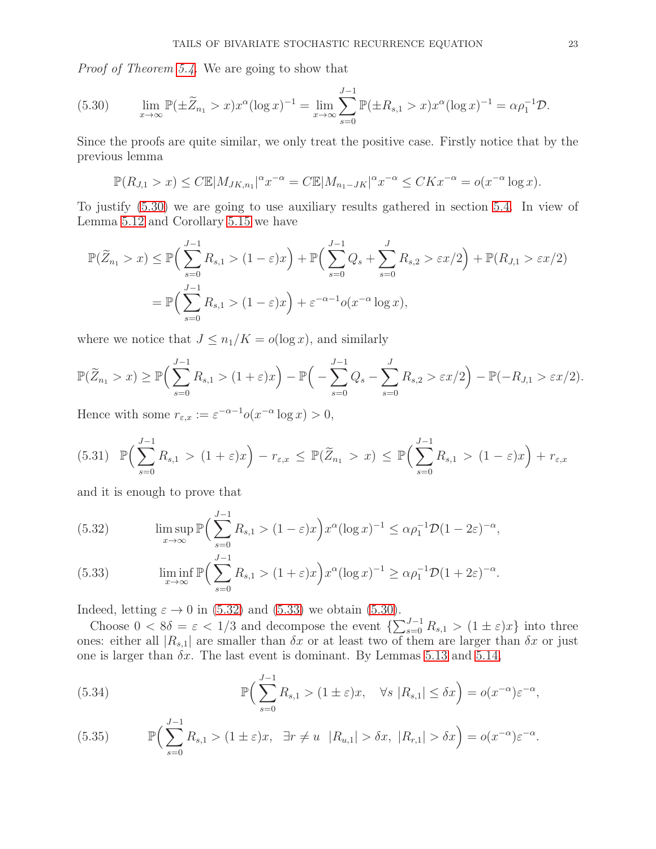Proof of Theorem [5.4.](#page-19-5) We are going to show that

<span id="page-22-0"></span>(5.30) 
$$
\lim_{x \to \infty} \mathbb{P}(\pm \widetilde{Z}_{n_1} > x) x^{\alpha} (\log x)^{-1} = \lim_{x \to \infty} \sum_{s=0}^{J-1} \mathbb{P}(\pm R_{s,1} > x) x^{\alpha} (\log x)^{-1} = \alpha \rho_1^{-1} \mathcal{D}.
$$

Since the proofs are quite similar, we only treat the positive case. Firstly notice that by the previous lemma

$$
\mathbb{P}(R_{J,1} > x) \le C \mathbb{E}|M_{JK,n_1}|^{\alpha} x^{-\alpha} = C \mathbb{E}|M_{n_1-JK}|^{\alpha} x^{-\alpha} \le CKx^{-\alpha} = o(x^{-\alpha} \log x).
$$

To justify [\(5.30\)](#page-22-0) we are going to use auxiliary results gathered in section [5.4.](#page-32-0) In view of Lemma [5.12](#page-32-1) and Corollary [5.15](#page-35-0) we have

$$
\mathbb{P}(\widetilde{Z}_{n_1} > x) \le \mathbb{P}\Big(\sum_{s=0}^{J-1} R_{s,1} > (1-\varepsilon)x\Big) + \mathbb{P}\Big(\sum_{s=0}^{J-1} Q_s + \sum_{s=0}^{J} R_{s,2} > \varepsilon x/2\Big) + \mathbb{P}(R_{J,1} > \varepsilon x/2)
$$
\n
$$
= \mathbb{P}\Big(\sum_{s=0}^{J-1} R_{s,1} > (1-\varepsilon)x\Big) + \varepsilon^{-\alpha-1} o(x^{-\alpha} \log x),
$$

where we notice that  $J \leq n_1/K = o(\log x)$ , and similarly

$$
\mathbb{P}(\widetilde{Z}_{n_1} > x) \ge \mathbb{P}\Big(\sum_{s=0}^{J-1} R_{s,1} > (1+\varepsilon)x\Big) - \mathbb{P}\Big(-\sum_{s=0}^{J-1} Q_s - \sum_{s=0}^{J} R_{s,2} > \varepsilon x/2\Big) - \mathbb{P}(-R_{J,1} > \varepsilon x/2).
$$

Hence with some  $r_{\varepsilon,x} := \varepsilon^{-\alpha-1} o(x^{-\alpha} \log x) > 0$ ,

$$
(5.31) \mathbb{P}\Big(\sum_{s=0}^{J-1} R_{s,1} > (1+\varepsilon)x\Big) - r_{\varepsilon,x} \leq \mathbb{P}(\widetilde{Z}_{n_1} > x) \leq \mathbb{P}\Big(\sum_{s=0}^{J-1} R_{s,1} > (1-\varepsilon)x\Big) + r_{\varepsilon,x}
$$

and it is enough to prove that

<span id="page-22-1"></span>(5.32) 
$$
\limsup_{x \to \infty} \mathbb{P}\left(\sum_{s=0}^{J-1} R_{s,1} > (1-\varepsilon)x\right) x^{\alpha} (\log x)^{-1} \leq \alpha \rho_1^{-1} \mathcal{D} (1-2\varepsilon)^{-\alpha},
$$

<span id="page-22-2"></span>(5.33) 
$$
\liminf_{x \to \infty} \mathbb{P}\Big(\sum_{s=0}^{J-1} R_{s,1} > (1+\varepsilon)x\Big) x^{\alpha} (\log x)^{-1} \geq \alpha \rho_1^{-1} \mathcal{D} (1+2\varepsilon)^{-\alpha}.
$$

Indeed, letting  $\varepsilon \to 0$  in [\(5.32\)](#page-22-1) and [\(5.33\)](#page-22-2) we obtain [\(5.30\)](#page-22-0).

Choose  $0 < 8\delta = \varepsilon < 1/3$  and decompose the event  $\left\{\sum_{s=0}^{J-1} R_{s,1} > (1 \pm \varepsilon)x\right\}$  into three ones: either all  $|R_{s,1}|$  are smaller than  $\delta x$  or at least two of them are larger than  $\delta x$  or just one is larger than  $\delta x$ . The last event is dominant. By Lemmas [5.13](#page-33-0) and [5.14,](#page-34-0)

<span id="page-22-3"></span>(5.34) 
$$
\mathbb{P}\Big(\sum_{s=0}^{J-1} R_{s,1} > (1 \pm \varepsilon)x, \quad \forall s |R_{s,1}| \leq \delta x\Big) = o(x^{-\alpha})\varepsilon^{-\alpha},
$$

<span id="page-22-4"></span>(5.35) 
$$
\mathbb{P}\Big(\sum_{s=0}^{J-1} R_{s,1} > (1 \pm \varepsilon)x, \quad \exists r \neq u \quad |R_{u,1}| > \delta x, \ |R_{r,1}| > \delta x\Big) = o(x^{-\alpha})\varepsilon^{-\alpha}.
$$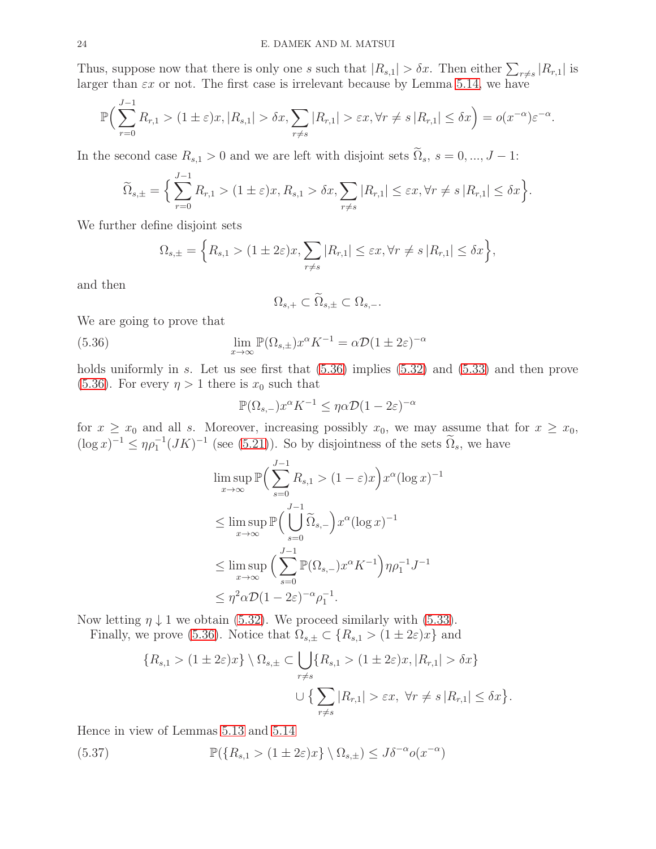Thus, suppose now that there is only one s such that  $|R_{s,1}| > \delta x$ . Then either  $\sum_{r \neq s} |R_{r,1}|$  is larger than  $\epsilon x$  or not. The first case is irrelevant because by Lemma [5.14,](#page-34-0) we have

$$
\mathbb{P}\Big(\sum_{r=0}^{J-1} R_{r,1} > (1 \pm \varepsilon)x, |R_{s,1}| > \delta x, \sum_{r \neq s} |R_{r,1}| > \varepsilon x, \forall r \neq s |R_{r,1}| \leq \delta x\Big) = o(x^{-\alpha})\varepsilon^{-\alpha}.
$$

In the second case  $R_{s,1} > 0$  and we are left with disjoint sets  $\tilde{\Omega}_s$ ,  $s = 0, ..., J - 1$ :

$$
\widetilde{\Omega}_{s,\pm} = \Big\{\sum_{r=0}^{J-1} R_{r,1} > (1 \pm \varepsilon)x, R_{s,1} > \delta x, \sum_{r \neq s} |R_{r,1}| \leq \varepsilon x, \forall r \neq s |R_{r,1}| \leq \delta x\Big\}.
$$

We further define disjoint sets

$$
\Omega_{s,\pm} = \left\{ R_{s,1} > (1 \pm 2\varepsilon)x, \sum_{r \neq s} |R_{r,1}| \leq \varepsilon x, \forall r \neq s \, |R_{r,1}| \leq \delta x \right\},\,
$$

and then

<span id="page-23-0"></span>
$$
\Omega_{s,+} \subset \widetilde{\Omega}_{s,\pm} \subset \Omega_{s,-}.
$$

We are going to prove that

(5.36) 
$$
\lim_{x \to \infty} \mathbb{P}(\Omega_{s,\pm}) x^{\alpha} K^{-1} = \alpha \mathcal{D} (1 \pm 2\varepsilon)^{-\alpha}
$$

holds uniformly in s. Let us see first that  $(5.36)$  implies  $(5.32)$  and  $(5.33)$  and then prove [\(5.36\)](#page-23-0). For every  $\eta > 1$  there is  $x_0$  such that

$$
\mathbb{P}(\Omega_{s,-})x^{\alpha}K^{-1} \leq \eta\alpha \mathcal{D}(1-2\varepsilon)^{-\alpha}
$$

for  $x \ge x_0$  and all s. Moreover, increasing possibly  $x_0$ , we may assume that for  $x \ge x_0$ ,  $(\log x)^{-1} \le \eta \rho_1^{-1} (JK)^{-1}$  (see [\(5.21\)](#page-19-6)). So by disjointness of the sets  $\tilde{\Omega}_s$ , we have

$$
\limsup_{x \to \infty} \mathbb{P}\Big(\sum_{s=0}^{J-1} R_{s,1} > (1-\varepsilon)x\Big) x^{\alpha} (\log x)^{-1}
$$
  
\n
$$
\leq \limsup_{x \to \infty} \mathbb{P}\Big(\bigcup_{s=0}^{J-1} \widetilde{\Omega}_{s,-}\Big) x^{\alpha} (\log x)^{-1}
$$
  
\n
$$
\leq \limsup_{x \to \infty} \Big(\sum_{s=0}^{J-1} \mathbb{P}(\Omega_{s,-}) x^{\alpha} K^{-1}\Big) \eta \rho_1^{-1} J^{-1}
$$
  
\n
$$
\leq \eta^2 \alpha \mathcal{D} (1-2\varepsilon)^{-\alpha} \rho_1^{-1}.
$$

Now letting  $\eta \downarrow 1$  we obtain [\(5.32\)](#page-22-1). We proceed similarly with [\(5.33\)](#page-22-2).

Finally, we prove [\(5.36\)](#page-23-0). Notice that  $\Omega_{s,\pm} \subset \{R_{s,1} > (1 \pm 2\varepsilon)x\}$  and

$$
\{R_{s,1} > (1 \pm 2\varepsilon)x\} \setminus \Omega_{s,\pm} \subset \bigcup_{r \neq s} \{R_{s,1} > (1 \pm 2\varepsilon)x, |R_{r,1}| > \delta x\}
$$

$$
\cup \{ \sum_{r \neq s} |R_{r,1}| > \varepsilon x, \forall r \neq s |R_{r,1}| \leq \delta x\}.
$$

Hence in view of Lemmas [5.13](#page-33-0) and [5.14](#page-34-0)

(5.37)  $\mathbb{P}(\lbrace R_{s,1} > (1 \pm 2\varepsilon)x \rbrace \setminus \Omega_{s,\pm}) \leq J\delta^{-\alpha} o(x^{-\alpha})$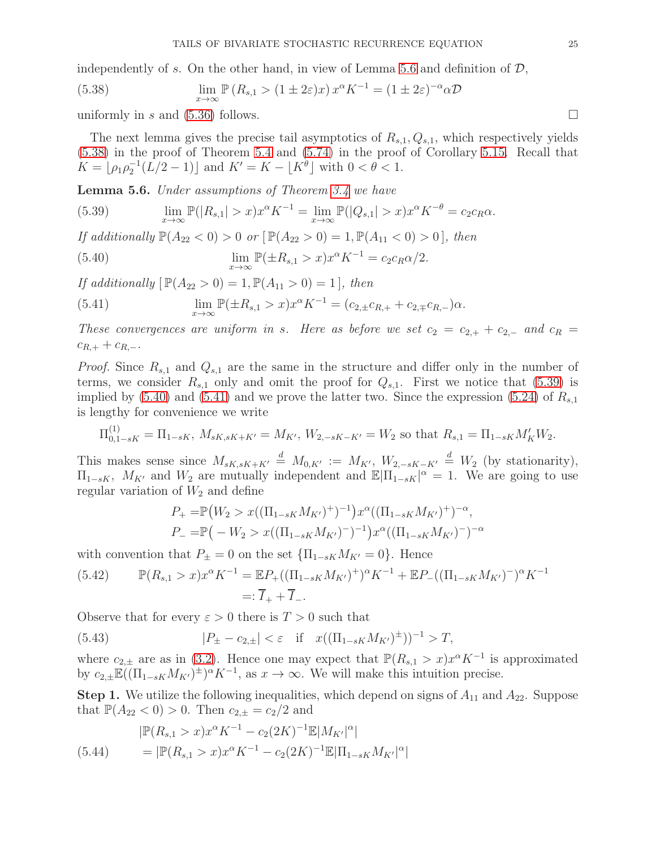independently of s. On the other hand, in view of Lemma [5.6](#page-24-0) and definition of  $\mathcal{D}$ ,

<span id="page-24-1"></span>(5.38) 
$$
\lim_{x \to \infty} \mathbb{P} (R_{s,1} > (1 \pm 2\varepsilon)x) x^{\alpha} K^{-1} = (1 \pm 2\varepsilon)^{-\alpha} \alpha \mathcal{D}
$$

uniformly in s and [\(5.36\)](#page-23-0) follows.

The next lemma gives the precise tail asymptotics of  $R_{s,1}, Q_{s,1}$ , which respectively yields [\(5.38\)](#page-24-1) in the proof of Theorem [5.4](#page-19-5) and [\(5.74\)](#page-36-3) in the proof of Corollary [5.15.](#page-35-0) Recall that  $K = \lfloor \rho_1 \rho_2^{-1} (L/2 - 1) \rfloor$  and  $K' = K - \lfloor K^{\theta} \rfloor$  with  $0 < \theta < 1$ .

<span id="page-24-0"></span>Lemma 5.6. Under assumptions of Theorem [3.4](#page-9-0) we have

<span id="page-24-2"></span>(5.39) 
$$
\lim_{x \to \infty} \mathbb{P}(|R_{s,1}| > x) x^{\alpha} K^{-1} = \lim_{x \to \infty} \mathbb{P}(|Q_{s,1}| > x) x^{\alpha} K^{-\theta} = c_2 c_R \alpha.
$$

If additionally  $\mathbb{P}(A_{22} < 0) > 0$  or  $[\mathbb{P}(A_{22} > 0) = 1, \mathbb{P}(A_{11} < 0) > 0]$ , then

<span id="page-24-3"></span>(5.40) 
$$
\lim_{x \to \infty} \mathbb{P}(\pm R_{s,1} > x) x^{\alpha} K^{-1} = c_2 c_R \alpha / 2.
$$

If additionally  $[\mathbb{P}(A_{22} > 0) = 1, \mathbb{P}(A_{11} > 0) = 1]$ , then

<span id="page-24-4"></span>(5.41) 
$$
\lim_{x \to \infty} \mathbb{P}(\pm R_{s,1} > x) x^{\alpha} K^{-1} = (c_{2,\pm} c_{R,+} + c_{2,\mp} c_{R,-}) \alpha.
$$

These convergences are uniform in s. Here as before we set  $c_2 = c_{2,+} + c_{2,-}$  and  $c_R = c_{2,+} + c_{2,+}$  $c_{R,+} + c_{R,-}.$ 

*Proof.* Since  $R_{s,1}$  and  $Q_{s,1}$  are the same in the structure and differ only in the number of terms, we consider  $R_{s,1}$  only and omit the proof for  $Q_{s,1}$ . First we notice that [\(5.39\)](#page-24-2) is implied by  $(5.40)$  and  $(5.41)$  and we prove the latter two. Since the expression  $(5.24)$  of  $R_{s,1}$ is lengthy for convenience we write

$$
\Pi_{0,1-sK}^{(1)} = \Pi_{1-sK}, \ M_{sK,sK+K'} = M_{K'}, \ W_{2,-sK-K'} = W_2 \text{ so that } R_{s,1} = \Pi_{1-sK} M'_{K} W_2.
$$

This makes sense since  $M_{sK,sK+K'} \stackrel{d}{=} M_{0,K'} := M_{K'}, W_{2,-sK-K'} \stackrel{d}{=} W_2$  (by stationarity),  $\Pi_{1-sK}$ ,  $M_{K'}$  and  $W_2$  are mutually independent and  $\mathbb{E}|\Pi_{1-sK}|^{\alpha} = 1$ . We are going to use regular variation of  $W_2$  and define

$$
P_{+} = \mathbb{P}(W_2 > x((\Pi_{1-sK}M_{K'})^{+})^{-1})x^{\alpha}((\Pi_{1-sK}M_{K'})^{+})^{-\alpha},
$$
  

$$
P_{-} = \mathbb{P}(-W_2 > x((\Pi_{1-sK}M_{K'})^{-})^{-1})x^{\alpha}((\Pi_{1-sK}M_{K'})^{-})^{-\alpha}
$$

with convention that  $P_{\pm} = 0$  on the set  $\{\Pi_{1-sK}M_{K'} = 0\}$ . Hence

$$
(5.42) \qquad \mathbb{P}(R_{s,1} > x)x^{\alpha}K^{-1} = \mathbb{E}P_{+}((\Pi_{1-sK}M_{K'})^{+})^{\alpha}K^{-1} + \mathbb{E}P_{-}((\Pi_{1-sK}M_{K'})^{-})^{\alpha}K^{-1}
$$

$$
=:\overline{I}_{+} + \overline{I}_{-}.
$$

Observe that for every  $\varepsilon > 0$  there is  $T > 0$  such that

<span id="page-24-6"></span>(5.43) 
$$
|P_{\pm} - c_{2,\pm}| < \varepsilon \quad \text{if} \quad x((\Pi_{1-sK} M_{K'})^{\pm}))^{-1} > T,
$$

where  $c_{2,\pm}$  are as in [\(3.2\)](#page-5-3). Hence one may expect that  $\mathbb{P}(R_{s,1} > x)x^{\alpha}K^{-1}$  is approximated by  $c_{2,\pm} \mathbb{E}((\Pi_{1-sK} M_{K'})^{\pm})^{\alpha} K^{-1}$ , as  $x \to \infty$ . We will make this intuition precise.

**Step 1.** We utilize the following inequalities, which depend on signs of  $A_{11}$  and  $A_{22}$ . Suppose that  $\mathbb{P}(A_{22} < 0) > 0$ . Then  $c_{2,\pm} = c_2/2$  and

<span id="page-24-5"></span>
$$
|\mathbb{P}(R_{s,1} > x)x^{\alpha} K^{-1} - c_2 (2K)^{-1} \mathbb{E}|M_{K'}|^{\alpha}|
$$
  
(5.44) =  $|\mathbb{P}(R_{s,1} > x)x^{\alpha} K^{-1} - c_2 (2K)^{-1} \mathbb{E}|\Pi_{1-sK} M_{K'}|^{\alpha}|$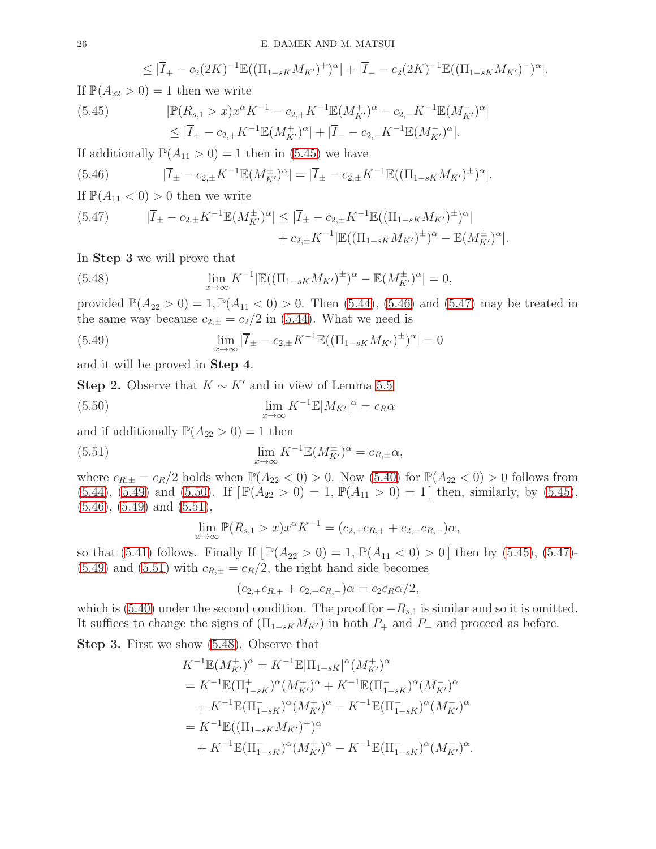$$
\leq |\overline{I}_{+} - c_{2}(2K)^{-1} \mathbb{E}((\Pi_{1-sK} M_{K'})^{+})^{\alpha}| + |\overline{I}_{-} - c_{2}(2K)^{-1} \mathbb{E}((\Pi_{1-sK} M_{K'})^{-})^{\alpha}|.
$$

If  $\mathbb{P}(A_{22} > 0) = 1$  then we write

<span id="page-25-0"></span>(5.45) 
$$
|\mathbb{P}(R_{s,1} > x)x^{\alpha}K^{-1} - c_{2,+}K^{-1}\mathbb{E}(M_{K'}^{+})^{\alpha} - c_{2,-}K^{-1}\mathbb{E}(M_{K'}^{-})^{\alpha}|
$$

$$
\leq |\overline{I}_{+} - c_{2,+}K^{-1}\mathbb{E}(M_{K'}^{+})^{\alpha}| + |\overline{I}_{-} - c_{2,-}K^{-1}\mathbb{E}(M_{K'}^{-})^{\alpha}|.
$$

If additionally  $\mathbb{P}(A_{11} > 0) = 1$  then in [\(5.45\)](#page-25-0) we have

<span id="page-25-1"></span>(5.46) 
$$
|\overline{I}_{\pm} - c_{2,\pm} K^{-1} \mathbb{E}(M_{K'}^{\pm})^{\alpha}| = |\overline{I}_{\pm} - c_{2,\pm} K^{-1} \mathbb{E}((\Pi_{1-sK} M_{K'})^{\pm})^{\alpha}|.
$$

If  $\mathbb{P}(A_{11} < 0) > 0$  then we write

<span id="page-25-2"></span>
$$
(5.47) \qquad |\overline{I}_{\pm} - c_{2,\pm} K^{-1} \mathbb{E}(M_{K'}^{\pm})^{\alpha}| \leq |\overline{I}_{\pm} - c_{2,\pm} K^{-1} \mathbb{E}((\Pi_{1-sK} M_{K'})^{\pm})^{\alpha}| + c_{2,\pm} K^{-1} |\mathbb{E}((\Pi_{1-sK} M_{K'})^{\pm})^{\alpha} - \mathbb{E}(M_{K'}^{\pm})^{\alpha}|.
$$

In Step 3 we will prove that

<span id="page-25-6"></span>(5.48) 
$$
\lim_{x \to \infty} K^{-1} |\mathbb{E}((\Pi_{1-sK} M_{K'})^{\pm})^{\alpha} - \mathbb{E}(M_{K'}^{\pm})^{\alpha}| = 0,
$$

provided  $\mathbb{P}(A_{22} > 0) = 1, \mathbb{P}(A_{11} < 0) > 0$ . Then [\(5.44\)](#page-24-5), [\(5.46\)](#page-25-1) and [\(5.47\)](#page-25-2) may be treated in the same way because  $c_{2,\pm} = c_2/2$  in [\(5.44\)](#page-24-5). What we need is

<span id="page-25-3"></span>(5.49) 
$$
\lim_{x \to \infty} |\overline{I}_{\pm} - c_{2,\pm} K^{-1} \mathbb{E}((\Pi_{1-sK} M_{K'})^{\pm})^{\alpha}| = 0
$$

and it will be proved in Step 4.

Step 2. Observe that  $K \sim K'$  and in view of Lemma [5.5](#page-21-0)

(5.50) 
$$
\lim_{x \to \infty} K^{-1} \mathbb{E} |M_{K'}|^{\alpha} = c_R \alpha
$$

and if additionally  $\mathbb{P}(A_{22} > 0) = 1$  then

(5.51) 
$$
\lim_{x \to \infty} K^{-1} \mathbb{E}(M_{K'}^{\pm})^{\alpha} = c_{R,\pm} \alpha,
$$

where  $c_{R,\pm} = c_R/2$  holds when  $\mathbb{P}(A_{22} < 0) > 0$ . Now  $(5.40)$  for  $\mathbb{P}(A_{22} < 0) > 0$  follows from  $(5.44)$ ,  $(5.49)$  and  $(5.50)$ . If  $[\mathbb{P}(A_{22} > 0) = 1, \mathbb{P}(A_{11} > 0) = 1]$  then, similarly, by  $(5.45)$ ,  $(5.46)$ ,  $(5.49)$  and  $(5.51)$ ,

<span id="page-25-5"></span><span id="page-25-4"></span>
$$
\lim_{x \to \infty} \mathbb{P}(R_{s,1} > x) x^{\alpha} K^{-1} = (c_{2,+} c_{R,+} + c_{2,-} c_{R,-}) \alpha,
$$

so that [\(5.41\)](#page-24-4) follows. Finally If  $[\mathbb{P}(A_{22} > 0) = 1, \mathbb{P}(A_{11} < 0) > 0]$  then by [\(5.45\)](#page-25-0), [\(5.47\)](#page-25-2)- $(5.49)$  and  $(5.51)$  with  $c_{R,\pm} = c_R/2$ , the right hand side becomes

$$
(c_{2,+}c_{R,+}+c_{2,-}c_{R,-})\alpha=c_2c_R\alpha/2,
$$

which is [\(5.40\)](#page-24-3) under the second condition. The proof for  $-R_{s,1}$  is similar and so it is omitted. It suffices to change the signs of  $(\Pi_{1-sK}M_{K})$  in both  $P_+$  and  $P_-$  and proceed as before.

Step 3. First we show [\(5.48\)](#page-25-6). Observe that

$$
K^{-1}\mathbb{E}(M_{K'}^{+})^{\alpha} = K^{-1}\mathbb{E}|\Pi_{1-sK}|^{\alpha}(M_{K'}^{+})^{\alpha}
$$
  
\n
$$
= K^{-1}\mathbb{E}(\Pi_{1-sK}^{+})^{\alpha}(M_{K'}^{+})^{\alpha} + K^{-1}\mathbb{E}(\Pi_{1-sK}^{-})^{\alpha}(M_{K'}^{-})^{\alpha}
$$
  
\n
$$
+ K^{-1}\mathbb{E}(\Pi_{1-sK}^{-})^{\alpha}(M_{K'}^{+})^{\alpha} - K^{-1}\mathbb{E}(\Pi_{1-sK}^{-})^{\alpha}(M_{K'}^{-})^{\alpha}
$$
  
\n
$$
= K^{-1}\mathbb{E}((\Pi_{1-sK}M_{K'})^{+})^{\alpha}
$$
  
\n
$$
+ K^{-1}\mathbb{E}(\Pi_{1-sK}^{-})^{\alpha}(M_{K'}^{+})^{\alpha} - K^{-1}\mathbb{E}(\Pi_{1-sK}^{-})^{\alpha}(M_{K'}^{-})^{\alpha}.
$$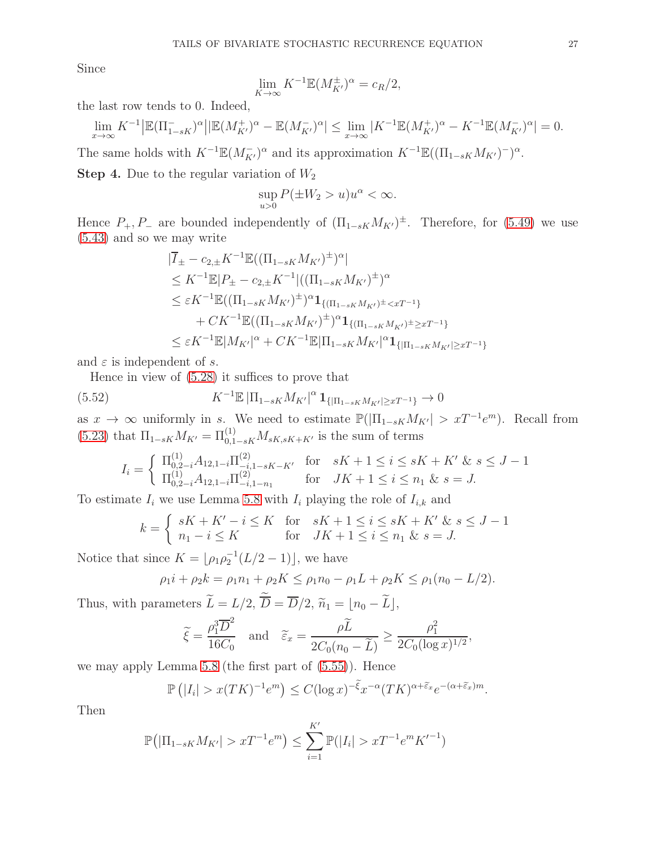Since

$$
\lim_{K \to \infty} K^{-1} \mathbb{E}(M_{K'}^{\pm})^{\alpha} = c_R/2,
$$

the last row tends to 0. Indeed,

$$
\lim_{x \to \infty} K^{-1} \left| \mathbb{E} (\Pi_{1-sK}^-)^{\alpha} \right| \left| \mathbb{E} (M_{K'}^+)^{\alpha} - \mathbb{E} (M_{K'}^-)^{\alpha} \right| \le \lim_{x \to \infty} |K^{-1} \mathbb{E} (M_{K'}^+)^{\alpha} - K^{-1} \mathbb{E} (M_{K'}^-)^{\alpha} | = 0.
$$

The same holds with  $K^{-1}\mathbb{E}(M_{K'}^-)^{\alpha}$  and its approximation  $K^{-1}\mathbb{E}((\Pi_{1-sK}M_{K'})^{-})^{\alpha}$ .

**Step 4.** Due to the regular variation of  $W_2$ 

$$
\sup_{u>0} P(\pm W_2 > u)u^{\alpha} < \infty.
$$

Hence  $P_+, P_-$  are bounded independently of  $(\Pi_{1-sK} M_{K'})^{\pm}$ . Therefore, for [\(5.49\)](#page-25-3) we use [\(5.43\)](#page-24-6) and so we may write

$$
|\overline{I}_{\pm} - c_{2,\pm} K^{-1} \mathbb{E}((\Pi_{1-sK} M_{K'})^{\pm})^{\alpha}|
$$
  
\n
$$
\leq K^{-1} \mathbb{E}|P_{\pm} - c_{2,\pm} K^{-1}|((\Pi_{1-sK} M_{K'})^{\pm})^{\alpha}
$$
  
\n
$$
\leq \varepsilon K^{-1} \mathbb{E}((\Pi_{1-sK} M_{K'})^{\pm})^{\alpha} \mathbf{1}_{\{(\Pi_{1-sK} M_{K'})^{\pm} < xT^{-1}\}}
$$
  
\n
$$
+ C K^{-1} \mathbb{E}((\Pi_{1-sK} M_{K'})^{\pm})^{\alpha} \mathbf{1}_{\{(\Pi_{1-sK} M_{K'})^{\pm} \geq xT^{-1}\}}
$$
  
\n
$$
\leq \varepsilon K^{-1} \mathbb{E}|M_{K'}|^{\alpha} + C K^{-1} \mathbb{E}|\Pi_{1-sK} M_{K'}|^{\alpha} \mathbf{1}_{\{|\Pi_{1-sK} M_{K'}| \geq xT^{-1}\}}
$$

and  $\varepsilon$  is independent of s.

Hence in view of [\(5.28\)](#page-21-2) it suffices to prove that

(5.52) 
$$
K^{-1}\mathbb{E}|\Pi_{1-sK}M_{K'}|^{\alpha}1_{\{|\Pi_{1-sK}M_{K'}|\ge xT^{-1}\}}\to 0
$$

as  $x \to \infty$  uniformly in s. We need to estimate  $\mathbb{P}(|\Pi_{1-sK}M_{K'}| > xT^{-1}e^m)$ . Recall from [\(5.23\)](#page-20-3) that  $\Pi_{1-sK} M_{K'} = \Pi_{0,1-sK}^{(1)} M_{sK,sK+K'}$  is the sum of terms

$$
I_i = \begin{cases} \Pi_{0,2-i}^{(1)} A_{12,1-i} \Pi_{-i,1-sK-K'}^{(2)} & \text{for} \quad sK+1 \le i \le sK+K' \ \& s \le J-1\\ \Pi_{0,2-i}^{(1)} A_{12,1-i} \Pi_{-i,1-n_1}^{(2)} & \text{for} \quad JK+1 \le i \le n_1 \ \& s = J. \end{cases}
$$

To estimate  $I_i$  we use Lemma [5.8](#page-28-1) with  $I_i$  playing the role of  $I_{i,k}$  and

$$
k = \begin{cases} sK + K' - i \le K & \text{for} \quad sK + 1 \le i \le sK + K' & \text{for} \quad s \le J - 1 \\ n_1 - i \le K & \text{for} \quad JK + 1 \le i \le n_1 & \text{for} \quad s = J. \end{cases}
$$

Notice that since  $K = \lfloor \rho_1 \rho_2^{-1} (L/2 - 1) \rfloor$ , we have

$$
\rho_1 i + \rho_2 k = \rho_1 n_1 + \rho_2 K \le \rho_1 n_0 - \rho_1 L + \rho_2 K \le \rho_1 (n_0 - L/2).
$$

Thus, with parameters  $L = L/2$ ,  $D = D/2$ ,  $\widetilde{n}_1 = \lfloor n_0 - L \rfloor$ ,

$$
\widetilde{\xi} = \frac{\rho_1^3 \overline{D}^2}{16C_0}
$$
 and  $\widetilde{\varepsilon}_x = \frac{\rho \widetilde{L}}{2C_0(n_0 - \widetilde{L})} \ge \frac{\rho_1^2}{2C_0(\log x)^{1/2}},$ 

we may apply Lemma [5.8](#page-28-1) (the first part of [\(5.55\)](#page-28-2)). Hence

$$
\mathbb{P}\left(|I_i| > x(TK)^{-1}e^m\right) \leq C(\log x)^{-\tilde{\xi}}x^{-\alpha}(TK)^{\alpha+\tilde{\varepsilon}_x}e^{-(\alpha+\tilde{\varepsilon}_x)m}.
$$

Then

$$
\mathbb{P}\big(|\Pi_{1-sK}M_{K'}| > xT^{-1}e^m\big) \le \sum_{i=1}^{K'} \mathbb{P}(|I_i| > xT^{-1}e^m{K'}^{-1})
$$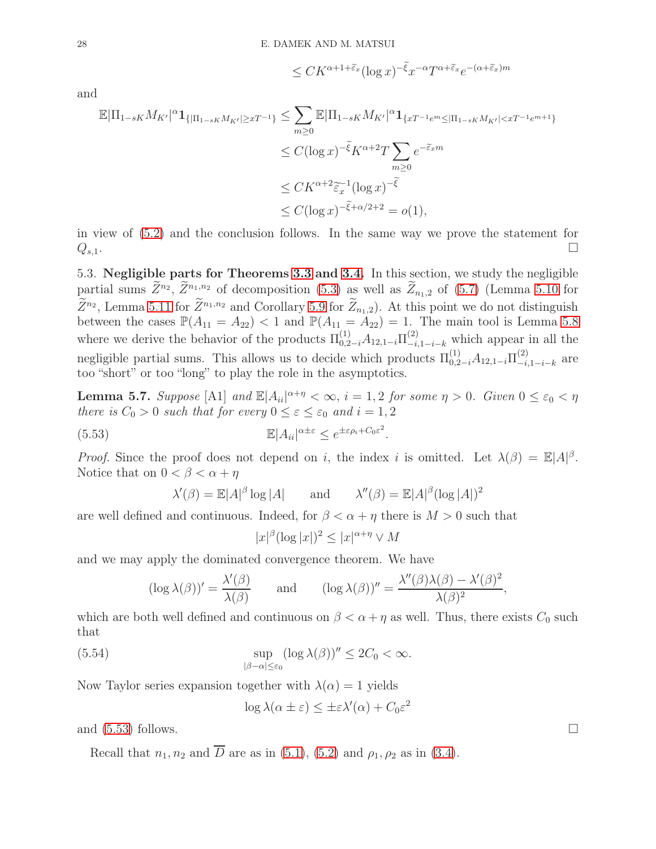$$
\leq CK^{\alpha+1+\widetilde{\varepsilon}_x}(\log x)^{-\widetilde{\xi}}x^{-\alpha}T^{\alpha+\widetilde{\varepsilon}_x}e^{-(\alpha+\widetilde{\varepsilon}_x)m}
$$

and

$$
\mathbb{E}|\Pi_{1-sK}M_{K'}|^\alpha \mathbf{1}_{\{|\Pi_{1-sK}M_{K'}|\ge xT^{-1}\}} \le \sum_{m\ge 0} \mathbb{E}|\Pi_{1-sK}M_{K'}|^\alpha \mathbf{1}_{\{xT^{-1}e^m \le |\Pi_{1-sK}M_{K'}| < xT^{-1}e^{m+1}\}}
$$
  
\n
$$
\le C(\log x)^{-\tilde{\xi}}K^{\alpha+2}T\sum_{m\ge 0}e^{-\tilde{\xi}_x m}
$$
  
\n
$$
\le CK^{\alpha+2}\tilde{\epsilon}_x^{-1}(\log x)^{-\tilde{\xi}}
$$
  
\n
$$
\le C(\log x)^{-\tilde{\xi}+\alpha/2+2} = o(1),
$$

in view of [\(5.2\)](#page-15-3) and the conclusion follows. In the same way we prove the statement for  $Q_{s,1}$ .

<span id="page-27-1"></span>5.3. Negligible parts for Theorems [3.3](#page-8-0) and [3.4.](#page-9-0) In this section, we study the negligible partial sums  $\overline{Z}^{n_2}$ ,  $\overline{Z}^{n_1,n_2}$  of decomposition [\(5.3\)](#page-15-1) as well as  $\overline{Z}_{n_1,2}$  of [\(5.7\)](#page-16-3) (Lemma [5.10](#page-29-0) for  $\bar{Z}^{n_2}$ , Lemma [5.11](#page-30-0) for  $\bar{Z}^{n_1,n_2}$  and Corollary [5.9](#page-28-0) for  $Z_{n_1,2}$ ). At this point we do not distinguish between the cases  $\mathbb{P}(A_{11} = A_{22}) < 1$  and  $\mathbb{P}(A_{11} = A_{22}) = 1$ . The main tool is Lemma [5.8](#page-28-1) where we derive the behavior of the products  $\Pi_{0,2-i}^{(1)} A_{12,1-i} \Pi_{-i,1-i-k}^{(2)}$  which appear in all the negligible partial sums. This allows us to decide which products  $\Pi_{0,2-i}^{(1)}A_{12,1-i}\Pi_{-i}^{(2)}$  $\overset{(2)}{-i,1-i-k}$  are too "short" or too "long" to play the role in the asymptotics.

<span id="page-27-2"></span>**Lemma 5.7.** Suppose [A1] and  $\mathbb{E}|A_{ii}|^{\alpha+\eta} < \infty$ ,  $i = 1, 2$  for some  $\eta > 0$ . Given  $0 \le \varepsilon_0 < \eta$ there is  $C_0 > 0$  such that for every  $0 \le \varepsilon \le \varepsilon_0$  and  $i = 1, 2$ 

(5.53) 
$$
\mathbb{E}|A_{ii}|^{\alpha \pm \varepsilon} \leq e^{\pm \varepsilon \rho_i + C_0 \varepsilon^2}.
$$

*Proof.* Since the proof does not depend on i, the index i is omitted. Let  $\lambda(\beta) = \mathbb{E}|A|^{\beta}$ . Notice that on  $0 < \beta < \alpha + \eta$ 

$$
\lambda'(\beta) = \mathbb{E}|A|^{\beta} \log |A| \quad \text{and} \quad \lambda''(\beta) = \mathbb{E}|A|^{\beta} (\log |A|)^2
$$

are well defined and continuous. Indeed, for  $\beta < \alpha + \eta$  there is  $M > 0$  such that

<span id="page-27-0"></span>
$$
|x|^{\beta}(\log|x|)^2 \le |x|^{\alpha+\eta} \vee M
$$

and we may apply the dominated convergence theorem. We have

$$
(\log \lambda(\beta))' = \frac{\lambda'(\beta)}{\lambda(\beta)} \quad \text{and} \quad (\log \lambda(\beta))'' = \frac{\lambda''(\beta)\lambda(\beta) - \lambda'(\beta)^2}{\lambda(\beta)^2},
$$

which are both well defined and continuous on  $\beta < \alpha + \eta$  as well. Thus, there exists  $C_0$  such that

(5.54) 
$$
\sup_{|\beta-\alpha|\leq \varepsilon_0} (\log \lambda(\beta))'' \leq 2C_0 < \infty.
$$

Now Taylor series expansion together with  $\lambda(\alpha) = 1$  yields

$$
\log \lambda(\alpha \pm \varepsilon) \leq \pm \varepsilon \lambda'(\alpha) + C_0 \varepsilon^2
$$

and  $(5.53)$  follows.

Recall that  $n_1, n_2$  and  $\overline{D}$  are as in [\(5.1\)](#page-15-4), [\(5.2\)](#page-15-3) and  $\rho_1, \rho_2$  as in [\(3.4\)](#page-6-8).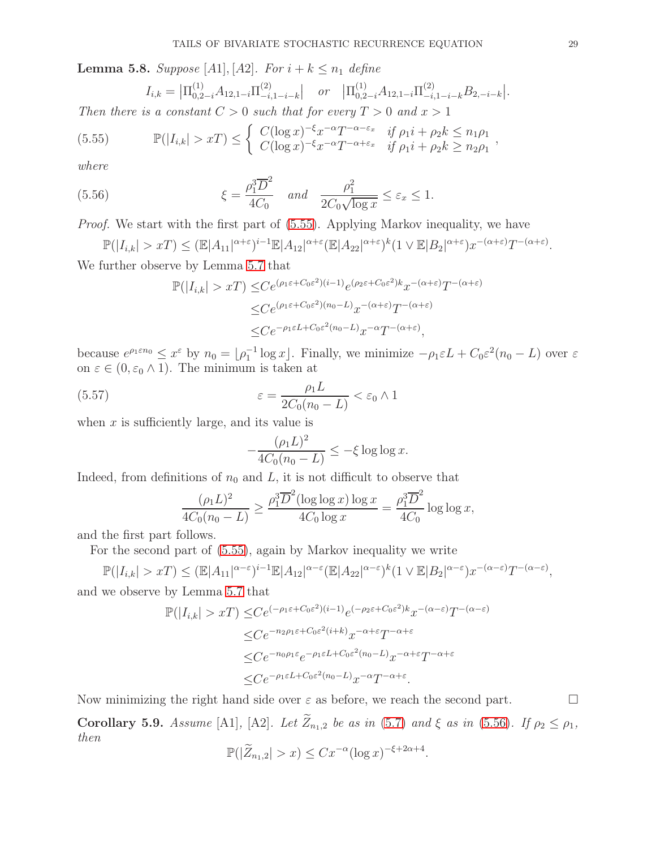<span id="page-28-1"></span>**Lemma 5.8.** Suppose [A1], [A2]. For  $i + k \leq n_1$  define

<span id="page-28-2"></span>
$$
I_{i,k} = \left| \Pi_{0,2-i}^{(1)} A_{12,1-i} \Pi_{-i,1-i-k}^{(2)} \right| \quad or \quad \left| \Pi_{0,2-i}^{(1)} A_{12,1-i} \Pi_{-i,1-i-k}^{(2)} B_{2,-i-k} \right|.
$$

Then there is a constant  $C > 0$  such that for every  $T > 0$  and  $x > 1$ 

(5.55) 
$$
\mathbb{P}(|I_{i,k}| > xT) \leq \begin{cases} C(\log x)^{-\xi} x^{-\alpha} T^{-\alpha-\varepsilon_x} & \text{if } \rho_1 i + \rho_2 k \leq n_1 \rho_1 \\ C(\log x)^{-\xi} x^{-\alpha} T^{-\alpha+\varepsilon_x} & \text{if } \rho_1 i + \rho_2 k \geq n_2 \rho_1 \end{cases}
$$

where

(5.56) 
$$
\xi = \frac{\rho_1^3 \overline{D}^2}{4C_0} \quad \text{and} \quad \frac{\rho_1^2}{2C_0 \sqrt{\log x}} \leq \varepsilon_x \leq 1.
$$

Proof. We start with the first part of [\(5.55\)](#page-28-2). Applying Markov inequality, we have

$$
\mathbb{P}(|I_{i,k}| > xT) \leq (\mathbb{E}|A_{11}|^{\alpha+\varepsilon})^{i-1}\mathbb{E}|A_{12}|^{\alpha+\varepsilon}(\mathbb{E}|A_{22}|^{\alpha+\varepsilon})^k(1 \vee \mathbb{E}|B_2|^{\alpha+\varepsilon})x^{-(\alpha+\varepsilon)}T^{-(\alpha+\varepsilon)}.
$$

We further observe by Lemma [5.7](#page-27-2) that

<span id="page-28-3"></span>
$$
\mathbb{P}(|I_{i,k}| > xT) \leq Ce^{(\rho_1 \varepsilon + C_0 \varepsilon^2)(i-1)} e^{(\rho_2 \varepsilon + C_0 \varepsilon^2)k} x^{-(\alpha + \varepsilon)} T^{-(\alpha + \varepsilon)}
$$
  

$$
\leq Ce^{(\rho_1 \varepsilon + C_0 \varepsilon^2)(n_0 - L)} x^{-(\alpha + \varepsilon)} T^{-(\alpha + \varepsilon)}
$$
  

$$
\leq Ce^{-\rho_1 \varepsilon L + C_0 \varepsilon^2(n_0 - L)} x^{-\alpha} T^{-(\alpha + \varepsilon)},
$$

because  $e^{\rho_1 \varepsilon n_0} \leq x^{\varepsilon}$  by  $n_0 = \lfloor \rho_1^{-1} \log x \rfloor$ . Finally, we minimize  $-\rho_1 \varepsilon L + C_0 \varepsilon^2 (n_0 - L)$  over  $\varepsilon$ on  $\varepsilon \in (0, \varepsilon_0 \wedge 1)$ . The minimum is taken at

(5.57) 
$$
\varepsilon = \frac{\rho_1 L}{2C_0(n_0 - L)} < \varepsilon_0 \wedge 1
$$

when  $x$  is sufficiently large, and its value is

$$
-\frac{(\rho_1 L)^2}{4C_0(n_0-L)} \leq -\xi \log \log x.
$$

Indeed, from definitions of  $n_0$  and L, it is not difficult to observe that

$$
\frac{(\rho_1 L)^2}{4C_0(n_0 - L)} \ge \frac{\rho_1^3 \overline{D}^2 (\log \log x) \log x}{4C_0 \log x} = \frac{\rho_1^3 \overline{D}^2}{4C_0} \log \log x,
$$

and the first part follows.

For the second part of [\(5.55\)](#page-28-2), again by Markov inequality we write

$$
\mathbb{P}(|I_{i,k}| > xT) \leq (\mathbb{E}|A_{11}|^{\alpha-\varepsilon})^{i-1} \mathbb{E}|A_{12}|^{\alpha-\varepsilon} (\mathbb{E}|A_{22}|^{\alpha-\varepsilon})^k (1 \vee \mathbb{E}|B_2|^{\alpha-\varepsilon}) x^{-(\alpha-\varepsilon)} T^{-(\alpha-\varepsilon)},
$$

and we observe by Lemma [5.7](#page-27-2) that

$$
\mathbb{P}(|I_{i,k}| > xT) \leq Ce^{(-\rho_1 \varepsilon + C_0 \varepsilon^2)(i-1)} e^{(-\rho_2 \varepsilon + C_0 \varepsilon^2)k} x^{-(\alpha - \varepsilon)} T^{-(\alpha - \varepsilon)}
$$
  

$$
\leq Ce^{-n_2 \rho_1 \varepsilon + C_0 \varepsilon^2 (i+k)} x^{-\alpha + \varepsilon} T^{-\alpha + \varepsilon}
$$
  

$$
\leq Ce^{-n_0 \rho_1 \varepsilon} e^{-\rho_1 \varepsilon L + C_0 \varepsilon^2 (n_0 - L)} x^{-\alpha + \varepsilon} T^{-\alpha + \varepsilon}
$$
  

$$
\leq Ce^{-\rho_1 \varepsilon L + C_0 \varepsilon^2 (n_0 - L)} x^{-\alpha} T^{-\alpha + \varepsilon}.
$$

Now minimizing the right hand side over  $\varepsilon$  as before, we reach the second part.

<span id="page-28-0"></span>Corollary 5.9. Assume [A1], [A2]. Let  $\widetilde{Z}_{n_1,2}$  be as in [\(5.7\)](#page-16-3) and  $\xi$  as in [\(5.56\)](#page-28-3). If  $\rho_2 \leq \rho_1$ , then

$$
\mathbb{P}(|\widetilde{Z}_{n_1,2}| > x) \le Cx^{-\alpha}(\log x)^{-\xi + 2\alpha + 4}.
$$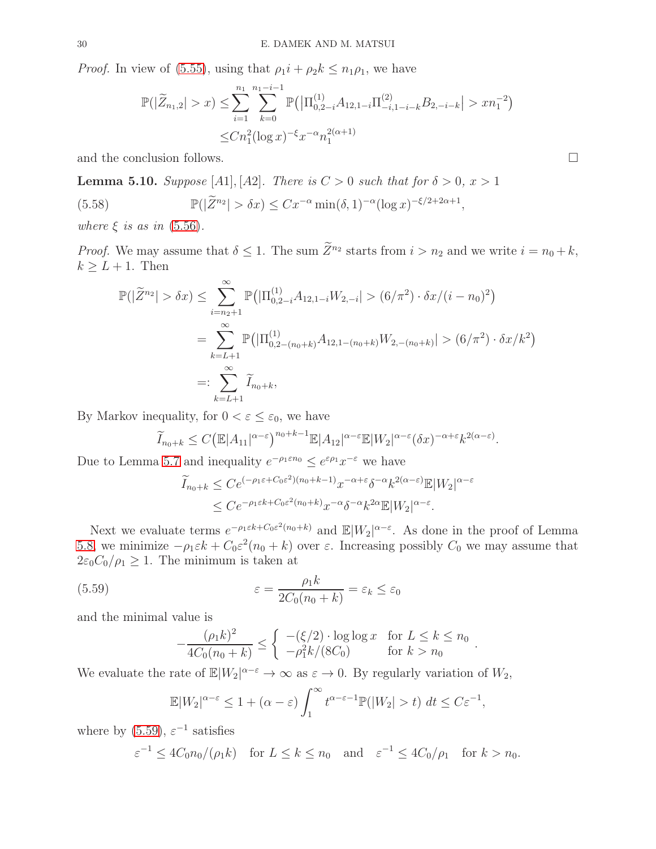*Proof.* In view of [\(5.55\)](#page-28-2), using that  $\rho_1 i + \rho_2 k \leq n_1 \rho_1$ , we have

$$
\mathbb{P}(|\widetilde{Z}_{n_1,2}| > x) \le \sum_{i=1}^{n_1} \sum_{k=0}^{n_1 - i - 1} \mathbb{P}(|\Pi_{0,2-i}^{(1)} A_{12,1-i} \Pi_{-i,1-i-k}^{(2)} B_{2,-i-k}| > xn_1^{-2})
$$
  

$$
\le Cn_1^2 (\log x)^{-\xi} x^{-\alpha} n_1^{2(\alpha+1)}
$$

and the conclusion follows.

<span id="page-29-0"></span>**Lemma 5.10.** Suppose [A1], [A2]. There is  $C > 0$  such that for  $\delta > 0$ ,  $x > 1$ 

(5.58) 
$$
\mathbb{P}(|\widetilde{Z}^{n_2}| > \delta x) \leq C x^{-\alpha} \min(\delta, 1)^{-\alpha} (\log x)^{-\xi/2 + 2\alpha + 1},
$$

where  $\xi$  is as in [\(5.56\)](#page-28-3).

*Proof.* We may assume that  $\delta \leq 1$ . The sum  $\widetilde{Z}^{n_2}$  starts from  $i > n_2$  and we write  $i = n_0 + k$ ,  $k \geq L+1$ . Then

<span id="page-29-2"></span>
$$
\mathbb{P}(|\widetilde{Z}^{n_2}| > \delta x) \leq \sum_{i=n_2+1}^{\infty} \mathbb{P}(|\Pi_{0,2-i}^{(1)} A_{12,1-i} W_{2,-i}| > (6/\pi^2) \cdot \delta x/(i - n_0)^2)
$$
  
= 
$$
\sum_{k=L+1}^{\infty} \mathbb{P}(|\Pi_{0,2-(n_0+k)}^{(1)} A_{12,1-(n_0+k)} W_{2,-(n_0+k)}| > (6/\pi^2) \cdot \delta x/k^2)
$$
  
=: 
$$
\sum_{k=L+1}^{\infty} \widetilde{I}_{n_0+k},
$$

By Markov inequality, for  $0 < \varepsilon \leq \varepsilon_0$ , we have

$$
\widetilde{I}_{n_0+k} \le C \big(\mathbb{E}|A_{11}|^{\alpha-\varepsilon}\big)^{n_0+k-1} \mathbb{E}|A_{12}|^{\alpha-\varepsilon} \mathbb{E}|W_2|^{\alpha-\varepsilon} (\delta x)^{-\alpha+\varepsilon} k^{2(\alpha-\varepsilon)}.
$$

Due to Lemma [5.7](#page-27-2) and inequality  $e^{-\rho_1 \varepsilon n_0} \leq e^{\varepsilon \rho_1} x^{-\varepsilon}$  we have

$$
\widetilde{I}_{n_0+k} \leq C e^{(-\rho_1 \varepsilon + C_0 \varepsilon^2)(n_0 + k - 1)} x^{-\alpha + \varepsilon} \delta^{-\alpha} k^{2(\alpha - \varepsilon)} \mathbb{E}|W_2|^{\alpha - \varepsilon}
$$
\n
$$
\leq C e^{-\rho_1 \varepsilon k + C_0 \varepsilon^2 (n_0 + k)} x^{-\alpha} \delta^{-\alpha} k^{2\alpha} \mathbb{E}|W_2|^{\alpha - \varepsilon}.
$$

Next we evaluate terms  $e^{-\rho_1 \varepsilon k + C_0 \varepsilon^2 (n_0 + k)}$  and  $\mathbb{E}|W_2|^{\alpha - \varepsilon}$ . As done in the proof of Lemma [5.8,](#page-28-1) we minimize  $-\rho_1 \varepsilon k + C_0 \varepsilon^2 (n_0 + k)$  over  $\varepsilon$ . Increasing possibly  $C_0$  we may assume that  $2\varepsilon_0C_0/\rho_1 \geq 1$ . The minimum is taken at

<span id="page-29-1"></span>(5.59) 
$$
\varepsilon = \frac{\rho_1 k}{2C_0(n_0 + k)} = \varepsilon_k \le \varepsilon_0
$$

and the minimal value is

$$
-\frac{(\rho_1 k)^2}{4C_0(n_0+k)} \le \begin{cases} -(\xi/2) \cdot \log \log x & \text{for } L \le k \le n_0 \\ -\rho_1^2 k/(8C_0) & \text{for } k > n_0 \end{cases}
$$

.

We evaluate the rate of  $\mathbb{E}|W_2|^{\alpha-\varepsilon} \to \infty$  as  $\varepsilon \to 0$ . By regularly variation of  $W_2$ ,

$$
\mathbb{E}|W_2|^{\alpha-\varepsilon} \le 1 + (\alpha-\varepsilon) \int_1^\infty t^{\alpha-\varepsilon-1} \mathbb{P}(|W_2| > t) \ dt \le C\varepsilon^{-1},
$$

where by  $(5.59)$ ,  $\varepsilon^{-1}$  satisfies

$$
\varepsilon^{-1} \le 4C_0 n_0/(\rho_1 k) \quad \text{for } L \le k \le n_0 \quad \text{and} \quad \varepsilon^{-1} \le 4C_0/\rho_1 \quad \text{for } k > n_0.
$$

$$
\qquad \qquad \Box
$$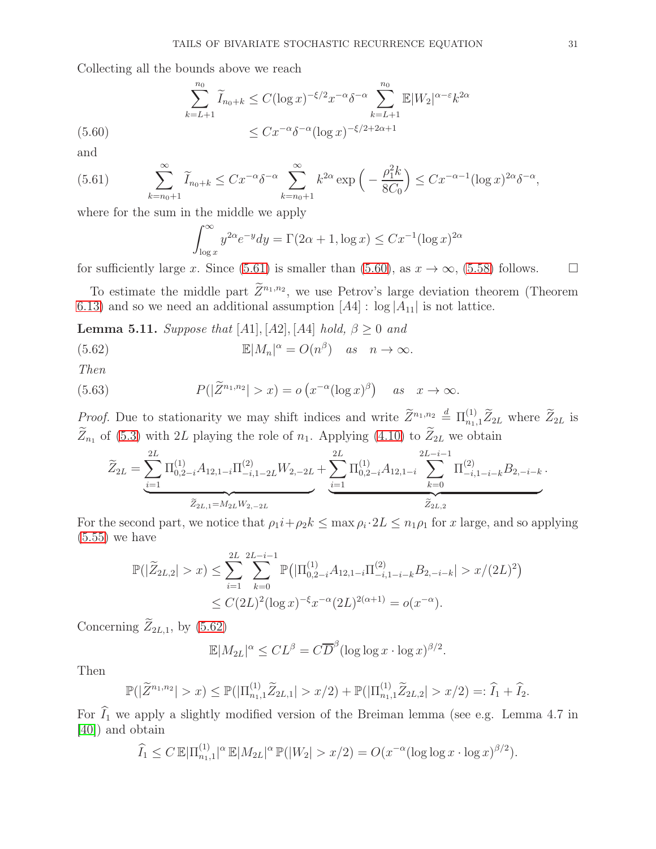Collecting all the bounds above we reach

$$
\sum_{k=L+1}^{n_0} \widetilde{I}_{n_0+k} \le C(\log x)^{-\xi/2} x^{-\alpha} \delta^{-\alpha} \sum_{k=L+1}^{n_0} \mathbb{E}|W_2|^{\alpha-\varepsilon} k^{2\alpha}
$$
\n
$$
\le C x^{-\alpha} \delta^{-\alpha} (\log x)^{-\xi/2+2\alpha+1}
$$

<span id="page-30-2"></span>and

<span id="page-30-1"></span>(5.61) 
$$
\sum_{k=n_0+1}^{\infty} \widetilde{I}_{n_0+k} \leq C x^{-\alpha} \delta^{-\alpha} \sum_{k=n_0+1}^{\infty} k^{2\alpha} \exp\left(-\frac{\rho_1^2 k}{8C_0}\right) \leq C x^{-\alpha-1} (\log x)^{2\alpha} \delta^{-\alpha},
$$

where for the sum in the middle we apply

<span id="page-30-3"></span>
$$
\int_{\log x}^{\infty} y^{2\alpha} e^{-y} dy = \Gamma(2\alpha + 1, \log x) \le C x^{-1} (\log x)^{2\alpha}
$$

for sufficiently large x. Since [\(5.61\)](#page-30-1) is smaller than [\(5.60\)](#page-30-2), as  $x \to \infty$ , [\(5.58\)](#page-29-2) follows.  $\square$ 

To estimate the middle part  $Z^{n_1,n_2}$ , we use Petrov's large deviation theorem (Theorem [6.13\)](#page-39-0) and so we need an additional assumption  $[A4]$  : log  $|A_{11}|$  is not lattice.

<span id="page-30-0"></span>**Lemma 5.11.** Suppose that [A1], [A2], [A4] hold,  $\beta \ge 0$  and

(5.62) 
$$
\mathbb{E}|M_n|^{\alpha} = O(n^{\beta}) \quad as \quad n \to \infty.
$$

Then

(5.63) 
$$
P(|\widetilde{Z}^{n_1,n_2}| > x) = o(x^{-\alpha}(\log x)^{\beta}) \quad \text{as} \quad x \to \infty.
$$

*Proof.* Due to stationarity we may shift indices and write  $\widetilde{Z}^{n_1,n_2} \stackrel{d}{=} \Pi_{n_1,1}^{(1)} \widetilde{Z}_{2L}$  where  $\widetilde{Z}_{2L}$  is  $\widetilde{Z}_{n_1}$  of [\(5.3\)](#page-15-1) with 2L playing the role of  $n_1$ . Applying [\(4.10\)](#page-12-3) to  $\widetilde{Z}_{2L}$  we obtain

<span id="page-30-4"></span>
$$
\widetilde{Z}_{2L} = \underbrace{\sum_{i=1}^{2L} \Pi_{0,2-i}^{(1)} A_{12,1-i} \Pi_{-i,1-2L}^{(2)} W_{2,-2L}}_{\widetilde{Z}_{2L,1} = M_{2L} W_{2,-2L}} + \underbrace{\sum_{i=1}^{2L} \Pi_{0,2-i}^{(1)} A_{12,1-i}}_{\widetilde{Z}_{2L,2}} \underbrace{\sum_{k=0}^{2L-i-1} \Pi_{-i,1-i-k}^{(2)} B_{2,-i-k}}_{\widetilde{Z}_{2L,2}}.
$$

For the second part, we notice that  $\rho_1 i + \rho_2 k \leq \max \rho_i \cdot 2L \leq n_1 \rho_1$  for x large, and so applying  $(5.55)$  we have

$$
\mathbb{P}(|\widetilde{Z}_{2L,2}| > x) \le \sum_{i=1}^{2L} \sum_{k=0}^{2L-i-1} \mathbb{P}\big(|\Pi_{0,2-i}^{(1)} A_{12,1-i}\Pi_{-i,1-i-k}^{(2)} B_{2,-i-k}| > x/(2L)^2\big) \le C(2L)^2(\log x)^{-\xi} x^{-\alpha} (2L)^{2(\alpha+1)} = o(x^{-\alpha}).
$$

Concerning  $\widetilde{Z}_{2L,1}$ , by [\(5.62\)](#page-30-3)

$$
\mathbb{E}|M_{2L}|^{\alpha} \leq CL^{\beta} = C\overline{D}^{\beta}(\log \log x \cdot \log x)^{\beta/2}.
$$

Then

$$
\mathbb{P}(|\widetilde{Z}^{n_1,n_2}|>x)\leq \mathbb{P}(|\Pi_{n_1,1}^{(1)}\widetilde{Z}_{2L,1}|>x/2)+\mathbb{P}(|\Pi_{n_1,1}^{(1)}\widetilde{Z}_{2L,2}|>x/2)=:\widehat{I}_1+\widehat{I}_2.
$$

For  $\widehat{I}_1$  we apply a slightly modified version of the Breiman lemma (see e.g. Lemma 4.7 in [\[40\]](#page-42-9)) and obtain

$$
\widehat{I}_1 \leq C \, \mathbb{E} |\Pi_{n_1,1}^{(1)}|^{\alpha} \, \mathbb{E} |M_{2L}|^{\alpha} \, \mathbb{P}(|W_2| > x/2) = O(x^{-\alpha} (\log \log x \cdot \log x)^{\beta/2}).
$$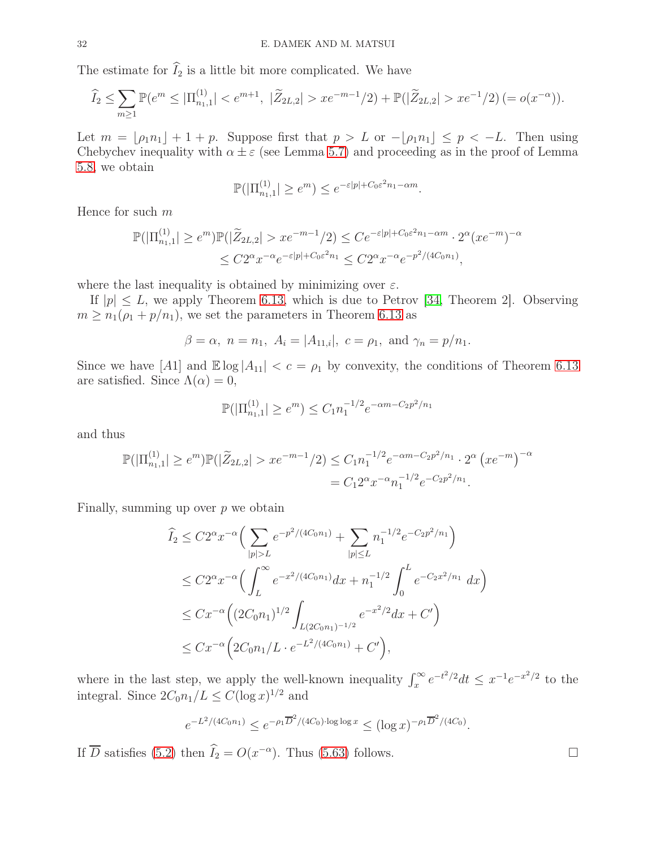The estimate for  $\widehat{I}_2$  is a little bit more complicated. We have

$$
\widehat{I}_2 \le \sum_{m \ge 1} \mathbb{P}(e^m \le |\Pi_{n_1,1}^{(1)}| < e^{m+1}, \ |\widetilde{Z}_{2L,2}| > x e^{-m-1}/2) + \mathbb{P}(|\widetilde{Z}_{2L,2}| > x e^{-1}/2) \ (= o(x^{-\alpha})).
$$

Let  $m = \lfloor \rho_1 n_1 \rfloor + 1 + p$ . Suppose first that  $p > L$  or  $-\lfloor \rho_1 n_1 \rfloor \le p < -L$ . Then using Chebychev inequality with  $\alpha \pm \varepsilon$  (see Lemma [5.7\)](#page-27-2) and proceeding as in the proof of Lemma [5.8,](#page-28-1) we obtain

$$
\mathbb{P}(|\Pi_{n_1,1}^{(1)}| \ge e^m) \le e^{-\varepsilon|p| + C_0 \varepsilon^2 n_1 - \alpha m}.
$$

Hence for such  $m$ 

$$
\mathbb{P}(|\Pi_{n_1,1}^{(1)}| \ge e^m)\mathbb{P}(|\widetilde{Z}_{2L,2}| > xe^{-m-1}/2) \le Ce^{-\varepsilon|p| + C_0 \varepsilon^2 n_1 - \alpha m} \cdot 2^{\alpha} (xe^{-m})^{-\alpha}
$$
  

$$
\le C2^{\alpha} x^{-\alpha} e^{-\varepsilon|p| + C_0 \varepsilon^2 n_1} \le C2^{\alpha} x^{-\alpha} e^{-p^2/(4C_0 n_1)},
$$

where the last inequality is obtained by minimizing over  $\varepsilon$ .

If  $|p| \leq L$ , we apply Theorem [6.13,](#page-39-0) which is due to Petrov [\[34,](#page-42-13) Theorem 2]. Observing  $m \geq n_1(\rho_1 + p/n_1)$ , we set the parameters in Theorem [6.13](#page-39-0) as

$$
\beta = \alpha, \ n = n_1, \ A_i = |A_{11,i}|, \ c = \rho_1, \text{ and } \gamma_n = p/n_1.
$$

Since we have [A1] and  $\mathbb{E} \log |A_{11}| < c = \rho_1$  by convexity, the conditions of Theorem [6.13](#page-39-0) are satisfied. Since  $\Lambda(\alpha) = 0$ ,

$$
\mathbb{P}(|\Pi_{n_1,1}^{(1)}| \ge e^m) \le C_1 n_1^{-1/2} e^{-\alpha m - C_2 p^2/n_1}
$$

and thus

$$
\mathbb{P}(|\Pi_{n_1,1}^{(1)}| \ge e^m)\mathbb{P}(|\widetilde{Z}_{2L,2}| > xe^{-m-1}/2) \le C_1 n_1^{-1/2} e^{-\alpha m - C_2 p^2/n_1} \cdot 2^{\alpha} \left( xe^{-m} \right)^{-\alpha}
$$
  
=  $C_1 2^{\alpha} x^{-\alpha} n_1^{-1/2} e^{-C_2 p^2/n_1}$ .

Finally, summing up over  $p$  we obtain

$$
\begin{split}\n\widehat{I}_2 &\leq C2^{\alpha} x^{-\alpha} \Big( \sum_{|p|>L} e^{-p^2/(4C_0 n_1)} + \sum_{|p| \leq L} n_1^{-1/2} e^{-C_2 p^2/n_1} \Big) \\
&\leq C2^{\alpha} x^{-\alpha} \Big( \int_L^{\infty} e^{-x^2/(4C_0 n_1)} dx + n_1^{-1/2} \int_0^L e^{-C_2 x^2/n_1} dx \Big) \\
&\leq C x^{-\alpha} \Big( (2C_0 n_1)^{1/2} \int_{L(2C_0 n_1)^{-1/2}} e^{-x^2/2} dx + C' \Big) \\
&\leq C x^{-\alpha} \Big( 2C_0 n_1/L \cdot e^{-L^2/(4C_0 n_1)} + C' \Big),\n\end{split}
$$

where in the last step, we apply the well-known inequality  $\int_x^{\infty} e^{-t^2/2} dt \leq x^{-1} e^{-x^2/2}$  to the integral. Since  $2C_0n_1/L \leq C(\log x)^{1/2}$  and

$$
e^{-L^2/(4C_0n_1)} \le e^{-\rho_1 \overline{D}^2/(4C_0) \cdot \log \log x} \le (\log x)^{-\rho_1 \overline{D}^2/(4C_0)}.
$$

If  $\overline{D}$  satisfies [\(5.2\)](#page-15-3) then  $\overline{I}_2 = O(x^{-\alpha})$ . Thus [\(5.63\)](#page-30-4) follows.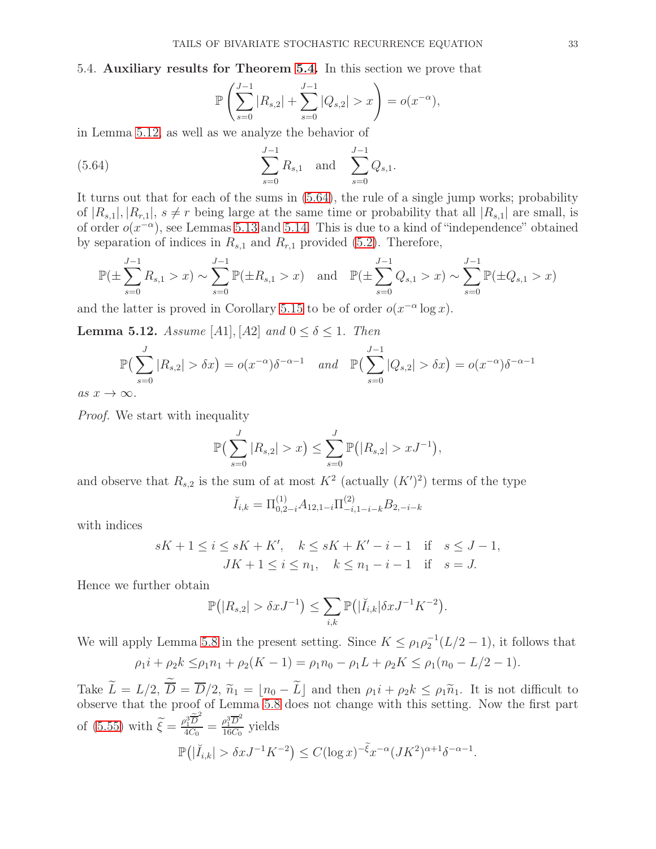<span id="page-32-0"></span>5.4. Auxiliary results for Theorem [5.4.](#page-19-5) In this section we prove that

<span id="page-32-2"></span>
$$
\mathbb{P}\left(\sum_{s=0}^{J-1} |R_{s,2}| + \sum_{s=0}^{J-1} |Q_{s,2}| > x\right) = o(x^{-\alpha}),
$$

in Lemma [5.12,](#page-32-1) as well as we analyze the behavior of

(5.64) 
$$
\sum_{s=0}^{J-1} R_{s,1} \text{ and } \sum_{s=0}^{J-1} Q_{s,1}.
$$

It turns out that for each of the sums in [\(5.64\)](#page-32-2), the rule of a single jump works; probability of  $|R_{s,1}|, |R_{r,1}|, s \neq r$  being large at the same time or probability that all  $|R_{s,1}|$  are small, is of order  $o(x^{-\alpha})$ , see Lemmas [5.13](#page-33-0) and [5.14.](#page-34-0) This is due to a kind of "independence" obtained by separation of indices in  $R_{s,1}$  and  $R_{r,1}$  provided [\(5.2\)](#page-15-3). Therefore,

$$
\mathbb{P}(\pm \sum_{s=0}^{J-1} R_{s,1} > x) \sim \sum_{s=0}^{J-1} \mathbb{P}(\pm R_{s,1} > x) \text{ and } \mathbb{P}(\pm \sum_{s=0}^{J-1} Q_{s,1} > x) \sim \sum_{s=0}^{J-1} \mathbb{P}(\pm Q_{s,1} > x)
$$

and the latter is proved in Corollary [5.15](#page-35-0) to be of order  $o(x^{-\alpha} \log x)$ .

<span id="page-32-1"></span>**Lemma 5.12.** Assume [A1], [A2] and  $0 \le \delta \le 1$ . Then

$$
\mathbb{P}\left(\sum_{s=0}^{J} |R_{s,2}| > \delta x\right) = o(x^{-\alpha})\delta^{-\alpha-1} \quad \text{and} \quad \mathbb{P}\left(\sum_{s=0}^{J-1} |Q_{s,2}| > \delta x\right) = o(x^{-\alpha})\delta^{-\alpha-1}
$$

as  $x \to \infty$ .

*Proof.* We start with inequality

$$
\mathbb{P}\left(\sum_{s=0}^{J} |R_{s,2}| > x\right) \leq \sum_{s=0}^{J} \mathbb{P}\big(|R_{s,2}| > xJ^{-1}\big),\
$$

and observe that  $R_{s,2}$  is the sum of at most  $K^2$  (actually  $(K')^2$ ) terms of the type

$$
\breve{I}_{i,k} = \Pi^{(1)}_{0,2-i} A_{12,1-i} \Pi^{(2)}_{-i,1-i-k} B_{2,-i-k}
$$

with indices

$$
sK + 1 \le i \le sK + K', \quad k \le sK + K' - i - 1 \quad \text{if} \quad s \le J - 1,
$$
  

$$
JK + 1 \le i \le n_1, \quad k \le n_1 - i - 1 \quad \text{if} \quad s = J.
$$

Hence we further obtain

$$
\mathbb{P}(|R_{s,2}| > \delta x J^{-1}) \leq \sum_{i,k} \mathbb{P}(|\check{I}_{i,k}| \delta x J^{-1} K^{-2}).
$$

We will apply Lemma [5.8](#page-28-1) in the present setting. Since  $K \leq \rho_1 \rho_2^{-1}(L/2 - 1)$ , it follows that

$$
\rho_1 i + \rho_2 k \le \rho_1 n_1 + \rho_2 (K - 1) = \rho_1 n_0 - \rho_1 L + \rho_2 K \le \rho_1 (n_0 - L/2 - 1).
$$

Take  $L = L/2$ ,  $D = D/2$ ,  $\tilde{n}_1 = \lfloor n_0 - L \rfloor$  and then  $\rho_1 i + \rho_2 k \le \rho_1 \tilde{n}_1$ . It is not difficult to observe that the proof of Lemma [5.8](#page-28-1) does not change with this setting. Now the first part of [\(5.55\)](#page-28-2) with  $\widetilde{\xi} = \frac{\rho_1^3 \widetilde{D}^2}{4C_0}$  $\frac{\rho_1^3\widetilde{\overline{D}}^2}{4C_0}=\frac{\rho_1^3\overline{D}^2}{16C_0}$  $\frac{\rho_1 D}{16C_0}$  yields  $\mathbb{P}(|\breve{I}_{i,k}| > \delta x J^{-1} K^{-2}) \leq C(\log x)^{-\tilde{\xi}} x^{-\alpha} (JK^2)^{\alpha+1} \delta^{-\alpha-1}.$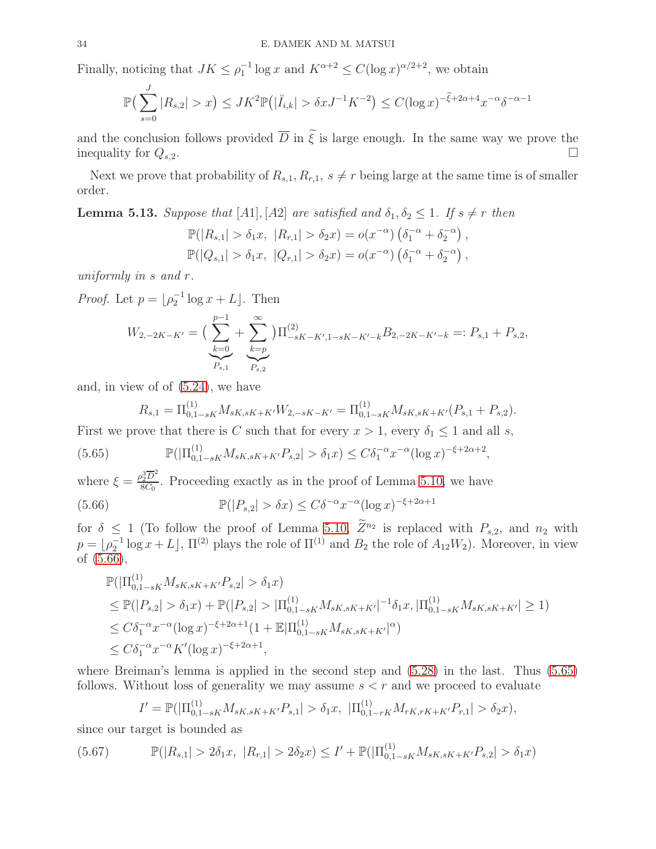Finally, noticing that  $JK \leq \rho_1^{-1} \log x$  and  $K^{\alpha+2} \leq C(\log x)^{\alpha/2+2}$ , we obtain

$$
\mathbb{P}\left(\sum_{s=0}^{J}|R_{s,2}|>x\right)\leq JK^2\mathbb{P}\left(|\check{I}_{i,k}|>\delta xJ^{-1}K^{-2}\right)\leq C(\log x)^{-\tilde{\xi}+2\alpha+4}x^{-\alpha}\delta^{-\alpha-1}
$$

and the conclusion follows provided  $\overline{D}$  in  $\tilde{\xi}$  is large enough. In the same way we prove the inequality for  $Q_{s,2}$ . inequality for  $Q_{s,2}$ .

Next we prove that probability of  $R_{s,1}, R_{r,1}, s \neq r$  being large at the same time is of smaller order.

<span id="page-33-0"></span>**Lemma 5.13.** Suppose that [A1], [A2] are satisfied and  $\delta_1, \delta_2 \leq 1$ . If  $s \neq r$  then

$$
\mathbb{P}(|R_{s,1}| > \delta_1 x, |R_{r,1}| > \delta_2 x) = o(x^{-\alpha}) \left(\delta_1^{-\alpha} + \delta_2^{-\alpha}\right), \n\mathbb{P}(|Q_{s,1}| > \delta_1 x, |Q_{r,1}| > \delta_2 x) = o(x^{-\alpha}) \left(\delta_1^{-\alpha} + \delta_2^{-\alpha}\right),
$$

uniformly in s and r.

*Proof.* Let  $p = \lfloor \rho_2^{-1} \log x + L \rfloor$ . Then

$$
W_{2,-2K-K'} = \left(\sum_{k=0}^{p-1} + \sum_{\substack{k=p \ p_{s,1}}}^{\infty}\right) \prod_{-sK-K',1-sK-K'-k}^{(2)} B_{2,-2K-K'-k} =: P_{s,1} + P_{s,2},
$$

and, in view of of [\(5.24\)](#page-20-2), we have

<span id="page-33-2"></span><span id="page-33-1"></span>
$$
R_{s,1} = \Pi_{0,1-sK}^{(1)} M_{sK,sK+K'} W_{2,-sK-K'} = \Pi_{0,1-sK}^{(1)} M_{sK,sK+K'} (P_{s,1} + P_{s,2}).
$$

First we prove that there is C such that for every  $x > 1$ , every  $\delta_1 \leq 1$  and all s,

$$
(5.65) \t\t\t\t\mathbb{P}(|\Pi_{0,1-sK}^{(1)}M_{sK,sK+K'}P_{s,2}| > \delta_1 x) \leq C\delta_1^{-\alpha}x^{-\alpha}(\log x)^{-\xi+2\alpha+2},
$$

where  $\xi = \frac{\rho_2^3 \overline{D}^2}{8C_0}$  $\frac{R_2D}{8C_0}$ . Proceeding exactly as in the proof of Lemma [5.10,](#page-29-0) we have (5.66)  $\mathbb{P}(|P_{s,2}| > \delta x) \leq C\delta^{-\alpha} x^{-\alpha} (\log x)^{-\xi + 2\alpha + 1}$ 

for  $\delta \leq 1$  (To follow the proof of Lemma [5.10,](#page-29-0)  $Z^{n_2}$  is replaced with  $P_{s,2}$ , and  $n_2$  with  $p = \lfloor \rho_2^{-1} \log x + L \rfloor$ ,  $\Pi^{(2)}$  plays the role of  $\Pi^{(1)}$  and  $B_2$  the role of  $A_{12}W_2$ ). Moreover, in view of [\(5.66\)](#page-33-1),

$$
\mathbb{P}(|\Pi_{0,1-sK}^{(1)}M_{sK,sK+K'}P_{s,2}| > \delta_1 x)
$$
\n
$$
\leq \mathbb{P}(|P_{s,2}| > \delta_1 x) + \mathbb{P}(|P_{s,2}| > |\Pi_{0,1-sK}^{(1)}M_{sK,sK+K'}|^{-1}\delta_1 x, |\Pi_{0,1-sK}^{(1)}M_{sK,sK+K'}| \geq 1)
$$
\n
$$
\leq C\delta_1^{-\alpha}x^{-\alpha}(\log x)^{-\xi+2\alpha+1}(1+\mathbb{E}|\Pi_{0,1-sK}^{(1)}M_{sK,sK+K'}|^{\alpha})
$$
\n
$$
\leq C\delta_1^{-\alpha}x^{-\alpha}K'(\log x)^{-\xi+2\alpha+1},
$$

where Breiman's lemma is applied in the second step and [\(5.28\)](#page-21-2) in the last. Thus [\(5.65\)](#page-33-2) follows. Without loss of generality we may assume  $s < r$  and we proceed to evaluate

$$
I' = \mathbb{P}(|\Pi_{0,1-sK}^{(1)} M_{sK,sK+K'}P_{s,1}| > \delta_1 x, \; |\Pi_{0,1-rK}^{(1)} M_{rK,rK+K'}P_{r,1}| > \delta_2 x),
$$

since our target is bounded as

<span id="page-33-3"></span>
$$
(5.67) \qquad \mathbb{P}(|R_{s,1}| > 2\delta_1 x, |R_{r,1}| > 2\delta_2 x) \le I' + \mathbb{P}(|\Pi_{0,1-sK}^{(1)} M_{sK,sK+K'}P_{s,2}| > \delta_1 x)
$$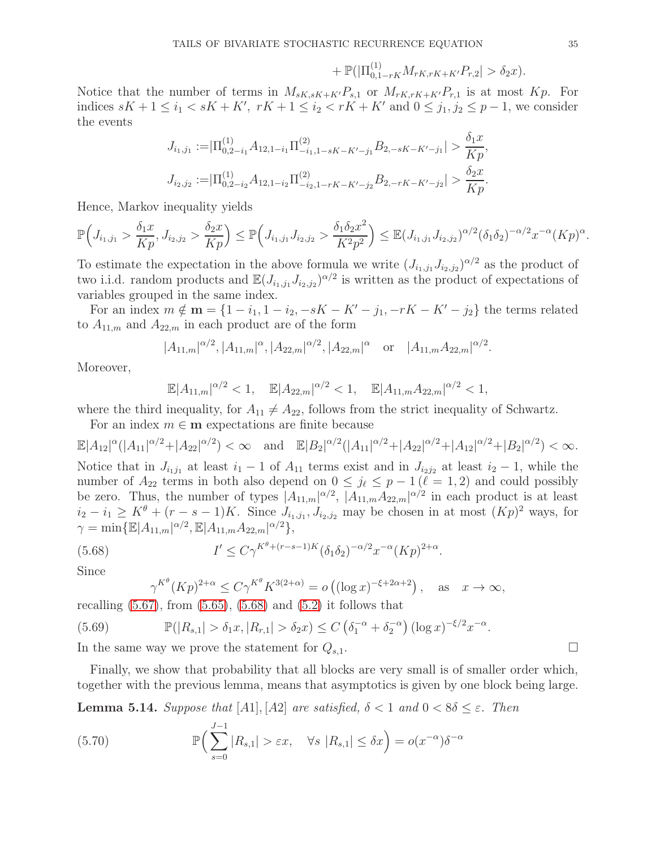$$
+ \mathbb{P}(|\Pi_{0,1-rK}^{(1)}M_{rK,rK+K'}P_{r,2}| > \delta_2 x).
$$

Notice that the number of terms in  $M_{sK,sK+K'}P_{s,1}$  or  $M_{rK,rK+K'}P_{r,1}$  is at most  $Kp$ . For indices  $sK + 1 \le i_1 < sK + K'$ ,  $rK + 1 \le i_2 < rK + K'$  and  $0 \le j_1, j_2 \le p - 1$ , we consider the events

$$
J_{i_1,j_1} := |\Pi_{0,2-i_1}^{(1)} A_{12,1-i_1} \Pi_{-i_1,1-sK-K'-j_1}^{(2)} B_{2,-sK-K'-j_1}| > \frac{\delta_1 x}{Kp},
$$
  

$$
J_{i_2,j_2} := |\Pi_{0,2-i_2}^{(1)} A_{12,1-i_2} \Pi_{-i_2,1-rK-K'-j_2}^{(2)} B_{2,-rK-K'-j_2}| > \frac{\delta_2 x}{Kp}.
$$

Hence, Markov inequality yields

$$
\mathbb{P}\Big(J_{i_1,j_1} > \frac{\delta_1 x}{Kp}, J_{i_2,j_2} > \frac{\delta_2 x}{Kp}\Big) \leq \mathbb{P}\Big(J_{i_1,j_1} J_{i_2,j_2} > \frac{\delta_1 \delta_2 x^2}{K^2 p^2}\Big) \leq \mathbb{E}(J_{i_1,j_1} J_{i_2,j_2})^{\alpha/2} (\delta_1 \delta_2)^{-\alpha/2} x^{-\alpha} (Kp)^{\alpha}.
$$

To estimate the expectation in the above formula we write  $(J_{i_1,j_1}J_{i_2,j_2})^{\alpha/2}$  as the product of two i.i.d. random products and  $\mathbb{E}(J_{i_1,j_1}J_{i_2,j_2})^{\alpha/2}$  is written as the product of expectations of variables grouped in the same index.

For an index  $m \notin \mathbf{m} = \{1 - i_1, 1 - i_2, -sK - K' - j_1, -rK - K' - j_2\}$  the terms related to  $A_{11,m}$  and  $A_{22,m}$  in each product are of the form

$$
|A_{11,m}|^{\alpha/2}, |A_{11,m}|^{\alpha}, |A_{22,m}|^{\alpha/2}, |A_{22,m}|^{\alpha} \text{ or } |A_{11,m}A_{22,m}|^{\alpha/2}.
$$

Moreover,

$$
\mathbb{E}|A_{11,m}|^{\alpha/2} < 1, \quad \mathbb{E}|A_{22,m}|^{\alpha/2} < 1, \quad \mathbb{E}|A_{11,m}A_{22,m}|^{\alpha/2} < 1,
$$

where the third inequality, for  $A_{11} \neq A_{22}$ , follows from the strict inequality of Schwartz.

For an index  $m \in \mathbf{m}$  expectations are finite because

 $\mathbb{E}|A_{12}|^{\alpha}(|A_{11}|^{\alpha/2}+|A_{22}|^{\alpha/2}) < \infty$  and  $\mathbb{E}|B_{2}|^{\alpha/2}(|A_{11}|^{\alpha/2}+|A_{22}|^{\alpha/2}+|A_{12}|^{\alpha/2}+|B_{2}|^{\alpha/2}) < \infty$ .

Notice that in  $J_{i_1j_1}$  at least  $i_1 - 1$  of  $A_{11}$  terms exist and in  $J_{i_2j_2}$  at least  $i_2 - 1$ , while the number of  $A_{22}$  terms in both also depend on  $0 \leq j_{\ell} \leq p-1$  ( $\ell=1,2$ ) and could possibly be zero. Thus, the number of types  $A_{11,m} \alpha^{2}$ ,  $A_{11,m} A_{22,m} \alpha^{2}$  in each product is at least  $i_2 - i_1 \geq K^{\theta} + (r - s - 1)K$ . Since  $J_{i_1, j_1}, J_{i_2, j_2}$  may be chosen in at most  $(Kp)^2$  ways, for  $\gamma = \min\{\mathbb{E}|A_{11,m}|^{\alpha/2}, \mathbb{E}|A_{11,m}A_{22,m}|^{\alpha/2}\},\,$ 

(5.68) 
$$
I' \le C\gamma^{K^{\theta} + (r-s-1)K} (\delta_1 \delta_2)^{-\alpha/2} x^{-\alpha} (Kp)^{2+\alpha}.
$$

Since

<span id="page-34-3"></span><span id="page-34-1"></span>
$$
\gamma^{K^{\theta}} (Kp)^{2+\alpha} \le C\gamma^{K^{\theta}} K^{3(2+\alpha)} = o\left( (\log x)^{-\xi+2\alpha+2} \right), \quad \text{as} \quad x \to \infty,
$$

recalling  $(5.67)$ , from  $(5.65)$ ,  $(5.68)$  and  $(5.2)$  it follows that

(5.69) 
$$
\mathbb{P}(|R_{s,1}| > \delta_1 x, |R_{r,1}| > \delta_2 x) \leq C \left(\delta_1^{-\alpha} + \delta_2^{-\alpha}\right) (\log x)^{-\xi/2} x^{-\alpha}.
$$

In the same way we prove the statement for  $Q_{s,1}$ .

Finally, we show that probability that all blocks are very small is of smaller order which, together with the previous lemma, means that asymptotics is given by one block being large.

<span id="page-34-0"></span>**Lemma 5.14.** Suppose that [A1], [A2] are satisfied,  $\delta < 1$  and  $0 < 8\delta < \varepsilon$ . Then

<span id="page-34-2"></span>(5.70) 
$$
\mathbb{P}\Big(\sum_{s=0}^{J-1}|R_{s,1}|>\varepsilon x, \quad \forall s |R_{s,1}|\leq \delta x\Big)=o(x^{-\alpha})\delta^{-\alpha}
$$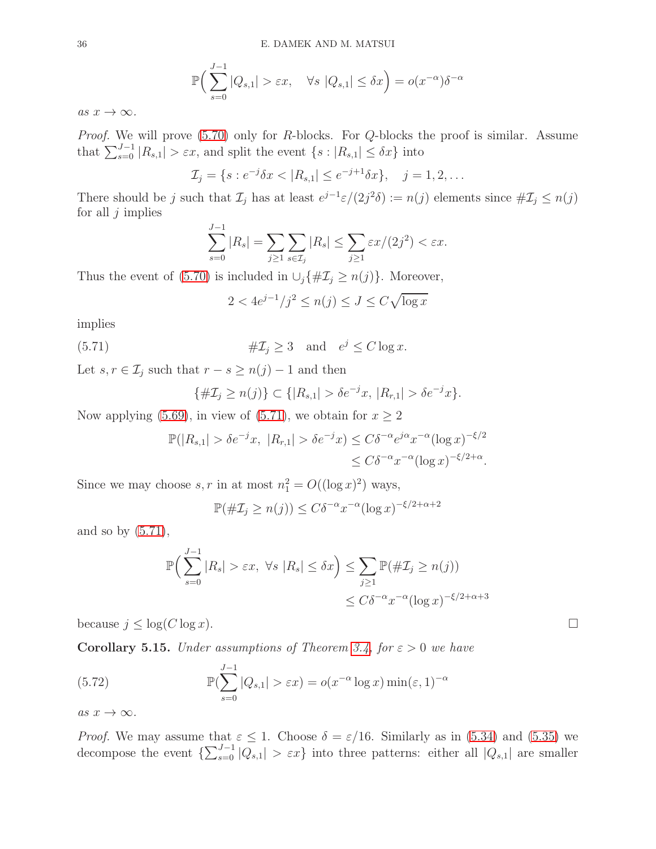$$
\mathbb{P}\Big(\sum_{s=0}^{J-1} |Q_{s,1}| > \varepsilon x, \quad \forall s \ |Q_{s,1}| \le \delta x\Big) = o(x^{-\alpha})\delta^{-\alpha}
$$

as  $x \to \infty$ .

Proof. We will prove [\(5.70\)](#page-34-2) only for R-blocks. For Q-blocks the proof is similar. Assume that  $\sum_{s=0}^{J-1} |R_{s,1}| > \varepsilon x$ , and split the event  $\{s : |R_{s,1}| \leq \delta x\}$  into

$$
\mathcal{I}_j = \{ s : e^{-j} \delta x < |R_{s,1}| \leq e^{-j+1} \delta x \}, \quad j = 1, 2, \dots
$$

There should be j such that  $\mathcal{I}_j$  has at least  $e^{j-1}\varepsilon/(2j^2\delta) := n(j)$  elements since  $\#\mathcal{I}_j \leq n(j)$ for all  $j$  implies

$$
\sum_{s=0}^{J-1} |R_s| = \sum_{j\geq 1} \sum_{s\in \mathcal{I}_j} |R_s| \leq \sum_{j\geq 1} \varepsilon x/(2j^2) < \varepsilon x.
$$

Thus the event of [\(5.70\)](#page-34-2) is included in  $\bigcup_j \{\# \mathcal{I}_j \geq n(j)\}\.$  Moreover,

<span id="page-35-1"></span>
$$
2 < 4e^{j-1}/j^2 \le n(j) \le J \le C\sqrt{\log x}
$$

implies

(5.71) 
$$
\# \mathcal{I}_j \geq 3 \quad \text{and} \quad e^j \leq C \log x.
$$

Let  $s, r \in \mathcal{I}_j$  such that  $r - s \geq n(j) - 1$  and then

$$
\{\#\mathcal{I}_j \ge n(j)\} \subset \{|R_{s,1}| > \delta e^{-j}x, |R_{r,1}| > \delta e^{-j}x\}.
$$

Now applying [\(5.69\)](#page-34-3), in view of [\(5.71\)](#page-35-1), we obtain for  $x \ge 2$ 

$$
\mathbb{P}(|R_{s,1}| > \delta e^{-j}x, |R_{r,1}| > \delta e^{-j}x) \leq C\delta^{-\alpha}e^{j\alpha}x^{-\alpha}(\log x)^{-\xi/2}
$$
  

$$
\leq C\delta^{-\alpha}x^{-\alpha}(\log x)^{-\xi/2+\alpha}.
$$

Since we may choose  $s, r$  in at most  $n_1^2 = O((\log x)^2)$  ways,

$$
\mathbb{P}(\#\mathcal{I}_j \ge n(j)) \le C\delta^{-\alpha} x^{-\alpha} (\log x)^{-\xi/2 + \alpha + 2}
$$

and so by  $(5.71)$ ,

$$
\mathbb{P}\Big(\sum_{s=0}^{J-1} |R_s| > \varepsilon x, \ \forall s \ |R_s| \le \delta x\Big) \le \sum_{j\ge 1} \mathbb{P}(\#\mathcal{I}_j \ge n(j))
$$
  

$$
\le C\delta^{-\alpha} x^{-\alpha} (\log x)^{-\xi/2 + \alpha + 3}
$$

because  $j \leq \log(C \log x)$ .

<span id="page-35-0"></span>**Corollary 5.15.** Under assumptions of Theorem [3.4,](#page-9-0) for  $\varepsilon > 0$  we have

<span id="page-35-2"></span>(5.72) 
$$
\mathbb{P}(\sum_{s=0}^{J-1} |Q_{s,1}| > \varepsilon x) = o(x^{-\alpha} \log x) \min(\varepsilon, 1)^{-\alpha}
$$

as  $x \to \infty$ .

*Proof.* We may assume that  $\varepsilon \leq 1$ . Choose  $\delta = \varepsilon/16$ . Similarly as in [\(5.34\)](#page-22-3) and [\(5.35\)](#page-22-4) we decompose the event  $\{\sum_{s=0}^{J-1} |Q_{s,1}| > \varepsilon x\}$  into three patterns: either all  $|Q_{s,1}|$  are smaller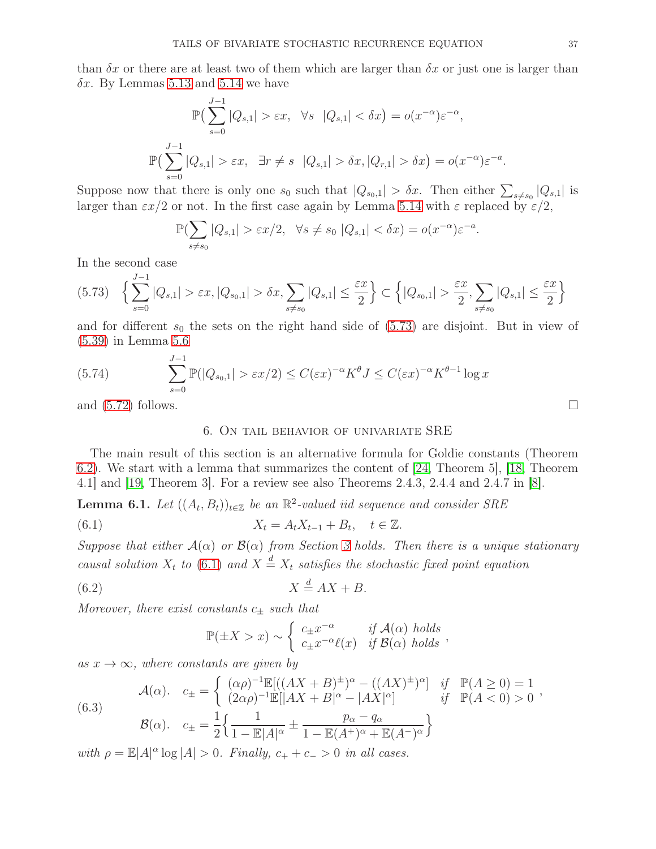than  $\delta x$  or there are at least two of them which are larger than  $\delta x$  or just one is larger than  $\delta x$ . By Lemmas [5.13](#page-33-0) and [5.14](#page-34-0) we have

$$
\mathbb{P}\left(\sum_{s=0}^{J-1}|Q_{s,1}| > \varepsilon x, \quad \forall s \quad |Q_{s,1}| < \delta x\right) = o(x^{-\alpha})\varepsilon^{-\alpha},
$$
  

$$
\mathbb{P}\left(\sum_{s=0}^{J-1}|Q_{s,1}| > \varepsilon x, \quad \exists r \neq s \quad |Q_{s,1}| > \delta x, |Q_{r,1}| > \delta x\right) = o(x^{-\alpha})\varepsilon^{-a}.
$$

Suppose now that there is only one  $s_0$  such that  $|Q_{s_0,1}| > \delta x$ . Then either  $\sum_{s\neq s_0} |Q_{s,1}|$  is larger than  $\epsilon x/2$  or not. In the first case again by Lemma [5.14](#page-34-0) with  $\epsilon$  replaced by  $\epsilon/2$ ,

$$
\mathbb{P}(\sum_{s \neq s_0} |Q_{s,1}| > \varepsilon x/2, \quad \forall s \neq s_0 \ |Q_{s,1}| < \delta x) = o(x^{-\alpha})\varepsilon^{-a}.
$$

In the second case

<span id="page-36-4"></span>
$$
(5.73) \quad \left\{ \sum_{s=0}^{J-1} |Q_{s,1}| > \varepsilon x, |Q_{s_0,1}| > \delta x, \sum_{s \neq s_0} |Q_{s,1}| \leq \frac{\varepsilon x}{2} \right\} \subset \left\{ |Q_{s_0,1}| > \frac{\varepsilon x}{2}, \sum_{s \neq s_0} |Q_{s,1}| \leq \frac{\varepsilon x}{2} \right\}
$$

and for different  $s_0$  the sets on the right hand side of  $(5.73)$  are disjoint. But in view of [\(5.39\)](#page-24-2) in Lemma [5.6](#page-24-0)

(5.74) 
$$
\sum_{s=0}^{J-1} \mathbb{P}(|Q_{s_0,1}| > \varepsilon x/2) \le C(\varepsilon x)^{-\alpha} K^{\theta} J \le C(\varepsilon x)^{-\alpha} K^{\theta-1} \log x
$$

<span id="page-36-0"></span>and  $(5.72)$  follows.

# <span id="page-36-3"></span>6. On tail behavior of univariate SRE

The main result of this section is an alternative formula for Goldie constants (Theorem [6.2\)](#page-37-1). We start with a lemma that summarizes the content of [\[24,](#page-42-1) Theorem 5], [\[18,](#page-41-11) Theorem 4.1] and [\[19,](#page-41-20) Theorem 3]. For a review see also Theorems 2.4.3, 2.4.4 and 2.4.7 in [\[8\]](#page-41-3).

<span id="page-36-1"></span>**Lemma 6.1.** Let  $((A_t, B_t))_{t \in \mathbb{Z}}$  be an  $\mathbb{R}^2$ -valued iid sequence and consider SRE

<span id="page-36-5"></span>(6.1) 
$$
X_t = A_t X_{t-1} + B_t, \quad t \in \mathbb{Z}.
$$

Suppose that either  $A(\alpha)$  or  $B(\alpha)$  from Section [3](#page-5-0) holds. Then there is a unique stationary causal solution  $X_t$  to [\(6.1\)](#page-36-5) and  $X = X_t$  satisfies the stochastic fixed point equation

$$
(6.2) \t\t X \stackrel{d}{=} AX + B.
$$

Moreover, there exist constants  $c_{\pm}$  such that

$$
\mathbb{P}(\pm X > x) \sim \begin{cases} c_{\pm}x^{-\alpha} & \text{if } \mathcal{A}(\alpha) \text{ holds} \\ c_{\pm}x^{-\alpha}\ell(x) & \text{if } \mathcal{B}(\alpha) \text{ holds} \end{cases}
$$

as  $x \to \infty$ , where constants are given by

<span id="page-36-2"></span>(6.3) 
$$
\mathcal{A}(\alpha). \quad c_{\pm} = \begin{cases} (\alpha \rho)^{-1} \mathbb{E}[((AX + B)^{\pm})^{\alpha} - ((AX)^{\pm})^{\alpha}] & \text{if } \mathbb{P}(A \ge 0) = 1 \\ (2\alpha \rho)^{-1} \mathbb{E}[|AX + B|^{\alpha} - |AX|^{\alpha}] & \text{if } \mathbb{P}(A < 0) > 0 \end{cases},
$$

$$
\mathcal{B}(\alpha). \quad c_{\pm} = \frac{1}{2} \left\{ \frac{1}{\sqrt{1 - (X - \alpha)^2}} + \frac{p_{\alpha} - q_{\alpha}}{1 - (X - \alpha)^2} \right\}
$$

$$
\mathcal{B}(\alpha). \quad c_{\pm} = \frac{1}{2} \Big\{ \frac{1}{1 - \mathbb{E}|A|^{\alpha}} \pm \frac{P\alpha - q\alpha}{1 - \mathbb{E}(A^+)^{\alpha} + \mathbb{E}(A^-)^{\alpha}} \Big\}
$$

with  $\rho = \mathbb{E}|A|^{\alpha} \log |A| > 0$ . Finally,  $c_+ + c_- > 0$  in all cases.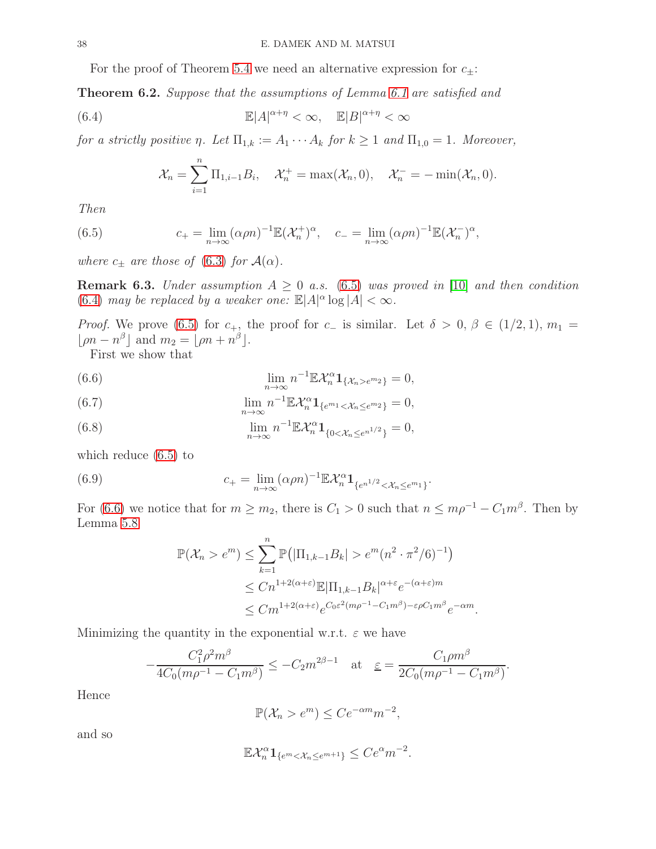For the proof of Theorem [5.4](#page-19-5) we need an alternative expression for  $c_{\pm}$ :

<span id="page-37-1"></span>Theorem 6.2. Suppose that the assumptions of Lemma [6.1](#page-36-1) are satisfied and

(6.4) 
$$
\mathbb{E}|A|^{\alpha+\eta} < \infty, \quad \mathbb{E}|B|^{\alpha+\eta} < \infty
$$

for a strictly positive  $\eta$ . Let  $\Pi_{1,k} := A_1 \cdots A_k$  for  $k \geq 1$  and  $\Pi_{1,0} = 1$ . Moreover,

<span id="page-37-2"></span><span id="page-37-0"></span>
$$
\mathcal{X}_n = \sum_{i=1}^n \Pi_{1,i-1} B_i, \quad \mathcal{X}_n^+ = \max(\mathcal{X}_n, 0), \quad \mathcal{X}_n^- = -\min(\mathcal{X}_n, 0).
$$

Then

(6.5) 
$$
c_{+} = \lim_{n \to \infty} (\alpha \rho n)^{-1} \mathbb{E}(\mathcal{X}_{n}^{+})^{\alpha}, \quad c_{-} = \lim_{n \to \infty} (\alpha \rho n)^{-1} \mathbb{E}(\mathcal{X}_{n}^{-})^{\alpha},
$$

where  $c_{\pm}$  are those of [\(6.3\)](#page-36-2) for  $\mathcal{A}(\alpha)$ .

**Remark 6.3.** Under assumption  $A \geq 0$  a.s. [\(6.5\)](#page-37-0) was proved in [\[10\]](#page-41-21) and then condition [\(6.4\)](#page-37-2) may be replaced by a weaker one:  $\mathbb{E}|A|^{\alpha} \log |A| < \infty$ .

*Proof.* We prove [\(6.5\)](#page-37-0) for c<sub>+</sub>, the proof for c− is similar. Let  $\delta > 0, \beta \in (1/2, 1), m_1 =$  $\lfloor \rho n - n^{\beta} \rfloor$  and  $m_2 = \lfloor \rho n + n^{\beta} \rfloor$ .

First we show that

<span id="page-37-3"></span>(6.6) 
$$
\lim_{n \to \infty} n^{-1} \mathbb{E} \mathcal{X}_n^{\alpha} \mathbf{1}_{\{\mathcal{X}_n > e^{m_2}\}} = 0,
$$

<span id="page-37-4"></span>(6.7) 
$$
\lim_{n \to \infty} n^{-1} \mathbb{E} \mathcal{X}_n^{\alpha} \mathbf{1}_{\{e^{m_1} < \mathcal{X}_n \leq e^{m_2}\}} = 0,
$$

<span id="page-37-5"></span>(6.8) 
$$
\lim_{n \to \infty} n^{-1} \mathbb{E} \mathcal{X}_n^{\alpha} \mathbf{1}_{\{0 < \mathcal{X}_n \leq e^{n^{1/2}}\}} = 0,
$$

which reduce [\(6.5\)](#page-37-0) to

(6.9) 
$$
c_{+} = \lim_{n \to \infty} (\alpha \rho n)^{-1} \mathbb{E} \mathcal{X}_{n}^{\alpha} \mathbf{1}_{\{e^{n^{1/2}} < \mathcal{X}_{n} \leq e^{m_{1}}\}}.
$$

For [\(6.6\)](#page-37-3) we notice that for  $m \geq m_2$ , there is  $C_1 > 0$  such that  $n \leq m\rho^{-1} - C_1m^{\beta}$ . Then by Lemma [5.8](#page-28-1)

<span id="page-37-6"></span>
$$
\mathbb{P}(\mathcal{X}_n > e^m) \leq \sum_{k=1}^n \mathbb{P}\big(|\Pi_{1,k-1}B_k| > e^m(n^2 \cdot \pi^2/6)^{-1}\big) \n\leq Cn^{1+2(\alpha+\varepsilon)} \mathbb{E}|\Pi_{1,k-1}B_k|^{\alpha+\varepsilon} e^{-(\alpha+\varepsilon)m} \n\leq Cm^{1+2(\alpha+\varepsilon)} e^{C_0\varepsilon^2(m\rho^{-1}-C_1m^\beta)-\varepsilon\rho C_1m^\beta} e^{-\alpha m}.
$$

Minimizing the quantity in the exponential w.r.t.  $\varepsilon$  we have

$$
-\frac{C_1^2 \rho^2 m^{\beta}}{4C_0(m\rho^{-1} - C_1 m^{\beta})} \le -C_2 m^{2\beta - 1} \quad \text{at} \quad \underline{\varepsilon} = \frac{C_1 \rho m^{\beta}}{2C_0(m\rho^{-1} - C_1 m^{\beta})}.
$$

Hence

$$
\mathbb{P}(\mathcal{X}_n > e^m) \le Ce^{-\alpha m} m^{-2},
$$

and so

$$
\mathbb{E} \mathcal{X}_n^{\alpha} \mathbf{1}_{\{e^m < \mathcal{X}_n \le e^{m+1}\}} \le Ce^{\alpha} m^{-2}.
$$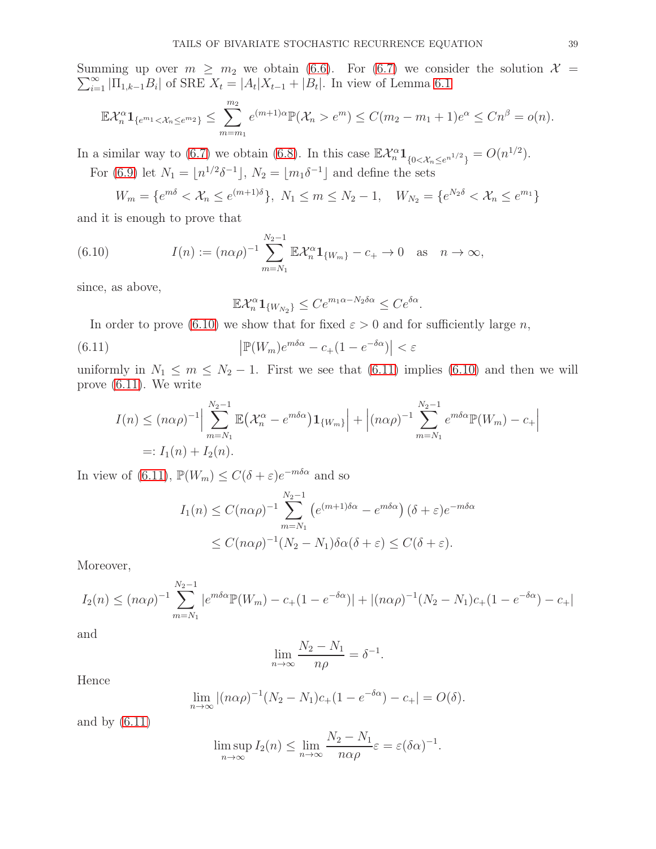Summing up over  $m \geq m_2$  we obtain [\(6.6\)](#page-37-3). For [\(6.7\)](#page-37-4) we consider the solution  $\mathcal{X} =$  $\sum_{i=1}^{\infty} |\Pi_{1,k-1}B_i|$  of SRE  $X_t = |A_t|X_{t-1} + |B_t|$ . In view of Lemma [6.1](#page-36-1)

$$
\mathbb{E} \mathcal{X}_n^{\alpha} \mathbf{1}_{\{e^{m_1} < \mathcal{X}_n \leq e^{m_2}\}} \leq \sum_{m=m_1}^{m_2} e^{(m+1)\alpha} \mathbb{P}(\mathcal{X}_n > e^m) \leq C(m_2 - m_1 + 1)e^{\alpha} \leq Cn^{\beta} = o(n).
$$

In a similar way to [\(6.7\)](#page-37-4) we obtain [\(6.8\)](#page-37-5). In this case  $\mathbb{E} \mathcal{X}_n^{\alpha} \mathbf{1}_{\{0 \leq \mathcal{X}_n \leq e^{n^{1/2}}\}} = O(n^{1/2}).$ 

For [\(6.9\)](#page-37-6) let  $N_1 = \lfloor n^{1/2} \delta^{-1} \rfloor$ ,  $N_2 = \lfloor m_1 \delta^{-1} \rfloor$  and define the sets

 $W_m = \{e^{m\delta} < \mathcal{X}_n \le e^{(m+1)\delta}\},\ N_1 \le m \le N_2 - 1,\quad W_{N_2} = \{e^{N_2\delta} < \mathcal{X}_n \le e^{m_1}\}\$ 

and it is enough to prove that

(6.10) 
$$
I(n) := (n\alpha \rho)^{-1} \sum_{m=N_1}^{N_2-1} \mathbb{E} \mathcal{X}_n^{\alpha} \mathbf{1}_{\{W_m\}} - c_+ \to 0 \text{ as } n \to \infty,
$$

since, as above,

<span id="page-38-1"></span><span id="page-38-0"></span>
$$
\mathbb{E} \mathcal{X}_n^{\alpha} \mathbf{1}_{\{W_{N_2}\}} \leq Ce^{m_1 \alpha - N_2 \delta \alpha} \leq Ce^{\delta \alpha}.
$$

In order to prove [\(6.10\)](#page-38-0) we show that for fixed  $\varepsilon > 0$  and for sufficiently large n,

(6.11) 
$$
\left| \mathbb{P}(W_m)e^{m\delta\alpha} - c_+(1 - e^{-\delta\alpha}) \right| < \varepsilon
$$

uniformly in  $N_1 \leq m \leq N_2 - 1$ . First we see that [\(6.11\)](#page-38-1) implies [\(6.10\)](#page-38-0) and then we will prove [\(6.11\)](#page-38-1). We write

$$
I(n) \le (n\alpha \rho)^{-1} \Big| \sum_{m=N_1}^{N_2-1} \mathbb{E} \big( \mathcal{X}_n^{\alpha} - e^{m\delta \alpha} \big) \mathbf{1}_{\{W_m\}} \Big| + \Big| (n\alpha \rho)^{-1} \sum_{m=N_1}^{N_2-1} e^{m\delta \alpha} \mathbb{P}(W_m) - c_+ \Big|
$$
  
=:  $I_1(n) + I_2(n)$ .

In view of [\(6.11\)](#page-38-1),  $\mathbb{P}(W_m) \leq C(\delta + \varepsilon)e^{-m\delta\alpha}$  and so

$$
I_1(n) \le C(n\alpha\rho)^{-1} \sum_{m=N_1}^{N_2-1} \left( e^{(m+1)\delta\alpha} - e^{m\delta\alpha} \right) (\delta + \varepsilon) e^{-m\delta\alpha}
$$
  

$$
\le C(n\alpha\rho)^{-1} (N_2 - N_1) \delta\alpha(\delta + \varepsilon) \le C(\delta + \varepsilon).
$$

Moreover,

$$
I_2(n) \le (n\alpha \rho)^{-1} \sum_{m=N_1}^{N_2-1} |e^{m\delta \alpha} \mathbb{P}(W_m) - c_+(1-e^{-\delta \alpha})| + |(n\alpha \rho)^{-1}(N_2 - N_1)c_+(1-e^{-\delta \alpha}) - c_+|
$$

and

$$
\lim_{n \to \infty} \frac{N_2 - N_1}{n\rho} = \delta^{-1}.
$$

Hence

$$
\lim_{n \to \infty} |(n\alpha \rho)^{-1} (N_2 - N_1)c_+(1 - e^{-\delta \alpha}) - c_+| = O(\delta).
$$

and by [\(6.11\)](#page-38-1)

$$
\limsup_{n \to \infty} I_2(n) \le \lim_{n \to \infty} \frac{N_2 - N_1}{n \alpha \rho} \varepsilon = \varepsilon (\delta \alpha)^{-1}.
$$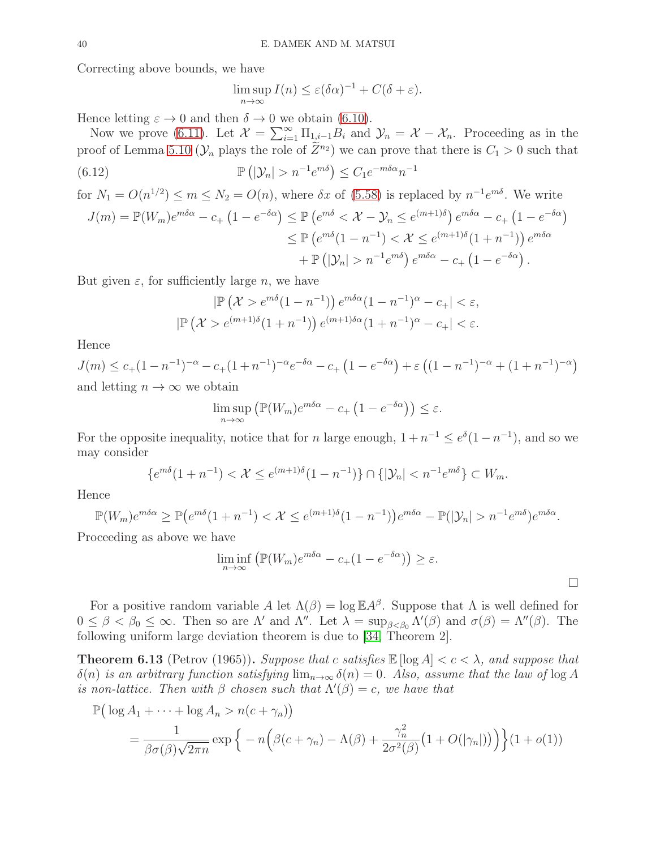Correcting above bounds, we have

$$
\limsup_{n \to \infty} I(n) \le \varepsilon (\delta \alpha)^{-1} + C(\delta + \varepsilon).
$$

Hence letting  $\varepsilon \to 0$  and then  $\delta \to 0$  we obtain [\(6.10\)](#page-38-0).

Now we prove [\(6.11\)](#page-38-1). Let  $\mathcal{X} = \sum_{i=1}^{\infty} \Pi_{1,i-1} B_i$  and  $\mathcal{Y}_n = \mathcal{X} - \mathcal{X}_n$ . Proceeding as in the proof of Lemma [5.10](#page-29-0) ( $\mathcal{Y}_n$  plays the role of  $\widetilde{Z}^{n_2}$ ) we can prove that there is  $C_1 > 0$  such that  $(6.12)$  $(|\mathcal{Y}_n| > n^{-1}e^{m\delta}) \leq C_1e^{-m\delta\alpha}n^{-1}$ 

for 
$$
N_1 = O(n^{1/2}) \le m \le N_2 = O(n)
$$
, where  $\delta x$  of (5.58) is replaced by  $n^{-1}e^{m\delta}$ . We write  
\n
$$
J(m) = \mathbb{P}(W_m)e^{m\delta\alpha} - c_+ (1 - e^{-\delta\alpha}) \le \mathbb{P}(e^{m\delta} < \mathcal{X} - \mathcal{Y}_n \le e^{(m+1)\delta})e^{m\delta\alpha} - c_+ (1 - e^{-\delta\alpha})
$$
\n
$$
\le \mathbb{P}(e^{m\delta}(1 - n^{-1}) < \mathcal{X} \le e^{(m+1)\delta}(1 + n^{-1}))e^{m\delta\alpha}
$$
\n
$$
+ \mathbb{P}(|\mathcal{Y}_n| > n^{-1}e^{m\delta})e^{m\delta\alpha} - c_+ (1 - e^{-\delta\alpha}).
$$

But given  $\varepsilon$ , for sufficiently large *n*, we have

$$
|\mathbb{P}(\mathcal{X} > e^{m\delta}(1 - n^{-1})) e^{m\delta\alpha}(1 - n^{-1})^{\alpha} - c_+| < \varepsilon,
$$
  

$$
|\mathbb{P}(\mathcal{X} > e^{(m+1)\delta}(1 + n^{-1})) e^{(m+1)\delta\alpha}(1 + n^{-1})^{\alpha} - c_+| < \varepsilon.
$$

Hence

$$
J(m) \le c_{+}(1 - n^{-1})^{-\alpha} - c_{+}(1 + n^{-1})^{-\alpha} e^{-\delta\alpha} - c_{+}(1 - e^{-\delta\alpha}) + \varepsilon ((1 - n^{-1})^{-\alpha} + (1 + n^{-1})^{-\alpha})
$$
  
and letting  $n \to \infty$  we obtain

$$
\limsup_{n \to \infty} \left( \mathbb{P}(W_m) e^{m \delta \alpha} - c_+ \left( 1 - e^{-\delta \alpha} \right) \right) \le \varepsilon.
$$

For the opposite inequality, notice that for n large enough,  $1 + n^{-1} \le e^{\delta}(1 - n^{-1})$ , and so we may consider

$$
\{e^{m\delta}(1+n^{-1}) < \mathcal{X} \le e^{(m+1)\delta}(1-n^{-1})\} \cap \{|\mathcal{Y}_n| < n^{-1}e^{m\delta}\} \subset W_m.
$$

Hence

$$
\mathbb{P}(W_m)e^{m\delta\alpha} \ge \mathbb{P}\left(e^{m\delta}(1+n^{-1}) < \mathcal{X} \le e^{(m+1)\delta}(1-n^{-1})\right)e^{m\delta\alpha} - \mathbb{P}(|\mathcal{Y}_n| > n^{-1}e^{m\delta})e^{m\delta\alpha}.
$$

Proceeding as above we have

$$
\liminf_{n \to \infty} \left( \mathbb{P}(W_m) e^{m \delta \alpha} - c_+(1 - e^{-\delta \alpha}) \right) \ge \varepsilon.
$$

For a positive random variable A let  $\Lambda(\beta) = \log \mathbb{E} A^{\beta}$ . Suppose that  $\Lambda$  is well defined for  $0 \leq \beta < \beta_0 \leq \infty$ . Then so are  $\Lambda'$  and  $\Lambda''$ . Let  $\lambda = \sup_{\beta < \beta_0} \Lambda'(\beta)$  and  $\sigma(\beta) = \Lambda''(\beta)$ . The following uniform large deviation theorem is due to [\[34,](#page-42-13) Theorem 2].

<span id="page-39-0"></span>**Theorem 6.13** (Petrov (1965)). Suppose that c satisfies  $\mathbb{E} [\log A] < c < \lambda$ , and suppose that  $\delta(n)$  is an arbitrary function satisfying  $\lim_{n\to\infty} \delta(n) = 0$ . Also, assume that the law of  $\log A$ is non-lattice. Then with  $\beta$  chosen such that  $\Lambda'(\beta) = c$ , we have that

$$
\mathbb{P}\left(\log A_1 + \dots + \log A_n > n(c + \gamma_n)\right)
$$
  
= 
$$
\frac{1}{\beta \sigma(\beta) \sqrt{2\pi n}} \exp \left\{-n\left(\beta(c + \gamma_n) - \Lambda(\beta) + \frac{\gamma_n^2}{2\sigma^2(\beta)}\left(1 + O(|\gamma_n|)\right)\right)\right\}(1 + o(1))
$$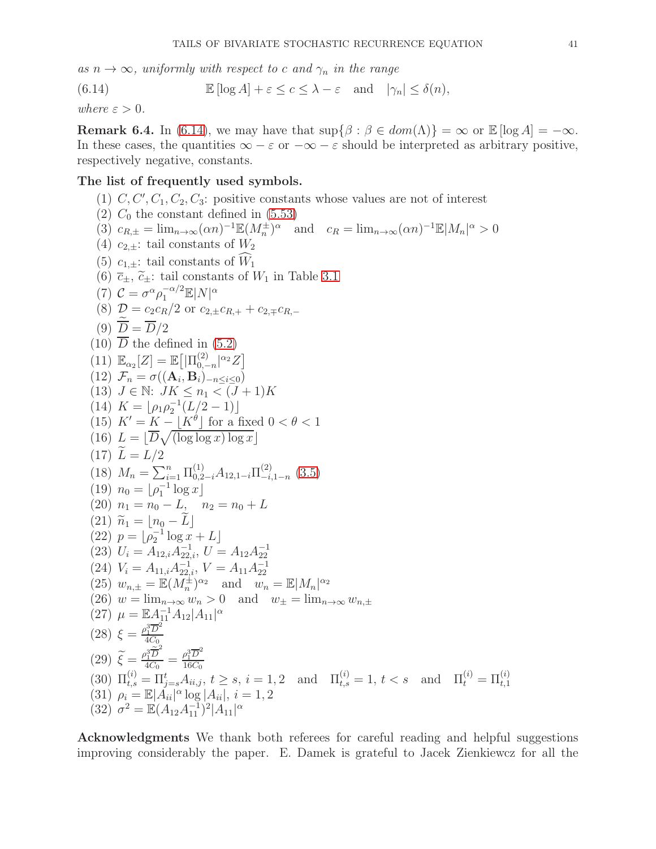as  $n \to \infty$ , uniformly with respect to c and  $\gamma_n$  in the range

<span id="page-40-0"></span>(6.14) 
$$
\mathbb{E}[\log A] + \varepsilon \leq c \leq \lambda - \varepsilon \quad \text{and} \quad |\gamma_n| \leq \delta(n),
$$

where  $\varepsilon > 0$ .

**Remark 6.4.** In [\(6.14\)](#page-40-0), we may have that  $\sup{\beta : \beta \in dom(\Lambda)\} = \infty$  or  $\mathbb{E}[\log A] = -\infty$ . In these cases, the quantities  $\infty - \varepsilon$  or  $-\infty - \varepsilon$  should be interpreted as arbitrary positive, respectively negative, constants.

# The list of frequently used symbols.

- (1)  $C, C', C_1, C_2, C_3$ : positive constants whose values are not of interest
- (2)  $C_0$  the constant defined in [\(5.53\)](#page-27-0)
- (3)  $c_{R,\pm} = \lim_{n \to \infty} (\alpha n)^{-1} \mathbb{E}(M_n^{\pm})^{\alpha}$  and  $c_R = \lim_{n \to \infty} (\alpha n)^{-1} \mathbb{E}|M_n|^{\alpha} > 0$
- (4)  $c_{2,\pm}$ : tail constants of  $W_2$
- (5)  $c_{1,+}$ : tail constants of  $\widehat{W}_1$
- (6)  $\overline{c}_{\pm}$ ,  $\widetilde{c}_{\pm}$ : tail constants of  $W_1$  in Table [3.1](#page-6-0)
- (7)  $C = \sigma^{\alpha} \rho_1^{-\alpha/2} \mathbb{E}|N|^{\alpha}$
- (8)  $\mathcal{D} = c_2 c_R/2$  or  $c_{2,\pm} c_{R,+} + c_{2,\mp} c_{R,-}$
- (9)  $\overline{D} = \overline{D}/2$
- $(10)$   $\overline{D}$  the defined in  $(5.2)$
- $(11) \mathbb{E}_{\alpha_2}[Z] = \mathbb{E}\big[|\Pi_{0,-}^{(2)}\big]$  $_{0,-n}^{(2)} |^{\alpha_2} Z]$
- (12)  $\mathcal{F}_n = \sigma((\mathbf{A}_i, \mathbf{B}_i)_{-n \leq i \leq 0})$
- (13)  $J \in \mathbb{N}: JK \leq n_1 < (J+1)K$
- (14)  $K = \lfloor \rho_1 \rho_2^{-1} (L/2 1) \rfloor$
- (15)  $K' = K \lfloor K^{\theta} \rfloor$  for a fixed  $0 < \theta < 1$
- (16)  $L = \lfloor \overline{D} \sqrt{\left(\log \log x\right) \log x} \rfloor$
- $(17) \tilde{L} = L/2$ (18)  $M_n = \sum_{i=1}^n \Pi_{0,2-i}^{(1)} A_{12,1-i} \Pi_{-i}^{(2)}$  $\binom{2}{-i,1-n}$  [\(3.5\)](#page-6-5)
- $(19)$   $n_0 = \lfloor \rho_1^{-1} \log x \rfloor$
- (20)  $n_1 = n_0 L$ ,  $n_2 = n_0 + L$ <br>(21)  $\widetilde{n}_1 = |n_0 \widetilde{L}|$
- $(21)$   $\widetilde{n}_1 = \lfloor n_0 L \rfloor$
- $(22)$   $p = \lfloor \rho_2^{-1} \log x + L \rfloor$
- (23)  $U_i = A_{12,i} A_{22,i}^{-1}, U = A_{12} A_{22}^{-1}$
- 
- (24)  $V_i = A_{11,i} A_{22,i}^{-1}, V = A_{11} A_{22}^{-1}$ <br>(25)  $w_{n,\pm} = \mathbb{E}(M_n^{\pm})^{\alpha_2}$  and  $w_n = \mathbb{E}|M_n|^{\alpha_2}$

 $16C_0$ 

- 
- (26)  $w = \lim_{n \to \infty} w_n > 0$  and  $w_{\pm} = \lim_{n \to \infty} w_{n,\pm}$
- (27)  $\mu = \mathbb{E} A_{11}^{-1} A_{12} |A_{11}|^{\alpha}$
- $(28) \xi = \frac{\rho_1^3 \overline{D}^2}{4C_0}$
- $4C_0$  $\frac{\rho_1^3\widetilde{\overline{D}}^2}{4C_0}=\frac{\rho_1^3\overline{D}^2}{16C_0}$
- (29)  $\widetilde{\xi} = \frac{\rho_1^3 \widetilde{\overline{D}}^2}{4C_0}$
- $(30) \ \Pi_{t,s}^{(i)} = \Pi_{j=s}^t A_{ii,j}, \ t \geq s, \ i = 1, 2 \quad \text{and} \quad \Pi_{t,s}^{(i)} = 1, \ t < s \quad \text{and} \quad \Pi_t^{(i)} = \Pi_{t,1}^{(i)}$ (31)  $\rho_i = \mathbb{E}[A_{ii} |^{\alpha} \log |A_{ii}|, i = 1, 2]$
- (32)  $\sigma^2 = \mathbb{E}(A_{12}A_{11}^{-1})^2 |A_{11}|^{\alpha}$

Acknowledgments We thank both referees for careful reading and helpful suggestions improving considerably the paper. E. Damek is grateful to Jacek Zienkiewcz for all the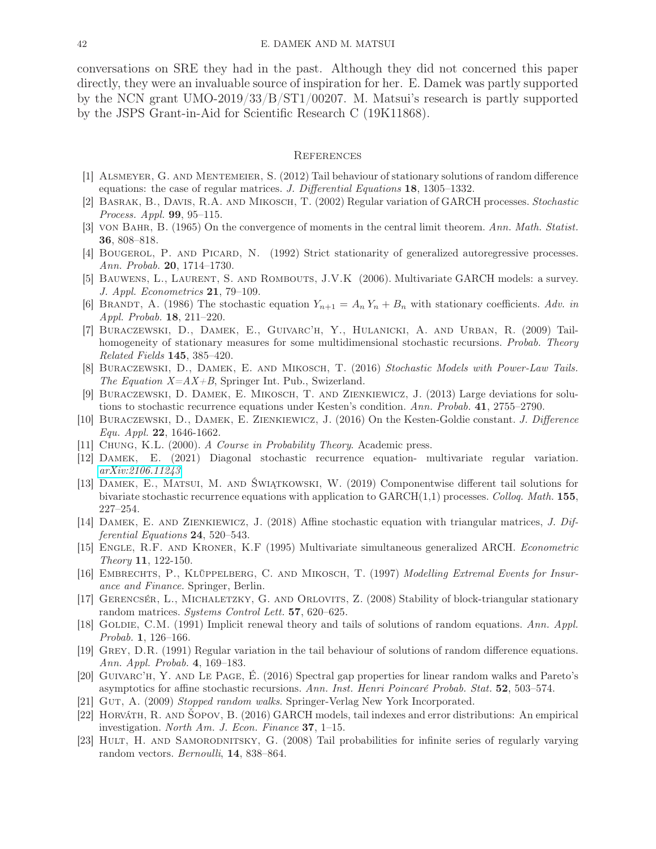conversations on SRE they had in the past. Although they did not concerned this paper directly, they were an invaluable source of inspiration for her. E. Damek was partly supported by the NCN grant UMO-2019/33/B/ST1/00207. M. Matsui's research is partly supported by the JSPS Grant-in-Aid for Scientific Research C (19K11868).

#### **REFERENCES**

- <span id="page-41-12"></span><span id="page-41-4"></span>[1] Alsmeyer, G. and Mentemeier, S. (2012) Tail behaviour of stationary solutions of random difference equations: the case of regular matrices. J. Differential Equations 18, 1305–1332.
- [2] Basrak, B., Davis, R.A. and Mikosch, T. (2002) Regular variation of GARCH processes. Stochastic Process. Appl. 99, 95–115.
- <span id="page-41-0"></span>[3] von Bahr, B. (1965) On the convergence of moments in the central limit theorem. Ann. Math. Statist. 36, 808–818.
- <span id="page-41-14"></span>[4] BOUGEROL, P. AND PICARD, N. (1992) Strict stationarity of generalized autoregressive processes. Ann. Probab. 20, 1714–1730.
- <span id="page-41-1"></span>[5] BAUWENS, L., LAURENT, S. AND ROMBOUTS, J.V.K (2006). Multivariate GARCH models: a survey. J. Appl. Econometrics 21, 79–109.
- <span id="page-41-6"></span>[6] BRANDT, A. (1986) The stochastic equation  $Y_{n+1} = A_n Y_n + B_n$  with stationary coefficients. Adv. in Appl. Probab. 18, 211–220.
- [7] Buraczewski, D., Damek, E., Guivarc'h, Y., Hulanicki, A. and Urban, R. (2009) Tailhomogeneity of stationary measures for some multidimensional stochastic recursions. Probab. Theory Related Fields 145, 385–420.
- <span id="page-41-3"></span>[8] Buraczewski, D., Damek, E. and Mikosch, T. (2016) Stochastic Models with Power-Law Tails. The Equation  $X=AX+B$ , Springer Int. Pub., Swizerland.
- <span id="page-41-19"></span>[9] Buraczewski, D. Damek, E. Mikosch, T. and Zienkiewicz, J. (2013) Large deviations for solutions to stochastic recurrence equations under Kesten's condition. Ann. Probab. 41, 2755–2790.
- <span id="page-41-21"></span>[10] Buraczewski, D., Damek, E. Zienkiewicz, J. (2016) On the Kesten-Goldie constant. J. Difference Equ. Appl. 22, 1646-1662.
- <span id="page-41-18"></span><span id="page-41-8"></span>[11] Chung, K.L. (2000). A Course in Probability Theory. Academic press.
- [12] Damek, E. (2021) Diagonal stochastic recurrence equation- multivariate regular variation. [arXiv:2106.11243](http://arxiv.org/abs/2106.11243)
- <span id="page-41-9"></span>[13] Damek, E., Matsui, M. and Świątkowski, W. (2019) Componentwise different tail solutions for bivariate stochastic recurrence equations with application to  $GARCH(1,1)$  processes. Colloq. Math. 155, 227–254.
- <span id="page-41-10"></span>[14] DAMEK, E. AND ZIENKIEWICZ, J. (2018) Affine stochastic equation with triangular matrices, J. Differential Equations 24, 520–543.
- <span id="page-41-13"></span>[15] Engle, R.F. and Kroner, K.F (1995) Multivariate simultaneous generalized ARCH. Econometric Theory 11, 122-150.
- <span id="page-41-2"></span>[16] Embrechts, P., Klüppelberg, C. and Mikosch, T. (1997) Modelling Extremal Events for Insurance and Finance. Springer, Berlin.
- <span id="page-41-15"></span>[17] Gerencsér, L., Michaletzky, G. and Orlovits, Z. (2008) Stability of block-triangular stationary random matrices. Systems Control Lett. 57, 620–625.
- <span id="page-41-11"></span>[18] GOLDIE, C.M. (1991) Implicit renewal theory and tails of solutions of random equations. Ann. Appl. Probab. 1, 126–166.
- <span id="page-41-20"></span>[19] Grey, D.R. (1991) Regular variation in the tail behaviour of solutions of random difference equations. Ann. Appl. Probab. 4, 169–183.
- <span id="page-41-5"></span>[20] Guivarc'h, Y. and Le Page, É. (2016) Spectral gap properties for linear random walks and Pareto's asymptotics for affine stochastic recursions. Ann. Inst. Henri Poincaré Probab. Stat. 52, 503–574.
- <span id="page-41-17"></span><span id="page-41-7"></span>[21] GUT, A. (2009) Stopped random walks. Springer-Verlag New York Incorporated.
- [22] Horváth, R. and Šopov, B. (2016) GARCH models, tail indexes and error distributions: An empirical investigation. North Am. J. Econ. Finance 37, 1–15.
- <span id="page-41-16"></span>[23] HULT, H. AND SAMORODNITSKY, G. (2008) Tail probabilities for infinite series of regularly varying random vectors. Bernoulli, 14, 838–864.